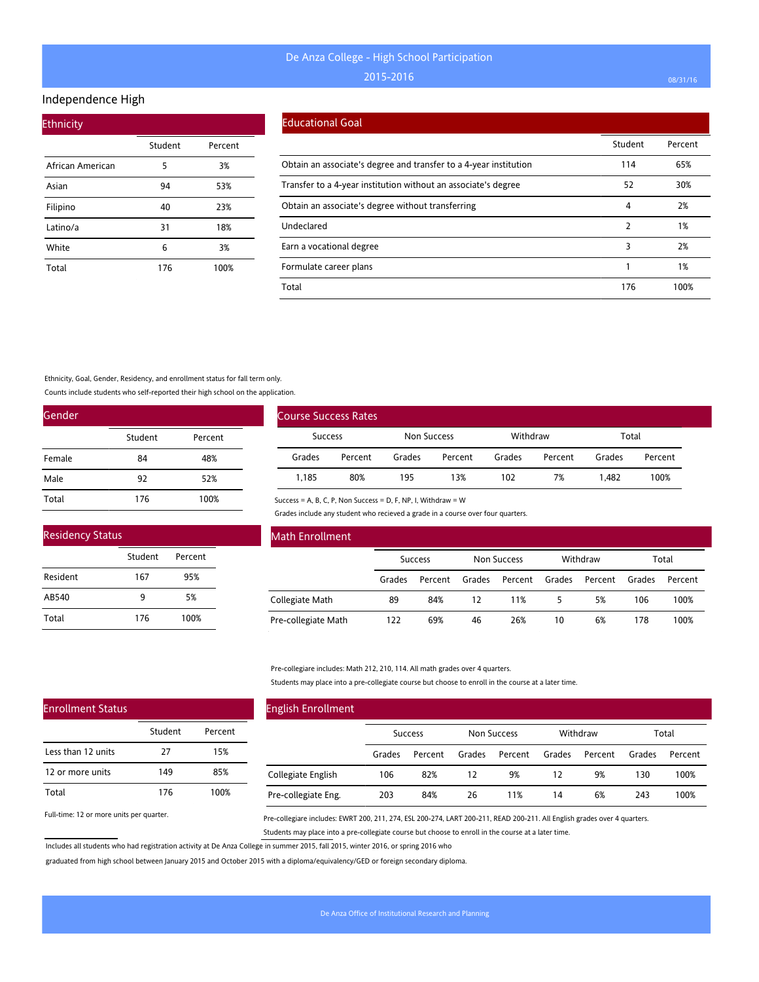#### Independence High

| <b>Ethnicity</b> |         |         |
|------------------|---------|---------|
|                  | Student | Percent |
| African American | 5       | 3%      |
| Asian            | 94      | 53%     |
| Filipino         | 40      | 23%     |
| Latino/a         | 31      | 18%     |
| White            | 6       | 3%      |
| Total            | 176     | 100%    |

#### Educational Goal

|                                                                   | Student | Percent |
|-------------------------------------------------------------------|---------|---------|
| Obtain an associate's degree and transfer to a 4-year institution | 114     | 65%     |
| Transfer to a 4-year institution without an associate's degree    | 52      | 30%     |
| Obtain an associate's degree without transferring                 | 4       | 2%      |
| Undeclared                                                        | 2       | 1%      |
| Earn a vocational degree                                          | 3       | 2%      |
| Formulate career plans                                            |         | 1%      |
| Total                                                             | 176     | 100%    |

Ethnicity, Goal, Gender, Residency, and enrollment status for fall term only.

Counts include students who self-reported their high school on the application.

| Gender |         |         |
|--------|---------|---------|
|        | Student | Percent |
| Female | 84      | 48%     |
| Male   | 92      | 52%     |
| Total  | 176     | 100%    |

| <b>Residency Status</b> |         |         |  |  |  |
|-------------------------|---------|---------|--|--|--|
|                         | Student | Percent |  |  |  |
| Resident                | 167     | 95%     |  |  |  |
| AB540                   | ۹       | 5%      |  |  |  |
| Total                   | 176     | 100%    |  |  |  |

| <b>Course Success Rates</b> |         |             |         |          |         |        |         |
|-----------------------------|---------|-------------|---------|----------|---------|--------|---------|
| <b>Success</b>              |         | Non Success |         | Withdraw |         | Total  |         |
| Grades                      | Percent | Grades      | Percent | Grades   | Percent | Grades | Percent |
| 1.185                       | 80%     | 195         | 13%     | 102      | 7%      | 1.482  | 100%    |

Success = A, B, C, P, Non Success = D, F, NP, I, Withdraw = W

Grades include any student who recieved a grade in a course over four quarters.

| Math Enrollment     |        |                |        |                    |        |          |        |         |
|---------------------|--------|----------------|--------|--------------------|--------|----------|--------|---------|
|                     |        | <b>Success</b> |        | <b>Non Success</b> |        | Withdraw |        | Total   |
|                     | Grades | Percent        | Grades | Percent            | Grades | Percent  | Grades | Percent |
| Collegiate Math     | 89     | 84%            | 12     | 11%                | 5      | 5%       | 106    | 100%    |
| Pre-collegiate Math | 122    | 69%            | 46     | 26%                | 10     | 6%       | 178    | 100%    |

Pre-collegiare includes: Math 212, 210, 114. All math grades over 4 quarters.

Students may place into a pre-collegiate course but choose to enroll in the course at a later time.

| <b>English Enrollment</b> |        |                |        |                    |        |          |        |         |
|---------------------------|--------|----------------|--------|--------------------|--------|----------|--------|---------|
|                           |        | <b>Success</b> |        | <b>Non Success</b> |        | Withdraw |        | Total   |
|                           | Grades | Percent        | Grades | Percent            | Grades | Percent  | Grades | Percent |
| Collegiate English        | 106    | 82%            | 12     | 9%                 | 12     | 9%       | 130    | 100%    |
| Pre-collegiate Eng.       | 203    | 84%            | 26     | 11%                | 14     | 6%       | 243    | 100%    |

Full-time: 12 or more units per quarter.

Enrollment Status

Less than 12 units 12 or more units

Total

Pre-collegiare includes: EWRT 200, 211, 274, ESL 200-274, LART 200-211, READ 200-211. All English grades over 4 quarters. Students may place into a pre-collegiate course but choose to enroll in the course at a later time.

Includes all students who had registration activity at De Anza College in summer 2015, fall 2015, winter 2016, or spring 2016 who

Student Percent

27 15% 149 85% 176 100%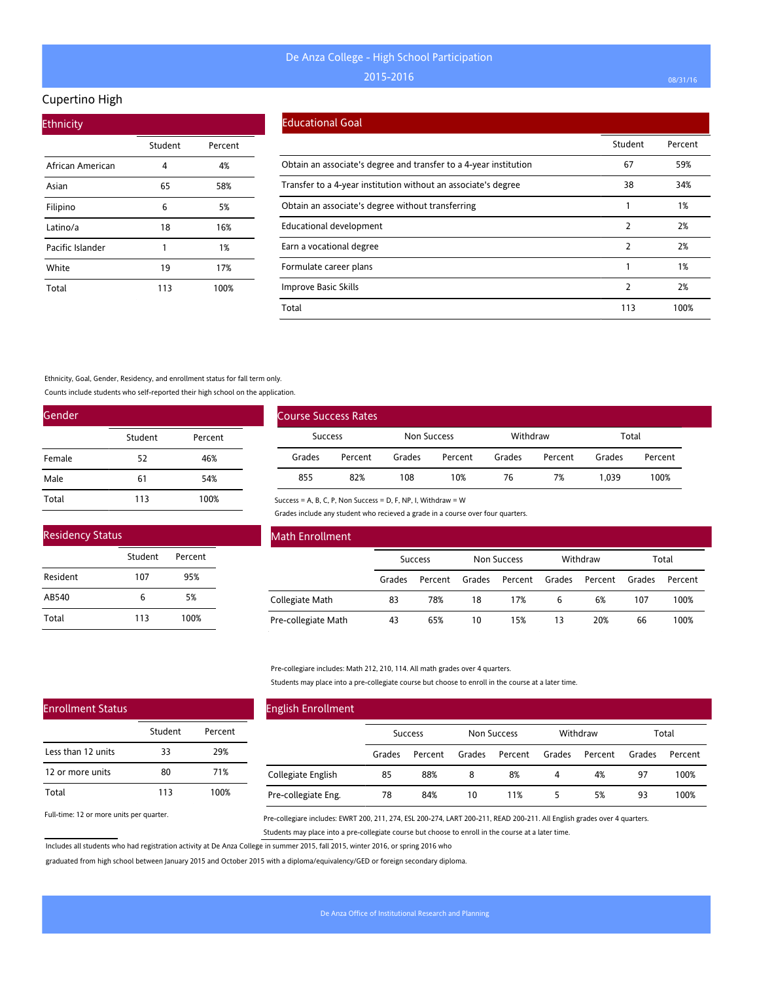### Cupertino High

| <b>Ethnicity</b> |         |         |
|------------------|---------|---------|
|                  | Student | Percent |
| African American | 4       | 4%      |
| Asian            | 65      | 58%     |
| Filipino         | 6       | 5%      |
| Latino/a         | 18      | 16%     |
| Pacific Islander | 1       | 1%      |
| White            | 19      | 17%     |
| Total            | 113     | 100%    |

#### Educational Goal

|                                                                   | Student | Percent |
|-------------------------------------------------------------------|---------|---------|
| Obtain an associate's degree and transfer to a 4-year institution | 67      | 59%     |
| Transfer to a 4-year institution without an associate's degree    | 38      | 34%     |
| Obtain an associate's degree without transferring                 |         | 1%      |
| <b>Educational development</b>                                    | 2       | 2%      |
| Earn a vocational degree                                          | 2       | 2%      |
| Formulate career plans                                            |         | 1%      |
| Improve Basic Skills                                              | 2       | 2%      |
| Total                                                             | 113     | 100%    |

Ethnicity, Goal, Gender, Residency, and enrollment status for fall term only.

Counts include students who self-reported their high school on the application.

| Gender |         |         |
|--------|---------|---------|
|        | Student | Percent |
| Female | 52      | 46%     |
| Male   | 61      | 54%     |
| Total  | 113     | 100%    |

| <b>Residency Status</b> |         |         |  |  |
|-------------------------|---------|---------|--|--|
|                         | Student | Percent |  |  |
| Resident                | 107     | 95%     |  |  |
| AB540                   | 6       | 5%      |  |  |
| Total                   | 113     | 100%    |  |  |

| Course Success Rates |         |             |         |          |         |        |         |
|----------------------|---------|-------------|---------|----------|---------|--------|---------|
| <b>Success</b>       |         | Non Success |         | Withdraw |         | Total  |         |
| Grades               | Percent | Grades      | Percent | Grades   | Percent | Grades | Percent |
| 855                  | 82%     | 108         | 10%     | 76       | 7%      | 1.039  | 100%    |

Success = A, B, C, P, Non Success = D, F, NP, I, Withdraw = W

Grades include any student who recieved a grade in a course over four quarters.

| Math Enrollment     |                |         |                    |         |          |         |        |         |
|---------------------|----------------|---------|--------------------|---------|----------|---------|--------|---------|
|                     | <b>Success</b> |         | <b>Non Success</b> |         | Withdraw | Total   |        |         |
|                     | Grades         | Percent | Grades             | Percent | Grades   | Percent | Grades | Percent |
| Collegiate Math     | 83             | 78%     | 18                 | 17%     | 6        | 6%      | 107    | 100%    |
| Pre-collegiate Math | 43             | 65%     | 10                 | 15%     | 13       | 20%     | 66     | 100%    |

Pre-collegiare includes: Math 212, 210, 114. All math grades over 4 quarters.

Students may place into a pre-collegiate course but choose to enroll in the course at a later time.

| <b>English Enrollment</b> |                |         |             |         |          |         |        |         |
|---------------------------|----------------|---------|-------------|---------|----------|---------|--------|---------|
|                           | <b>Success</b> |         | Non Success |         | Withdraw |         | Total  |         |
|                           | Grades         | Percent | Grades      | Percent | Grades   | Percent | Grades | Percent |
| Collegiate English        | 85             | 88%     | 8           | 8%      | 4        | 4%      | 97     | 100%    |
| Pre-collegiate Eng.       | 78             | 84%     | 10          | 11%     | 5        | 5%      | 93     | 100%    |

Full-time: 12 or more units per quarter.

Enrollment Status

Less than 12 units 12 or more units

Total

Pre-collegiare includes: EWRT 200, 211, 274, ESL 200-274, LART 200-211, READ 200-211. All English grades over 4 quarters. Students may place into a pre-collegiate course but choose to enroll in the course at a later time.

Includes all students who had registration activity at De Anza College in summer 2015, fall 2015, winter 2016, or spring 2016 who

Student Percent

33 29% 80 71% 113 100%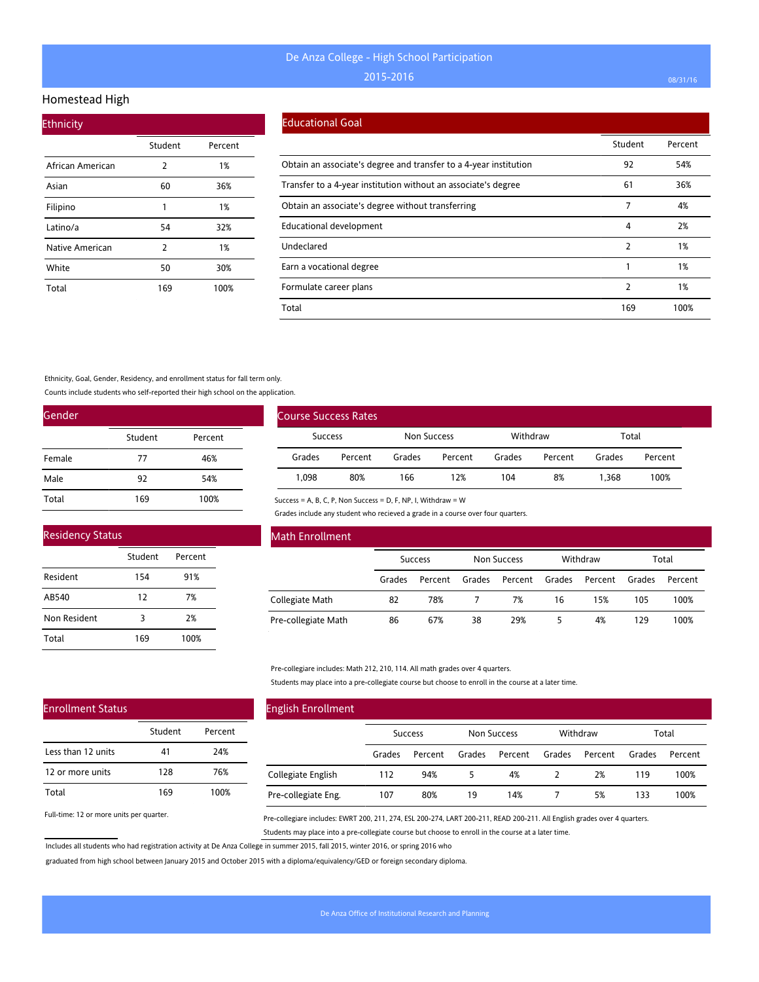### Homestead High

| <b>Ethnicity</b> |         |         |  |  |  |  |  |  |
|------------------|---------|---------|--|--|--|--|--|--|
|                  | Student | Percent |  |  |  |  |  |  |
| African American | 2       | 1%      |  |  |  |  |  |  |
| Asian            | 60      | 36%     |  |  |  |  |  |  |
| Filipino         | 1       | 1%      |  |  |  |  |  |  |
| Latino/a         | 54      | 32%     |  |  |  |  |  |  |
| Native American  | 2       | 1%      |  |  |  |  |  |  |
| White            | 50      | 30%     |  |  |  |  |  |  |
| Total            | 169     | 100%    |  |  |  |  |  |  |

#### Educational Goal

|                                                                   | Student | Percent |
|-------------------------------------------------------------------|---------|---------|
| Obtain an associate's degree and transfer to a 4-year institution | 92      | 54%     |
| Transfer to a 4-year institution without an associate's degree    | 61      | 36%     |
| Obtain an associate's degree without transferring                 | 7       | 4%      |
| Educational development                                           | 4       | 2%      |
| Undeclared                                                        | 2       | 1%      |
| Earn a vocational degree                                          |         | 1%      |
| Formulate career plans                                            | 2       | 1%      |
| Total                                                             | 169     | 100%    |

#### Ethnicity, Goal, Gender, Residency, and enrollment status for fall term only.

Counts include students who self-reported their high school on the application.

| Gender |         |         |
|--------|---------|---------|
|        | Student | Percent |
| Female | 77      | 46%     |
| Male   | 92      | 54%     |
| Total  | 169     | 100%    |

| <b>Residency Status</b> |         |         |  |  |  |  |
|-------------------------|---------|---------|--|--|--|--|
|                         | Student | Percent |  |  |  |  |
| Resident                | 154     | 91%     |  |  |  |  |
| AB540                   | 12      | 7%      |  |  |  |  |
| Non Resident            | 3       | 2%      |  |  |  |  |
| Total                   | 169     | 100%    |  |  |  |  |

| Course Success Rates |                               |        |         |          |         |        |         |  |
|----------------------|-------------------------------|--------|---------|----------|---------|--------|---------|--|
|                      | Non Success<br><b>Success</b> |        |         | Withdraw |         | Total  |         |  |
| Grades               | Percent                       | Grades | Percent | Grades   | Percent | Grades | Percent |  |
| 1.098                | 80%                           | 166    | 12%     | 104      | 8%      | 1.368  | 100%    |  |

Success = A, B, C, P, Non Success = D, F, NP, I, Withdraw = W

Grades include any student who recieved a grade in a course over four quarters.

| Math Enrollment     |                |         |        |                    |        |                   |        |         |
|---------------------|----------------|---------|--------|--------------------|--------|-------------------|--------|---------|
|                     | <b>Success</b> |         |        | <b>Non Success</b> |        | Withdraw<br>Total |        |         |
|                     | Grades         | Percent | Grades | Percent            | Grades | Percent           | Grades | Percent |
| Collegiate Math     | 82             | 78%     |        | 7%                 | 16     | 15%               | 105    | 100%    |
| Pre-collegiate Math | 86             | 67%     | 38     | 29%                |        | 4%                | 129    | 100%    |

Pre-collegiare includes: Math 212, 210, 114. All math grades over 4 quarters.

Students may place into a pre-collegiate course but choose to enroll in the course at a later time.

# Enrollment Status

|                    | Student | Percent |
|--------------------|---------|---------|
| Less than 12 units | 41      | 24%     |
| 12 or more units   | 128     | 76%     |
| Total              | 169     | 100%    |

Full-time: 12 or more units per quarter.

## English Enrollment

|                     | <b>Success</b> |         | Non Success |         |        | Withdraw |        | Total   |  |
|---------------------|----------------|---------|-------------|---------|--------|----------|--------|---------|--|
|                     | Grades         | Percent | Grades      | Percent | Grades | Percent  | Grades | Percent |  |
| Collegiate English  | 112            | 94%     |             | 4%      |        | 2%       | 119    | 100%    |  |
| Pre-collegiate Eng. | 107            | 80%     | 19          | 14%     |        | 5%       | 133    | 100%    |  |

Pre-collegiare includes: EWRT 200, 211, 274, ESL 200-274, LART 200-211, READ 200-211. All English grades over 4 quarters. Students may place into a pre-collegiate course but choose to enroll in the course at a later time.

Includes all students who had registration activity at De Anza College in summer 2015, fall 2015, winter 2016, or spring 2016 who

graduated from high school between January 2015 and October 2015 with a diploma/equivalency/GED or foreign secondary diploma.

 $\overline{a}$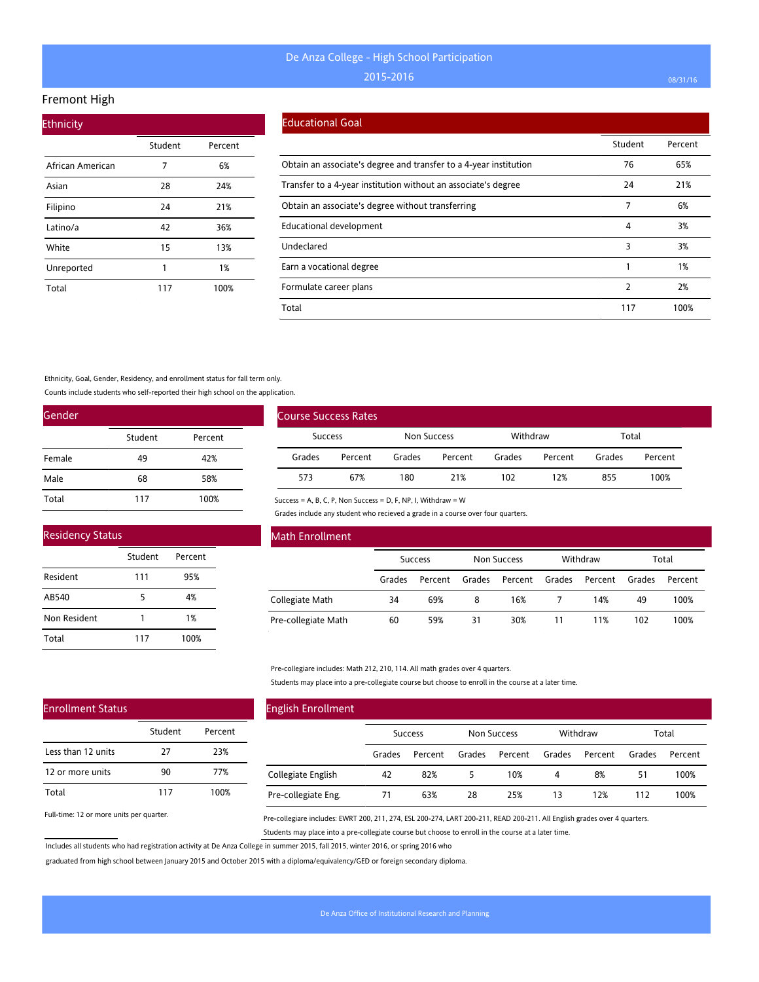### Fremont High

| <b>Ethnicity</b> |         |         |  |  |  |  |  |
|------------------|---------|---------|--|--|--|--|--|
|                  | Student | Percent |  |  |  |  |  |
| African American | 7       | 6%      |  |  |  |  |  |
| Asian            | 28      | 24%     |  |  |  |  |  |
| Filipino         | 24      | 21%     |  |  |  |  |  |
| Latino/a         | 42      | 36%     |  |  |  |  |  |
| White            | 15      | 13%     |  |  |  |  |  |
| Unreported       | 1       | 1%      |  |  |  |  |  |
| Total            | 117     | 100%    |  |  |  |  |  |

#### Educational Goal

|                                                                   | Student | Percent |
|-------------------------------------------------------------------|---------|---------|
| Obtain an associate's degree and transfer to a 4-year institution | 76      | 65%     |
| Transfer to a 4-year institution without an associate's degree    | 24      | 21%     |
| Obtain an associate's degree without transferring                 | 7       | 6%      |
| Educational development                                           | 4       | 3%      |
| Undeclared                                                        | 3       | 3%      |
| Earn a vocational degree                                          |         | 1%      |
| Formulate career plans                                            | 2       | 2%      |
| Total                                                             | 117     | 100%    |

#### Ethnicity, Goal, Gender, Residency, and enrollment status for fall term only.

Counts include students who self-reported their high school on the application.

| Gender |         |         |
|--------|---------|---------|
|        | Student | Percent |
| Female | 49      | 42%     |
| Male   | 68      | 58%     |
| Total  | 117     | 100%    |

| <b>Residency Status</b> |         |         |  |  |  |
|-------------------------|---------|---------|--|--|--|
|                         | Student | Percent |  |  |  |
| Resident                | 111     | 95%     |  |  |  |
| AB540                   | 5       | 4%      |  |  |  |
| Non Resident            |         | 1%      |  |  |  |
| Total                   | 117     | 100%    |  |  |  |

| Course Success Rates |         |        |             |        |          |        |         |
|----------------------|---------|--------|-------------|--------|----------|--------|---------|
| <b>Success</b>       |         |        | Non Success |        | Withdraw |        | Total   |
| Grades               | Percent | Grades | Percent     | Grades | Percent  | Grades | Percent |
| 573                  | 67%     | 180    | 21%         | 102    | 12%      | 855    | 100%    |

Success = A, B, C, P, Non Success = D, F, NP, I, Withdraw = W

Grades include any student who recieved a grade in a course over four quarters.

| Math Enrollment     |                |         |                    |         |          |         |        |         |
|---------------------|----------------|---------|--------------------|---------|----------|---------|--------|---------|
|                     | <b>Success</b> |         | <b>Non Success</b> |         | Withdraw |         | Total  |         |
|                     | Grades         | Percent | Grades             | Percent | Grades   | Percent | Grades | Percent |
| Collegiate Math     | 34             | 69%     | 8                  | 16%     |          | 14%     | 49     | 100%    |
| Pre-collegiate Math | 60             | 59%     | 31                 | 30%     | 11       | 1%      | 102    | 100%    |

Pre-collegiare includes: Math 212, 210, 114. All math grades over 4 quarters.

Students may place into a pre-collegiate course but choose to enroll in the course at a later time.

## Enrollment Status

|                    | Student | Percent |
|--------------------|---------|---------|
| Less than 12 units | 27      | 23%     |
| 12 or more units   | 90      | 77%     |
| Total              | 117     | 100%    |

Full-time: 12 or more units per quarter.

## English Enrollment

|                     | <b>Success</b> |         | <b>Non Success</b> |         | Withdraw |                | Total  |         |
|---------------------|----------------|---------|--------------------|---------|----------|----------------|--------|---------|
|                     | Grades         | Percent | Grades             | Percent |          | Grades Percent | Grades | Percent |
| Collegiate English  | 42             | 82%     |                    | 10%     | 4        | 8%             | 51     | 100%    |
| Pre-collegiate Eng. |                | 63%     | 28                 | 25%     | 13       | 12%            | 112    | 100%    |

Pre-collegiare includes: EWRT 200, 211, 274, ESL 200-274, LART 200-211, READ 200-211. All English grades over 4 quarters. Students may place into a pre-collegiate course but choose to enroll in the course at a later time.

Includes all students who had registration activity at De Anza College in summer 2015, fall 2015, winter 2016, or spring 2016 who

graduated from high school between January 2015 and October 2015 with a diploma/equivalency/GED or foreign secondary diploma.

 $\overline{a}$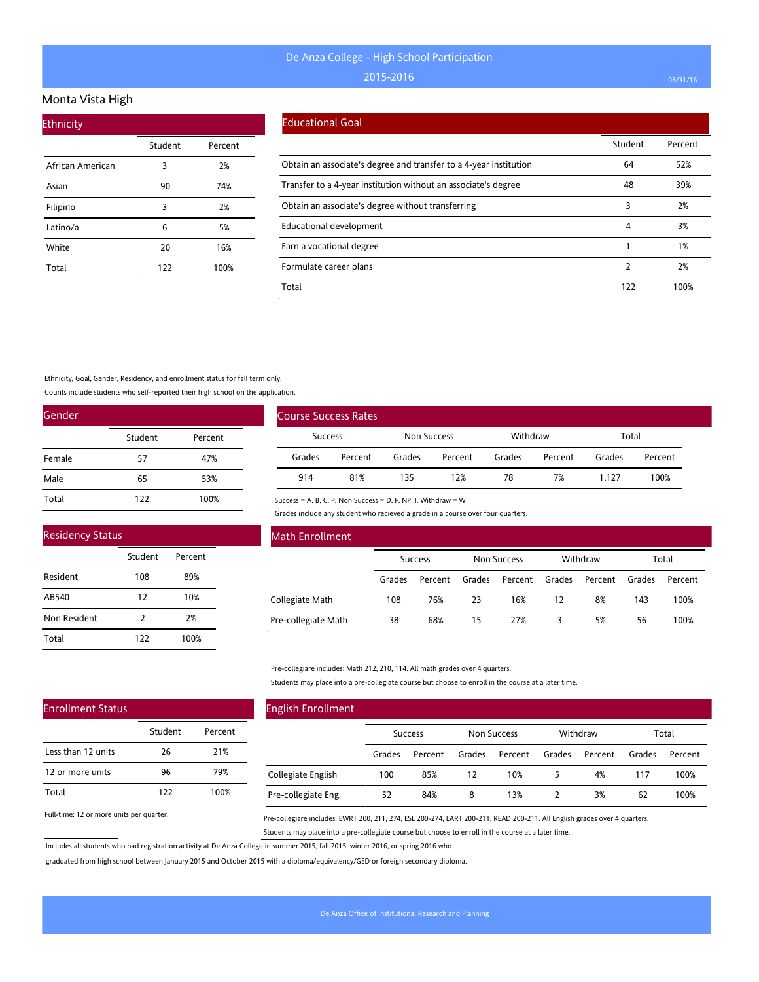#### Monta Vista High

| <b>Ethnicity</b> |         |         |
|------------------|---------|---------|
|                  | Student | Percent |
| African American | 3       | 2%      |
| Asian            | 90      | 74%     |
| Filipino         | 3       | 2%      |
| Latino/a         | 6       | 5%      |
| White            | 20      | 16%     |
| Total            | 122     | 100%    |

#### Educational Goal

|                                                                   | Student | Percent |
|-------------------------------------------------------------------|---------|---------|
| Obtain an associate's degree and transfer to a 4-year institution | 64      | 52%     |
| Transfer to a 4-year institution without an associate's degree    | 48      | 39%     |
| Obtain an associate's degree without transferring                 | 3       | 2%      |
| <b>Educational development</b>                                    | 4       | 3%      |
| Earn a vocational degree                                          |         | 1%      |
| Formulate career plans                                            | 2       | 2%      |
| Total                                                             | 122     | 100%    |

Ethnicity, Goal, Gender, Residency, and enrollment status for fall term only.

Counts include students who self-reported their high school on the application.

| Gender |         |         |
|--------|---------|---------|
|        | Student | Percent |
| Female | 57      | 47%     |
| Male   | 65      | 53%     |
| Total  | 122     | 100%    |

| <b>Residency Status</b> |         |         |  |  |  |  |  |
|-------------------------|---------|---------|--|--|--|--|--|
|                         | Student | Percent |  |  |  |  |  |
| Resident                | 108     | 89%     |  |  |  |  |  |
| AB540                   | 12      | 10%     |  |  |  |  |  |
| Non Resident            | 2       | 2%      |  |  |  |  |  |
| Total                   | 122     | 100%    |  |  |  |  |  |

| <b>Course Success Rates</b> |         |             |         |          |         |        |         |
|-----------------------------|---------|-------------|---------|----------|---------|--------|---------|
| Success                     |         | Non Success |         | Withdraw |         | Total  |         |
| Grades                      | Percent | Grades      | Percent | Grades   | Percent | Grades | Percent |
| 914                         | 81%     | 135         | 12%     | 78       | 7%      | 1.127  | 100%    |

Success = A, B, C, P, Non Success = D, F, NP, I, Withdraw = W

Grades include any student who recieved a grade in a course over four quarters.

| Math Enrollment     |                |         |                    |         |          |         |        |         |
|---------------------|----------------|---------|--------------------|---------|----------|---------|--------|---------|
|                     | <b>Success</b> |         | <b>Non Success</b> |         | Withdraw |         | Total  |         |
|                     | Grades         | Percent | Grades             | Percent | Grades   | Percent | Grades | Percent |
| Collegiate Math     | 108            | 76%     | 23                 | 16%     | 12       | 8%      | 143    | 100%    |
| Pre-collegiate Math | 38             | 68%     | 15                 | 27%     |          | 5%      | 56     | 100%    |

Pre-collegiare includes: Math 212, 210, 114. All math grades over 4 quarters.

Students may place into a pre-collegiate course but choose to enroll in the course at a later time.

## Enrollment Status

|                    | Student | Percent |
|--------------------|---------|---------|
| Less than 12 units | 26      | 21%     |
| 12 or more units   | 96      | 79%     |
| Total              | 177     | 100%    |

Full-time: 12 or more units per quarter.

## English Enrollment Success Non Success Withdraw Total Grades Percent Grades Percent Grades Percent Grades Percent Collegiate English Pre-collegiate Eng. 100 85% 12 10% 5 4% 117 100% 52 84% 8 13% 2 3% 62 100%

Pre-collegiare includes: EWRT 200, 211, 274, ESL 200-274, LART 200-211, READ 200-211. All English grades over 4 quarters. Students may place into a pre-collegiate course but choose to enroll in the course at a later time.

Includes all students who had registration activity at De Anza College in summer 2015, fall 2015, winter 2016, or spring 2016 who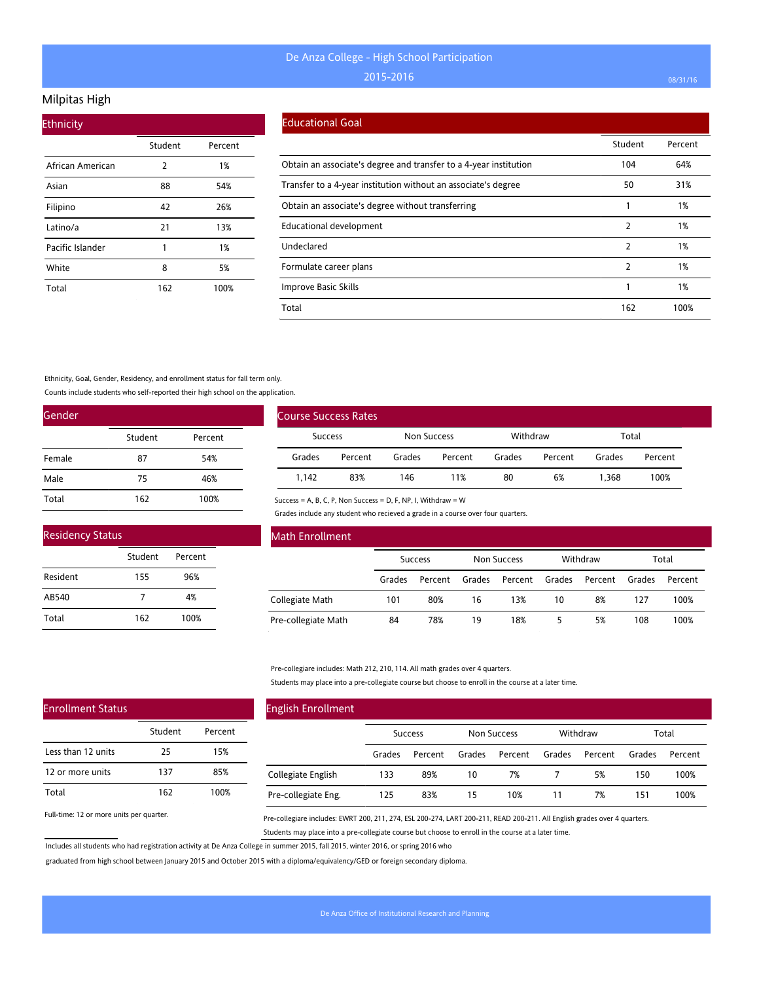## Milpitas High

| <b>Ethnicity</b> |         |         |
|------------------|---------|---------|
|                  | Student | Percent |
| African American | 2       | 1%      |
| Asian            | 88      | 54%     |
| Filipino         | 42      | 26%     |
| Latino/a         | 21      | 13%     |
| Pacific Islander | 1       | 1%      |
| White            | 8       | 5%      |
| Total            | 162     | 100%    |

#### Educational Goal

|                                                                   | Student | Percent |
|-------------------------------------------------------------------|---------|---------|
| Obtain an associate's degree and transfer to a 4-year institution | 104     | 64%     |
| Transfer to a 4-year institution without an associate's degree    | 50      | 31%     |
| Obtain an associate's degree without transferring                 |         | 1%      |
| Educational development                                           | 2       | 1%      |
| Undeclared                                                        | 2       | 1%      |
| Formulate career plans                                            | 2       | 1%      |
| Improve Basic Skills                                              |         | 1%      |
| Total                                                             | 162     | 100%    |

#### Ethnicity, Goal, Gender, Residency, and enrollment status for fall term only.

Counts include students who self-reported their high school on the application.

| Gender |         |         |
|--------|---------|---------|
|        | Student | Percent |
| Female | 87      | 54%     |
| Male   | 75      | 46%     |
| Total  | 162     | 100%    |

| <b>Residency Status</b> |         |         |  |
|-------------------------|---------|---------|--|
|                         | Student | Percent |  |
| Resident                | 155     | 96%     |  |
| AB540                   | 7       | 4%      |  |
| Total                   | 162     | 100%    |  |

| <b>Course Success Rates</b> |         |             |         |          |         |        |         |
|-----------------------------|---------|-------------|---------|----------|---------|--------|---------|
| <b>Success</b>              |         | Non Success |         | Withdraw |         | Total  |         |
| Grades                      | Percent | Grades      | Percent | Grades   | Percent | Grades | Percent |
| 1.142                       | 83%     | 146         | 11%     | 80       | 6%      | 1.368  | 100%    |

Success = A, B, C, P, Non Success = D, F, NP, I, Withdraw = W

Grades include any student who recieved a grade in a course over four quarters.

| Math Enrollment     |        |                |        |                    |        |          |        |         |
|---------------------|--------|----------------|--------|--------------------|--------|----------|--------|---------|
|                     |        | <b>Success</b> |        | <b>Non Success</b> |        | Withdraw |        | Total   |
|                     | Grades | Percent        | Grades | Percent            | Grades | Percent  | Grades | Percent |
| Collegiate Math     | 101    | 80%            | 16     | 13%                | 10     | 8%       | 127    | 100%    |
| Pre-collegiate Math | 84     | 78%            | 19     | 18%                |        | 5%       | 108    | 100%    |

#### Pre-collegiare includes: Math 212, 210, 114. All math grades over 4 quarters.

Students may place into a pre-collegiate course but choose to enroll in the course at a later time.

| <b>English Enrollment</b> |        |                |        |                    |        |          |        |         |
|---------------------------|--------|----------------|--------|--------------------|--------|----------|--------|---------|
|                           |        | <b>Success</b> |        | <b>Non Success</b> |        | Withdraw |        | Total   |
|                           | Grades | Percent        | Grades | Percent            | Grades | Percent  | Grades | Percent |
| Collegiate English        | 133    | 89%            | 10     | 7%                 |        | 5%       | 150    | 100%    |
| Pre-collegiate Eng.       | 125    | 83%            | 15     | 10%                |        | 7%       | 151    | 100%    |

Full-time: 12 or more units per quarter.

Enrollment Status

Less than 12 units 12 or more units

Total

Pre-collegiare includes: EWRT 200, 211, 274, ESL 200-274, LART 200-211, READ 200-211. All English grades over 4 quarters. Students may place into a pre-collegiate course but choose to enroll in the course at a later time.

Includes all students who had registration activity at De Anza College in summer 2015, fall 2015, winter 2016, or spring 2016 who

Student Percent

25 15% 137 85% 162 100%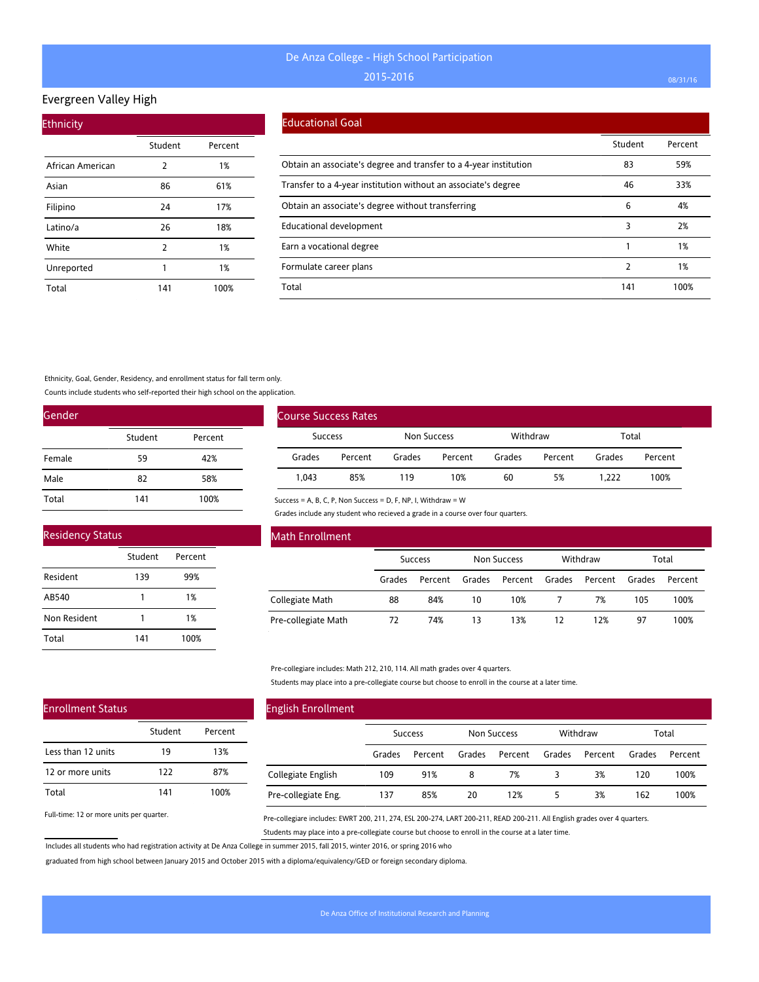## Evergreen Valley High

| <b>Ethnicity</b> |                |         |
|------------------|----------------|---------|
|                  | Student        | Percent |
| African American | 2              | 1%      |
| Asian            | 86             | 61%     |
| Filipino         | 24             | 17%     |
| Latino/a         | 26             | 18%     |
| White            | $\overline{2}$ | 1%      |
| Unreported       | 1              | 1%      |
| Total            | 141            | 100%    |

#### Educational Goal

|                                                                   | Student | Percent |
|-------------------------------------------------------------------|---------|---------|
| Obtain an associate's degree and transfer to a 4-year institution | 83      | 59%     |
| Transfer to a 4-year institution without an associate's degree    | 46      | 33%     |
| Obtain an associate's degree without transferring                 | 6       | 4%      |
| Educational development                                           | 3       | 2%      |
| Earn a vocational degree                                          |         | 1%      |
| Formulate career plans                                            | 2       | 1%      |
| Total                                                             | 141     | 100%    |

Ethnicity, Goal, Gender, Residency, and enrollment status for fall term only.

Counts include students who self-reported their high school on the application.

| Gender |         |         |
|--------|---------|---------|
|        | Student | Percent |
| Female | 59      | 42%     |
| Male   | 82      | 58%     |
| Total  | 141     | 100%    |

| <b>Residency Status</b> |         |         |  |
|-------------------------|---------|---------|--|
|                         | Student | Percent |  |
| Resident                | 139     | 99%     |  |
| AB540                   |         | 1%      |  |
| Non Resident            |         | 1%      |  |
| Total                   | 141     | 100%    |  |

| <b>Course Success Rates</b> |         |             |         |          |         |        |         |
|-----------------------------|---------|-------------|---------|----------|---------|--------|---------|
| Success                     |         | Non Success |         | Withdraw |         | Total  |         |
| Grades                      | Percent | Grades      | Percent | Grades   | Percent | Grades | Percent |
| 1.043                       | 85%     | 119         | 10%     | 60       | 5%      | 1.222  | 100%    |

Success = A, B, C, P, Non Success = D, F, NP, I, Withdraw = W

Grades include any student who recieved a grade in a course over four quarters.

| Math Enrollment     |                |         |                    |         |          |         |        |         |
|---------------------|----------------|---------|--------------------|---------|----------|---------|--------|---------|
|                     | <b>Success</b> |         | <b>Non Success</b> |         | Withdraw |         | Total  |         |
|                     | Grades         | Percent | Grades             | Percent | Grades   | Percent | Grades | Percent |
| Collegiate Math     | 88             | 84%     | 10                 | 10%     |          | 7%      | 105    | 100%    |
| Pre-collegiate Math | 72             | 74%     | 13                 | 13%     | 12       | 12%     | 97     | 100%    |

Pre-collegiare includes: Math 212, 210, 114. All math grades over 4 quarters.

Students may place into a pre-collegiate course but choose to enroll in the course at a later time.

# Enrollment Status

|                    | Student | Percent |
|--------------------|---------|---------|
| Less than 12 units | 19      | 13%     |
| 12 or more units   | 122     | 87%     |
| Total              | 141     | 100%    |

Full-time: 12 or more units per quarter.

## English Enrollment

|                     | <b>Success</b> |         | <b>Non Success</b> |         | Withdraw |         | Total  |         |
|---------------------|----------------|---------|--------------------|---------|----------|---------|--------|---------|
|                     | Grades         | Percent | Grades             | Percent | Grades   | Percent | Grades | Percent |
| Collegiate English  | 109            | 91%     | 8                  | 7%      |          | 3%      | 120    | 100%    |
| Pre-collegiate Eng. | 137            | 85%     | 20                 | 12%     |          | 3%      | 162    | 100%    |

Pre-collegiare includes: EWRT 200, 211, 274, ESL 200-274, LART 200-211, READ 200-211. All English grades over 4 quarters. Students may place into a pre-collegiate course but choose to enroll in the course at a later time.

Includes all students who had registration activity at De Anza College in summer 2015, fall 2015, winter 2016, or spring 2016 who

graduated from high school between January 2015 and October 2015 with a diploma/equivalency/GED or foreign secondary diploma.

 $\overline{a}$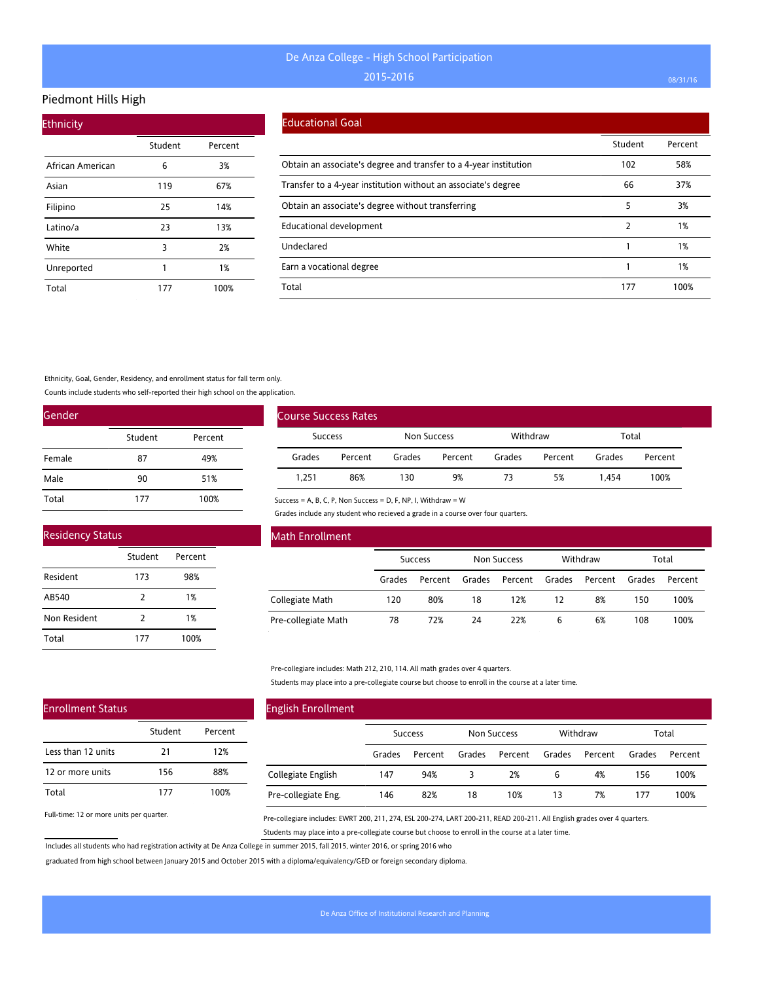#### Piedmont Hills High

| <b>Ethnicity</b> |         |         |  |  |  |  |  |
|------------------|---------|---------|--|--|--|--|--|
|                  | Student | Percent |  |  |  |  |  |
| African American | 6       | 3%      |  |  |  |  |  |
| Asian            | 119     | 67%     |  |  |  |  |  |
| Filipino         | 25      | 14%     |  |  |  |  |  |
| Latino/a         | 23      | 13%     |  |  |  |  |  |
| White            | 3       | 2%      |  |  |  |  |  |
| Unreported       | 1       | 1%      |  |  |  |  |  |
| Total            | 177     | 100%    |  |  |  |  |  |

### Educational Goal

|                                                                   | Student | Percent |
|-------------------------------------------------------------------|---------|---------|
| Obtain an associate's degree and transfer to a 4-year institution | 102     | 58%     |
| Transfer to a 4-year institution without an associate's degree    | 66      | 37%     |
| Obtain an associate's degree without transferring                 | 5       | 3%      |
| Educational development                                           | 2       | 1%      |
| Undeclared                                                        |         | 1%      |
| Earn a vocational degree                                          |         | 1%      |
| Total                                                             | 177     | 100%    |

Ethnicity, Goal, Gender, Residency, and enrollment status for fall term only.

Counts include students who self-reported their high school on the application.

| Gender |         |         |
|--------|---------|---------|
|        | Student | Percent |
| Female | 87      | 49%     |
| Male   | 90      | 51%     |
| Total  | 177     | 100%    |

| <b>Residency Status</b> |               |         |  |  |  |
|-------------------------|---------------|---------|--|--|--|
|                         | Student       | Percent |  |  |  |
| Resident                | 173           | 98%     |  |  |  |
| AB540                   | $\mathcal{P}$ | 1%      |  |  |  |
| Non Resident            | 2             | 1%      |  |  |  |
| Total                   | 177           | 100%    |  |  |  |

| <b>Course Success Rates</b> |         |             |         |          |         |        |         |
|-----------------------------|---------|-------------|---------|----------|---------|--------|---------|
| <b>Success</b>              |         | Non Success |         | Withdraw |         | Total  |         |
| Grades                      | Percent | Grades      | Percent | Grades   | Percent | Grades | Percent |
| 1.251                       | 86%     | 130         | 9%      | 73       | 5%      | 1.454  | 100%    |

Success = A, B, C, P, Non Success = D, F, NP, I, Withdraw = W

Grades include any student who recieved a grade in a course over four quarters.

| Math Enrollment     |                |         |                    |         |          |         |        |         |
|---------------------|----------------|---------|--------------------|---------|----------|---------|--------|---------|
|                     | <b>Success</b> |         | <b>Non Success</b> |         | Withdraw |         | Total  |         |
|                     | Grades         | Percent | Grades             | Percent | Grades   | Percent | Grades | Percent |
| Collegiate Math     | 120            | 80%     | 18                 | 12%     | 12       | 8%      | 150    | 100%    |
| Pre-collegiate Math | 78             | 72%     | 24                 | 22%     | 6        | 6%      | 108    | 100%    |

Pre-collegiare includes: Math 212, 210, 114. All math grades over 4 quarters.

Students may place into a pre-collegiate course but choose to enroll in the course at a later time.

#### English Enrollment Success Non Success Withdraw Total Grades Percent Grades Percent Grades Percent Grades Percent Collegiate English Pre-collegiate Eng. 147 94% 3 2% 6 4% 156 100% 146 82% 18 10% 13 7% 177 100% Student Percent 21 12% 156 88% 177 100%

Full-time: 12 or more units per quarter.

Enrollment Status

Less than 12 units 12 or more units

Total

Pre-collegiare includes: EWRT 200, 211, 274, ESL 200-274, LART 200-211, READ 200-211. All English grades over 4 quarters. Students may place into a pre-collegiate course but choose to enroll in the course at a later time.

Includes all students who had registration activity at De Anza College in summer 2015, fall 2015, winter 2016, or spring 2016 who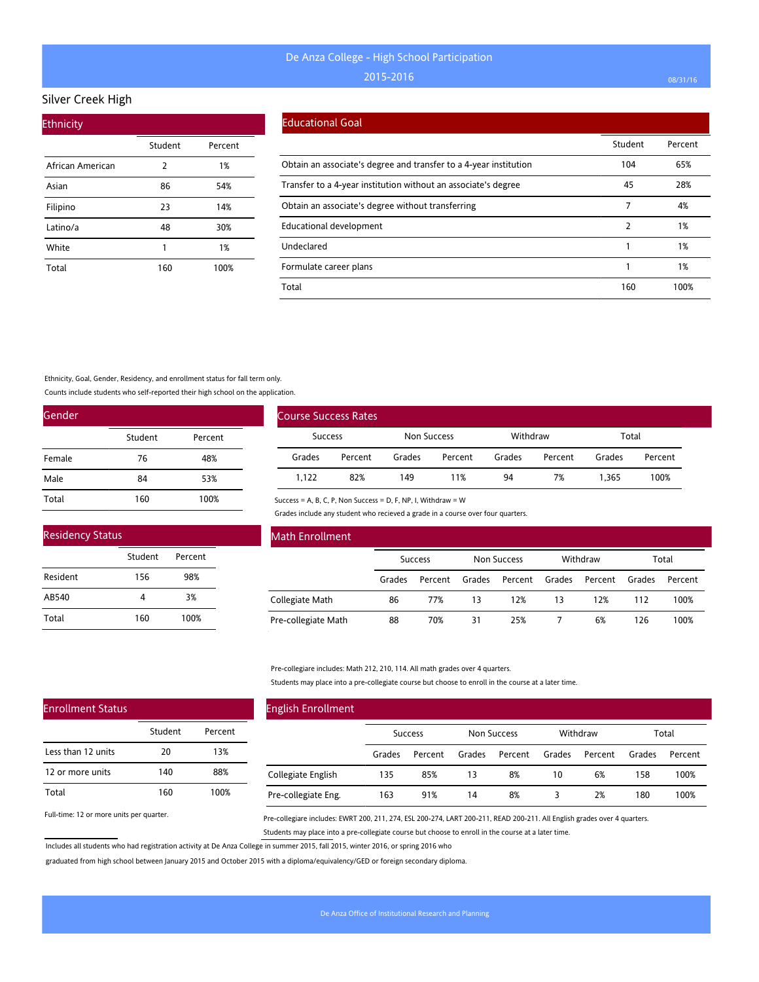#### Silver Creek High

| <b>Ethnicity</b> |         |         |  |  |  |  |  |
|------------------|---------|---------|--|--|--|--|--|
|                  | Student | Percent |  |  |  |  |  |
| African American | 2       | 1%      |  |  |  |  |  |
| Asian            | 86      | 54%     |  |  |  |  |  |
| Filipino         | 23      | 14%     |  |  |  |  |  |
| Latino/a         | 48      | 30%     |  |  |  |  |  |
| White            | 1       | 1%      |  |  |  |  |  |
| Total            | 160     | 100%    |  |  |  |  |  |

#### Educational Goal

|                                                                   | Student | Percent |
|-------------------------------------------------------------------|---------|---------|
| Obtain an associate's degree and transfer to a 4-year institution | 104     | 65%     |
| Transfer to a 4-year institution without an associate's degree    | 45      | 28%     |
| Obtain an associate's degree without transferring                 |         | 4%      |
| Educational development                                           |         | 1%      |
| Undeclared                                                        |         | 1%      |
| Formulate career plans                                            |         | 1%      |
| Total                                                             | 160     | 100%    |

Ethnicity, Goal, Gender, Residency, and enrollment status for fall term only.

Counts include students who self-reported their high school on the application.

| Gender |         |         |
|--------|---------|---------|
|        | Student | Percent |
| Female | 76      | 48%     |
| Male   | 84      | 53%     |
| Total  | 160     | 100%    |

| <b>Residency Status</b> |         |         |  |  |  |  |  |  |  |
|-------------------------|---------|---------|--|--|--|--|--|--|--|
|                         | Student | Percent |  |  |  |  |  |  |  |
| Resident                | 156     | 98%     |  |  |  |  |  |  |  |
| AB540                   |         | 3%      |  |  |  |  |  |  |  |
| Total                   | 160     | 100%    |  |  |  |  |  |  |  |

| <b>Course Success Rates</b> |         |             |         |          |         |        |         |  |
|-----------------------------|---------|-------------|---------|----------|---------|--------|---------|--|
| <b>Success</b>              |         | Non Success |         | Withdraw |         | Total  |         |  |
| Grades                      | Percent | Grades      | Percent | Grades   | Percent | Grades | Percent |  |
| 1.122                       | 82%     | 149         | 11%     | 94       | 7%      | 1.365  | 100%    |  |

Success = A, B, C, P, Non Success = D, F, NP, I, Withdraw = W

Grades include any student who recieved a grade in a course over four quarters.

| Math Enrollment     |                |         |                    |         |          |         |        |         |
|---------------------|----------------|---------|--------------------|---------|----------|---------|--------|---------|
|                     | <b>Success</b> |         | <b>Non Success</b> |         | Withdraw |         | Total  |         |
|                     | Grades         | Percent | Grades             | Percent | Grades   | Percent | Grades | Percent |
| Collegiate Math     | 86             | 77%     | 13                 | 12%     | 13       | 12%     | 112    | 100%    |
| Pre-collegiate Math | 88             | 70%     | 31                 | 25%     |          | 6%      | 126    | 100%    |

Pre-collegiare includes: Math 212, 210, 114. All math grades over 4 quarters.

Students may place into a pre-collegiate course but choose to enroll in the course at a later time.

| <b>English Enrollment</b> |                |         |             |         |          |         |        |         |
|---------------------------|----------------|---------|-------------|---------|----------|---------|--------|---------|
|                           | <b>Success</b> |         | Non Success |         | Withdraw |         | Total  |         |
|                           | Grades         | Percent | Grades      | Percent | Grades   | Percent | Grades | Percent |
| Collegiate English        | 135            | 85%     | 13          | 8%      | 10       | 6%      | 158    | 100%    |
| Pre-collegiate Eng.       | 163            | 91%     | 14          | 8%      | 3        | 2%      | 180    | 100%    |

Full-time: 12 or more units per quarter.

Enrollment Status

Less than 12 units 12 or more units

Total

Pre-collegiare includes: EWRT 200, 211, 274, ESL 200-274, LART 200-211, READ 200-211. All English grades over 4 quarters. Students may place into a pre-collegiate course but choose to enroll in the course at a later time.

Includes all students who had registration activity at De Anza College in summer 2015, fall 2015, winter 2016, or spring 2016 who

Student Percent

20 13% 140 88% 160 100%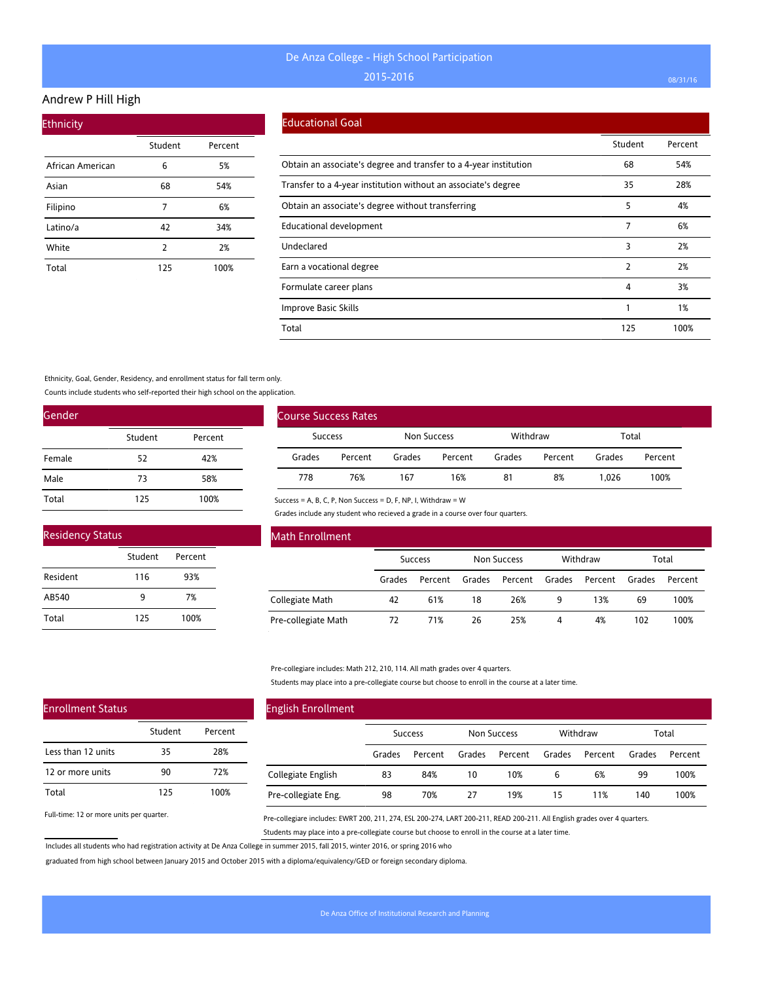#### Andrew P Hill High

| <b>Ethnicity</b> |         |         |
|------------------|---------|---------|
|                  | Student | Percent |
| African American | 6       | 5%      |
| Asian            | 68      | 54%     |
| Filipino         | 7       | 6%      |
| Latino/a         | 42      | 34%     |
| White            | 2       | 2%      |
| Total            | 125     | 100%    |

#### Educational Goal

|                                                                   | Student | Percent |
|-------------------------------------------------------------------|---------|---------|
| Obtain an associate's degree and transfer to a 4-year institution | 68      | 54%     |
| Transfer to a 4-year institution without an associate's degree    | 35      | 28%     |
| Obtain an associate's degree without transferring                 | 5       | 4%      |
| Educational development                                           | 7       | 6%      |
| Undeclared                                                        | 3       | 2%      |
| Earn a vocational degree                                          | 2       | 2%      |
| Formulate career plans                                            | 4       | 3%      |
| Improve Basic Skills                                              |         | 1%      |
| Total                                                             | 125     | 100%    |

Ethnicity, Goal, Gender, Residency, and enrollment status for fall term only.

Counts include students who self-reported their high school on the application.

| Gender |         |         |
|--------|---------|---------|
|        | Student | Percent |
| Female | 52      | 42%     |
| Male   | 73      | 58%     |
| Total  | 125     | 100%    |

| <b>Residency Status</b> |         |         |  |  |  |  |  |  |  |
|-------------------------|---------|---------|--|--|--|--|--|--|--|
|                         | Student | Percent |  |  |  |  |  |  |  |
| Resident                | 116     | 93%     |  |  |  |  |  |  |  |
| AB540                   | ۹       | 7%      |  |  |  |  |  |  |  |
| Total                   | 125     | 100%    |  |  |  |  |  |  |  |

| Course Success Rates |         |             |         |          |         |        |         |
|----------------------|---------|-------------|---------|----------|---------|--------|---------|
| <b>Success</b>       |         | Non Success |         | Withdraw |         | Total  |         |
| Grades               | Percent | Grades      | Percent | Grades   | Percent | Grades | Percent |
| 778                  | 76%     | 167         | 16%     | 81       | 8%      | 1.026  | 100%    |

Success = A, B, C, P, Non Success = D, F, NP, I, Withdraw = W

Grades include any student who recieved a grade in a course over four quarters.

| Math Enrollment     |                |         |                    |         |          |         |        |         |
|---------------------|----------------|---------|--------------------|---------|----------|---------|--------|---------|
|                     | <b>Success</b> |         | <b>Non Success</b> |         | Withdraw |         | Total  |         |
|                     | Grades         | Percent | Grades             | Percent | Grades   | Percent | Grades | Percent |
| Collegiate Math     | 42             | 61%     | 18                 | 26%     | 9        | 13%     | 69     | 100%    |
| Pre-collegiate Math | 72             | 71%     | 26                 | 25%     | 4        | 4%      | 102    | 100%    |

Pre-collegiare includes: Math 212, 210, 114. All math grades over 4 quarters.

Students may place into a pre-collegiate course but choose to enroll in the course at a later time.

| <b>English Enrollment</b> |                |         |             |         |          |         |        |         |
|---------------------------|----------------|---------|-------------|---------|----------|---------|--------|---------|
|                           | <b>Success</b> |         | Non Success |         | Withdraw |         | Total  |         |
|                           | Grades         | Percent | Grades      | Percent | Grades   | Percent | Grades | Percent |
| Collegiate English        | 83             | 84%     | 10          | 10%     | 6        | 6%      | 99     | 100%    |
| Pre-collegiate Eng.       | 98             | 70%     | 27          | 19%     | 15       | 11%     | 140    | 100%    |

Full-time: 12 or more units per quarter.

Enrollment Status

Less than 12 units 12 or more units

Total

Pre-collegiare includes: EWRT 200, 211, 274, ESL 200-274, LART 200-211, READ 200-211. All English grades over 4 quarters. Students may place into a pre-collegiate course but choose to enroll in the course at a later time.

Includes all students who had registration activity at De Anza College in summer 2015, fall 2015, winter 2016, or spring 2016 who

Student Percent

35 28% 90 72% 125 100%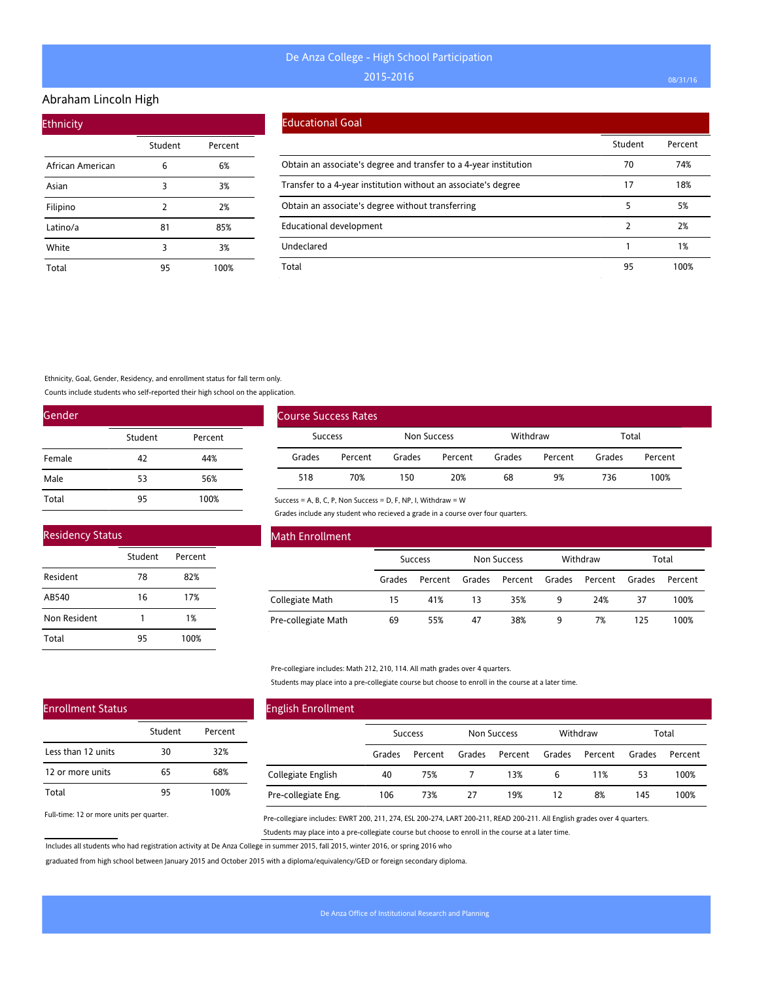#### Abraham Lincoln High

| <b>Ethnicity</b> |         |         |
|------------------|---------|---------|
|                  | Student | Percent |
| African American | 6       | 6%      |
| Asian            | 3       | 3%      |
| Filipino         | 2       | 2%      |
| Latino/a         | 81      | 85%     |
| White            | 3       | 3%      |
| Total            | 95      | 100%    |

#### Educational Goal

|                                                                   | Student | Percent |
|-------------------------------------------------------------------|---------|---------|
| Obtain an associate's degree and transfer to a 4-year institution | 70      | 74%     |
| Transfer to a 4-year institution without an associate's degree    | 17      | 18%     |
| Obtain an associate's degree without transferring                 | 5       | 5%      |
| Educational development                                           | 2       | 2%      |
| Undeclared                                                        |         | 1%      |
| Total                                                             | 95      | 100%    |

Ethnicity, Goal, Gender, Residency, and enrollment status for fall term only.

Counts include students who self-reported their high school on the application.

| Gender |         |         |
|--------|---------|---------|
|        | Student | Percent |
| Female | 42      | 44%     |
| Male   | 53      | 56%     |
| Total  | 95      | 100%    |

| <b>Residency Status</b> |         |         |
|-------------------------|---------|---------|
|                         | Student | Percent |
| Resident                | 78      | 82%     |
| AB540                   | 16      | 17%     |
| Non Resident            |         | 1%      |

95 100%

| <b>Course Success Rates</b> |         |             |         |          |         |        |         |
|-----------------------------|---------|-------------|---------|----------|---------|--------|---------|
| Success                     |         | Non Success |         | Withdraw |         | Total  |         |
| Grades                      | Percent | Grades      | Percent | Grades   | Percent | Grades | Percent |
| 518                         | 70%     | 150         | 20%     | 68       | 9%      | 736    | 100%    |

Success = A, B, C, P, Non Success = D, F, NP, I, Withdraw = W

Grades include any student who recieved a grade in a course over four quarters.

| Math Enrollment     |        |                |        |                    |        |          |        |         |
|---------------------|--------|----------------|--------|--------------------|--------|----------|--------|---------|
|                     |        | <b>Success</b> |        | <b>Non Success</b> |        | Withdraw |        | Total   |
|                     | Grades | Percent        | Grades | Percent            | Grades | Percent  | Grades | Percent |
| Collegiate Math     | 15     | 41%            | 13     | 35%                | 9      | 24%      | 37     | 100%    |
| Pre-collegiate Math | 69     | 55%            | 47     | 38%                | 9      | 7%       | 125    | 100%    |

Pre-collegiare includes: Math 212, 210, 114. All math grades over 4 quarters.

Students may place into a pre-collegiate course but choose to enroll in the course at a later time.

## Enrollment Status

Total

|                    | Student | Percent |
|--------------------|---------|---------|
| Less than 12 units | 30      | 32%     |
| 12 or more units   | 65      | 68%     |
| Total              | 95      | 100%    |

Full-time: 12 or more units per quarter.

# English Enrollment

|                     | <b>Success</b> |         | Non Success |         | Withdraw |                | Total  |         |
|---------------------|----------------|---------|-------------|---------|----------|----------------|--------|---------|
|                     | Grades         | Percent | Grades      | Percent |          | Grades Percent | Grades | Percent |
| Collegiate English  | 40             | 75%     |             | 13%     | 6        | 11%            | 53     | 100%    |
| Pre-collegiate Eng. | 106            | 73%     | 27          | 19%     |          | 8%             | 145    | 100%    |

Pre-collegiare includes: EWRT 200, 211, 274, ESL 200-274, LART 200-211, READ 200-211. All English grades over 4 quarters. Students may place into a pre-collegiate course but choose to enroll in the course at a later time.

Includes all students who had registration activity at De Anza College in summer 2015, fall 2015, winter 2016, or spring 2016 who

graduated from high school between January 2015 and October 2015 with a diploma/equivalency/GED or foreign secondary diploma.

 $\overline{a}$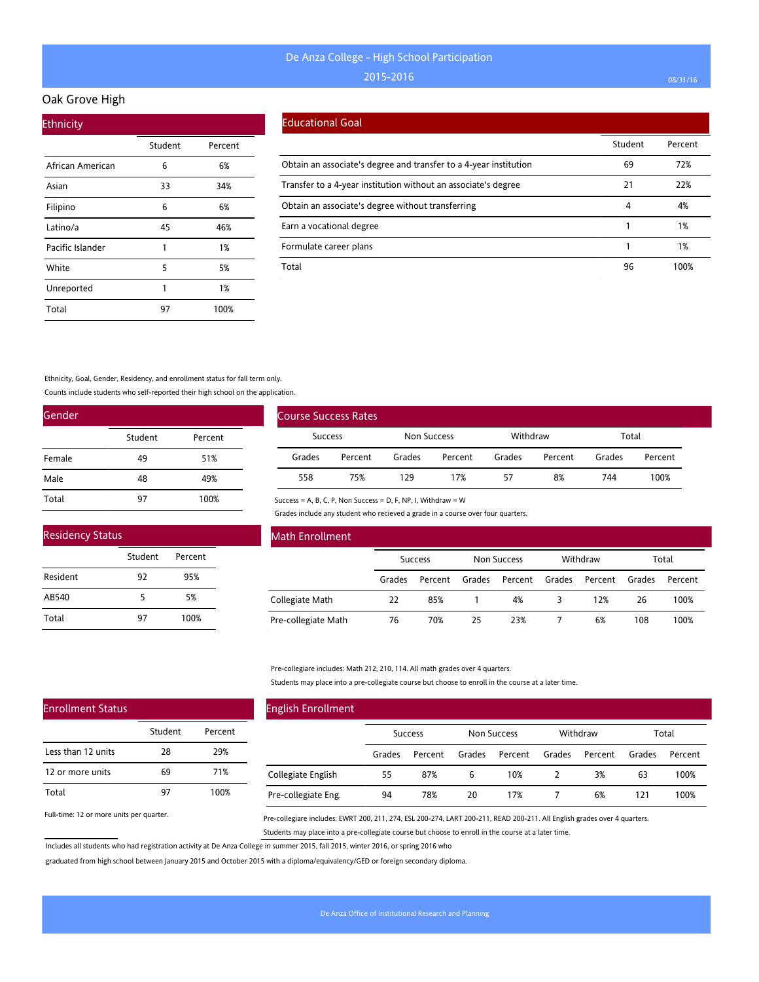#### Oak Grove High

| <b>Ethnicity</b> |         |         |
|------------------|---------|---------|
|                  | Student | Percent |
| African American | 6       | 6%      |
| Asian            | 33      | 34%     |
| Filipino         | 6       | 6%      |
| Latino/a         | 45      | 46%     |
| Pacific Islander | 1       | 1%      |
| White            | 5       | 5%      |
| Unreported       | 1       | 1%      |
| Total            | 97      | 100%    |

### Educational Goal

|                                                                   | Student | Percent |
|-------------------------------------------------------------------|---------|---------|
| Obtain an associate's degree and transfer to a 4-year institution | 69      | 72%     |
| Transfer to a 4-year institution without an associate's degree    | 21      | 22%     |
| Obtain an associate's degree without transferring                 | 4       | 4%      |
| Earn a vocational degree                                          |         | 1%      |
| Formulate career plans                                            |         | 1%      |
| Total                                                             | 96      | 100%    |

Ethnicity, Goal, Gender, Residency, and enrollment status for fall term only.

Counts include students who self-reported their high school on the application.

| Gender |         |         |
|--------|---------|---------|
|        | Student | Percent |
| Female | 49      | 51%     |
| Male   | 48      | 49%     |
| Total  | 97      | 100%    |

| <b>Residency Status</b> |         |         |  |  |
|-------------------------|---------|---------|--|--|
|                         | Student | Percent |  |  |
| Resident                | 97      | 95%     |  |  |
| AB540                   | 5       | 5%      |  |  |
| Total                   | 97      | 100%    |  |  |

| <b>Course Success Rates</b> |         |        |                         |        |         |        |         |
|-----------------------------|---------|--------|-------------------------|--------|---------|--------|---------|
| Success                     |         |        | Withdraw<br>Non Success |        | Total   |        |         |
| Grades                      | Percent | Grades | Percent                 | Grades | Percent | Grades | Percent |
| 558                         | 75%     | 129    | 17%                     | 57     | 8%      | 744    | 100%    |

Success = A, B, C, P, Non Success = D, F, NP, I, Withdraw = W

Grades include any student who recieved a grade in a course over four quarters.

| Math Enrollment     |                |         |                                |         |        |         |        |         |
|---------------------|----------------|---------|--------------------------------|---------|--------|---------|--------|---------|
|                     | <b>Success</b> |         | Withdraw<br><b>Non Success</b> |         |        | Total   |        |         |
|                     | Grades         | Percent | Grades                         | Percent | Grades | Percent | Grades | Percent |
| Collegiate Math     | 22             | 85%     |                                | 4%      | 3      | 12%     | 26     | 100%    |
| Pre-collegiate Math | 76             | 70%     | 25                             | 23%     |        | 6%      | 108    | 100%    |

Pre-collegiare includes: Math 212, 210, 114. All math grades over 4 quarters.

Students may place into a pre-collegiate course but choose to enroll in the course at a later time.

| <b>English Enrollment</b> |        |                |        |             |        |          |        |         |
|---------------------------|--------|----------------|--------|-------------|--------|----------|--------|---------|
|                           |        | <b>Success</b> |        | Non Success |        | Withdraw |        | Total   |
|                           | Grades | Percent        | Grades | Percent     | Grades | Percent  | Grades | Percent |
| Collegiate English        | 55     | 87%            | 6      | 10%         |        | 3%       | 63     | 100%    |
| Pre-collegiate Eng.       | 94     | 78%            | 20     | 17%         |        | 6%       | 121    | 100%    |

Full-time: 12 or more units per quarter.

Enrollment Status

Less than 12 units 12 or more units

Total

Pre-collegiare includes: EWRT 200, 211, 274, ESL 200-274, LART 200-211, READ 200-211. All English grades over 4 quarters. Students may place into a pre-collegiate course but choose to enroll in the course at a later time.

Includes all students who had registration activity at De Anza College in summer 2015, fall 2015, winter 2016, or spring 2016 who

Student Percent

28 29% 69 71% 97 100%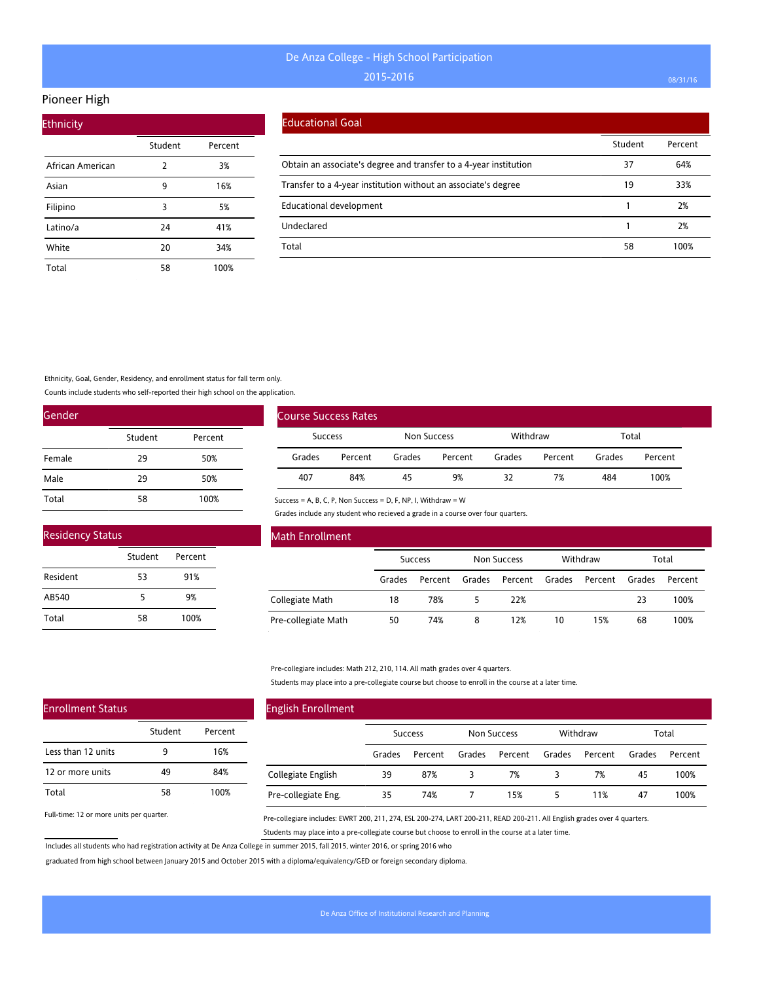## Pioneer High

| <b>Ethnicity</b> |         |         |
|------------------|---------|---------|
|                  | Student | Percent |
| African American | 2       | 3%      |
| Asian            | 9       | 16%     |
| Filipino         | 3       | 5%      |
| Latino/a         | 24      | 41%     |
| White            | 20      | 34%     |
| Total            | 58      | 100%    |

### Educational Goal

|                                                                   | Student | Percent |
|-------------------------------------------------------------------|---------|---------|
| Obtain an associate's degree and transfer to a 4-year institution | 37      | 64%     |
| Transfer to a 4-year institution without an associate's degree    | 19      | 33%     |
| Educational development                                           |         | 2%      |
| Undeclared                                                        |         | 2%      |
| Total                                                             | 58      | 100%    |

Ethnicity, Goal, Gender, Residency, and enrollment status for fall term only.

Counts include students who self-reported their high school on the application.

| Gender |         |         |  |  |  |  |  |
|--------|---------|---------|--|--|--|--|--|
|        | Student | Percent |  |  |  |  |  |
| Female | 29      | 50%     |  |  |  |  |  |
| Male   | 29      | 50%     |  |  |  |  |  |
| Total  | 58      | 100%    |  |  |  |  |  |

| <b>Residency Status</b> |         |         |  |  |  |  |  |
|-------------------------|---------|---------|--|--|--|--|--|
|                         | Student | Percent |  |  |  |  |  |
| Resident                | 53      | 91%     |  |  |  |  |  |
| AB540                   | 5       | 9%      |  |  |  |  |  |
| Total                   | 58      | 100%    |  |  |  |  |  |

| <b>Course Success Rates</b> |         |             |         |          |         |        |         |
|-----------------------------|---------|-------------|---------|----------|---------|--------|---------|
| <b>Success</b>              |         | Non Success |         | Withdraw |         | Total  |         |
| Grades                      | Percent | Grades      | Percent | Grades   | Percent | Grades | Percent |
| 407                         | 84%     | 45          | 9%      | 32       | 7%      | 484    | 100%    |

Success = A, B, C, P, Non Success = D, F, NP, I, Withdraw = W

Grades include any student who recieved a grade in a course over four quarters.

| Math Enrollment     |                |         |                    |         |          |         |        |         |
|---------------------|----------------|---------|--------------------|---------|----------|---------|--------|---------|
|                     | <b>Success</b> |         | <b>Non Success</b> |         | Withdraw |         | Total  |         |
|                     | Grades         | Percent | Grades             | Percent | Grades   | Percent | Grades | Percent |
| Collegiate Math     | 18             | 78%     |                    | 22%     |          |         | 23     | 100%    |
| Pre-collegiate Math | 50             | 74%     | 8                  | 12%     | 10       | 15%     | 68     | 100%    |

Pre-collegiare includes: Math 212, 210, 114. All math grades over 4 quarters.

Students may place into a pre-collegiate course but choose to enroll in the course at a later time.

| <b>English Enrollment</b> |        |                |        |                    |        |          |        |         |
|---------------------------|--------|----------------|--------|--------------------|--------|----------|--------|---------|
|                           |        | <b>Success</b> |        | <b>Non Success</b> |        | Withdraw |        | Total   |
|                           | Grades | Percent        | Grades | Percent            | Grades | Percent  | Grades | Percent |
| Collegiate English        | 39     | 87%            | 3      | 7%                 | 3      | 7%       | 45     | 100%    |
| Pre-collegiate Eng.       | 35     | 74%            |        | 15%                |        | 11%      | 47     | 100%    |

Full-time: 12 or more units per quarter.

Pre-collegiare includes: EWRT 200, 211, 274, ESL 200-274, LART 200-211, READ 200-211. All English grades over 4 quarters. Students may place into a pre-collegiate course but choose to enroll in the course at a later time.

Includes all students who had registration activity at De Anza College in summer 2015, fall 2015, winter 2016, or spring 2016 who

graduated from high school between January 2015 and October 2015 with a diploma/equivalency/GED or foreign secondary diploma.

# Enrollment Status

|                    | Student | Percent |
|--------------------|---------|---------|
| Less than 12 units | 9       | 16%     |
| 12 or more units   | 49      | 84%     |
| Total              | 58      | 100%    |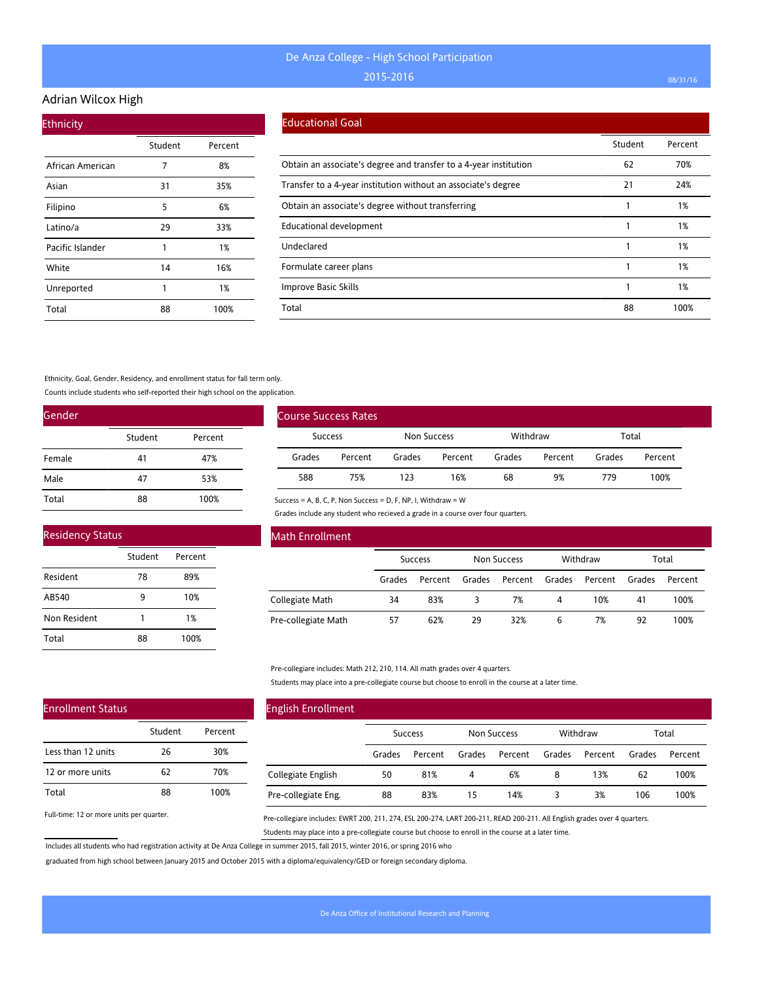## Adrian Wilcox High

| <b>Ethnicity</b> |         |         |
|------------------|---------|---------|
|                  | Student | Percent |
| African American | 7       | 8%      |
| Asian            | 31      | 35%     |
| Filipino         | 5       | 6%      |
| Latino/a         | 29      | 33%     |
| Pacific Islander | 1       | 1%      |
| White            | 14      | 16%     |
| Unreported       | 1       | 1%      |
| Total            | 88      | 100%    |

#### Educational Goal

|                                                                   | Student | Percent |
|-------------------------------------------------------------------|---------|---------|
| Obtain an associate's degree and transfer to a 4-year institution | 62      | 70%     |
| Transfer to a 4-year institution without an associate's degree    | 21      | 24%     |
| Obtain an associate's degree without transferring                 |         | 1%      |
| <b>Educational development</b>                                    |         | 1%      |
| Undeclared                                                        |         | 1%      |
| Formulate career plans                                            |         | 1%      |
| Improve Basic Skills                                              |         | 1%      |
| Total                                                             | 88      | 100%    |

#### Ethnicity, Goal, Gender, Residency, and enrollment status for fall term only.

Counts include students who self-reported their high school on the application.

| Gender |         |         |
|--------|---------|---------|
|        | Student | Percent |
| Female | 41      | 47%     |
| Male   | 47      | 53%     |
| Total  | 88      | 100%    |

| <b>Residency Status</b> |         |         |  |  |  |
|-------------------------|---------|---------|--|--|--|
|                         | Student | Percent |  |  |  |
| Resident                | 78      | 89%     |  |  |  |
| AB540                   | ٩       | 10%     |  |  |  |
| Non Resident            |         | 1%      |  |  |  |
| Total                   | 88      | 100%    |  |  |  |

| <b>Course Success Rates</b> |         |             |         |          |         |        |         |
|-----------------------------|---------|-------------|---------|----------|---------|--------|---------|
| Success                     |         | Non Success |         | Withdraw |         | Total  |         |
| Grades                      | Percent | Grades      | Percent | Grades   | Percent | Grades | Percent |
| 588                         | 75%     | 123         | 16%     | 68       | 9%      | 779    | 100%    |

Success = A, B, C, P, Non Success = D, F, NP, I, Withdraw = W

Grades include any student who recieved a grade in a course over four quarters.

| Math Enrollment     |        |                |        |                    |        |          |        |         |
|---------------------|--------|----------------|--------|--------------------|--------|----------|--------|---------|
|                     |        | <b>Success</b> |        | <b>Non Success</b> |        | Withdraw |        | Total   |
|                     | Grades | Percent        | Grades | Percent            | Grades | Percent  | Grades | Percent |
| Collegiate Math     | 34     | 83%            | 3      | 7%                 | 4      | 10%      | 41     | 100%    |
| Pre-collegiate Math | 57     | 62%            | 29     | 32%                | 6      | 7%       | 92     | 100%    |

Pre-collegiare includes: Math 212, 210, 114. All math grades over 4 quarters.

Students may place into a pre-collegiate course but choose to enroll in the course at a later time.

## Enrollment Status

|                    | Student | Percent |
|--------------------|---------|---------|
| Less than 12 units | 26      | 30%     |
| 12 or more units   | 62      | 70%     |
| Total              | 88      | 100%    |

Full-time: 12 or more units per quarter.

# English Enrollment

|                     |        | <b>Success</b> |        | Non Success |        | Withdraw |        | Total   |
|---------------------|--------|----------------|--------|-------------|--------|----------|--------|---------|
|                     | Grades | Percent        | Grades | Percent     | Grades | Percent  | Grades | Percent |
| Collegiate English  | 50     | 81%            | 4      | 6%          | 8      | 13%      | 62     | 100%    |
| Pre-collegiate Eng. | 88     | 83%            | 15     | 14%         |        | 3%       | 106    | 100%    |

Pre-collegiare includes: EWRT 200, 211, 274, ESL 200-274, LART 200-211, READ 200-211. All English grades over 4 quarters. Students may place into a pre-collegiate course but choose to enroll in the course at a later time.

Includes all students who had registration activity at De Anza College in summer 2015, fall 2015, winter 2016, or spring 2016 who

graduated from high school between January 2015 and October 2015 with a diploma/equivalency/GED or foreign secondary diploma.

 $\overline{a}$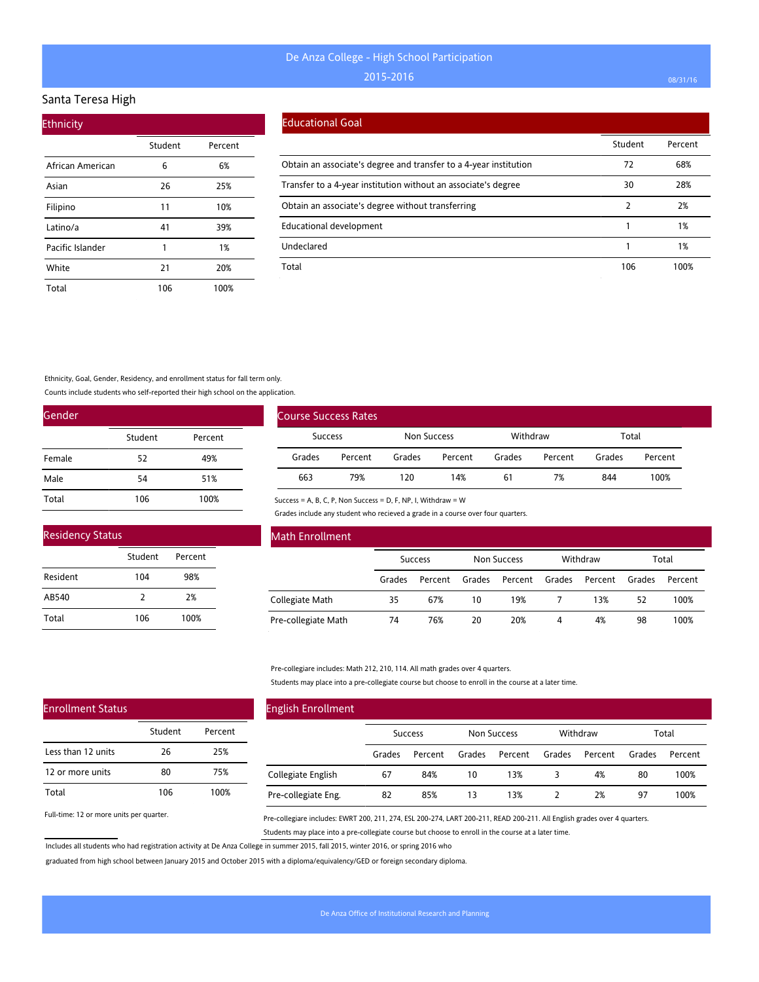#### Santa Teresa High

| <b>Ethnicity</b> |         |         |
|------------------|---------|---------|
|                  | Student | Percent |
| African American | 6       | 6%      |
| Asian            | 26      | 25%     |
| Filipino         | 11      | 10%     |
| Latino/a         | 41      | 39%     |
| Pacific Islander | 1       | 1%      |
| White            | 21      | 20%     |
| Total            | 106     | 100%    |

### Educational Goal

|                                                                   | Student | Percent |
|-------------------------------------------------------------------|---------|---------|
| Obtain an associate's degree and transfer to a 4-year institution | 72      | 68%     |
| Transfer to a 4-year institution without an associate's degree    | 30      | 28%     |
| Obtain an associate's degree without transferring                 |         | 2%      |
| Educational development                                           |         | 1%      |
| Undeclared                                                        |         | 1%      |
| Total                                                             | 106     | 100%    |

Ethnicity, Goal, Gender, Residency, and enrollment status for fall term only.

Counts include students who self-reported their high school on the application.

| Gender |         |         |
|--------|---------|---------|
|        | Student | Percent |
| Female | 52      | 49%     |
| Male   | 54      | 51%     |
| Total  | 106     | 100%    |

| <b>Residency Status</b> |         |         |  |  |  |
|-------------------------|---------|---------|--|--|--|
|                         | Student | Percent |  |  |  |
| Resident                | 104     | 98%     |  |  |  |
| AB540                   | 7       | 2%      |  |  |  |
| Total                   | 106     | 100%    |  |  |  |

| <b>Course Success Rates</b> |         |             |         |          |         |        |         |
|-----------------------------|---------|-------------|---------|----------|---------|--------|---------|
| <b>Success</b>              |         | Non Success |         | Withdraw |         | Total  |         |
| Grades                      | Percent | Grades      | Percent | Grades   | Percent | Grades | Percent |
| 663                         | 79%     | 120         | 14%     | 61       | 7%      | 844    | 100%    |

Success = A, B, C, P, Non Success = D, F, NP, I, Withdraw = W

Grades include any student who recieved a grade in a course over four quarters.

| Math Enrollment     |        |                |        |                    |        |          |        |         |
|---------------------|--------|----------------|--------|--------------------|--------|----------|--------|---------|
|                     |        | <b>Success</b> |        | <b>Non Success</b> |        | Withdraw |        | Total   |
|                     | Grades | Percent        | Grades | Percent            | Grades | Percent  | Grades | Percent |
| Collegiate Math     | 35     | 67%            | 10     | 19%                |        | 13%      | 52     | 100%    |
| Pre-collegiate Math | 74     | 76%            | 20     | 20%                | 4      | 4%       | 98     | 100%    |

Pre-collegiare includes: Math 212, 210, 114. All math grades over 4 quarters.

Students may place into a pre-collegiate course but choose to enroll in the course at a later time.

| <b>English Enrollment</b> |        |                |        |                    |        |          |        |         |
|---------------------------|--------|----------------|--------|--------------------|--------|----------|--------|---------|
|                           |        | <b>Success</b> |        | <b>Non Success</b> |        | Withdraw |        | Total   |
|                           | Grades | Percent        | Grades | Percent            | Grades | Percent  | Grades | Percent |
| Collegiate English        | 67     | 84%            | 10     | 13%                | 3      | 4%       | 80     | 100%    |
| Pre-collegiate Eng.       | 82     | 85%            | 13     | 13%                |        | 2%       | 97     | 100%    |

Full-time: 12 or more units per quarter.

Enrollment Status

Less than 12 units 12 or more units

Total

Pre-collegiare includes: EWRT 200, 211, 274, ESL 200-274, LART 200-211, READ 200-211. All English grades over 4 quarters. Students may place into a pre-collegiate course but choose to enroll in the course at a later time.

Includes all students who had registration activity at De Anza College in summer 2015, fall 2015, winter 2016, or spring 2016 who

Student Percent

26 25% 80 75% 106 100%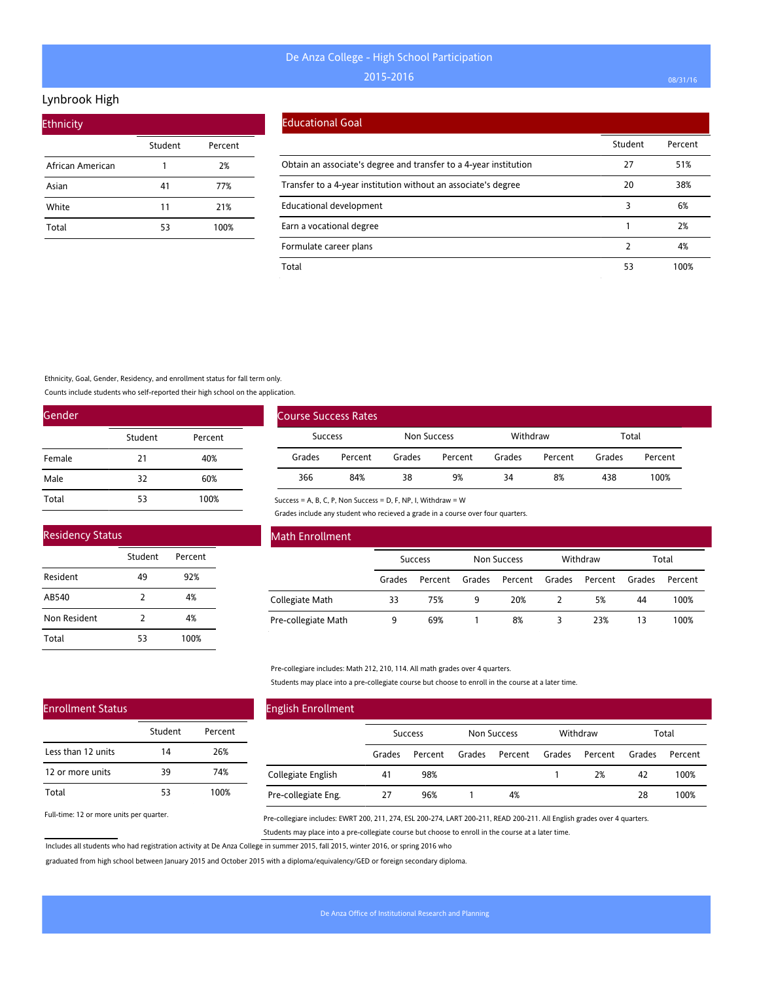#### Lynbrook High

| <b>Ethnicity</b> |         |         |
|------------------|---------|---------|
|                  | Student | Percent |
| African American |         | 2%      |
| Asian            | 41      | 77%     |
| White            | 11      | 21%     |
| Total            | 53      | 100%    |

### Educational Goal

|                                                                   | Student | Percent |
|-------------------------------------------------------------------|---------|---------|
| Obtain an associate's degree and transfer to a 4-year institution | 27      | 51%     |
| Transfer to a 4-year institution without an associate's degree    | 20      | 38%     |
| Educational development                                           | 3       | 6%      |
| Earn a vocational degree                                          |         | 2%      |
| Formulate career plans                                            |         | 4%      |
| Total                                                             | 53      | 100%    |

Ethnicity, Goal, Gender, Residency, and enrollment status for fall term only.

Counts include students who self-reported their high school on the application.

| Gender |         |         |
|--------|---------|---------|
|        | Student | Percent |
| Female | 21      | 40%     |
| Male   | 32      | 60%     |
| Total  | 53      | 100%    |

| Course Success Rates |         |                    |         |          |         |        |         |
|----------------------|---------|--------------------|---------|----------|---------|--------|---------|
| <b>Success</b>       |         | <b>Non Success</b> |         | Withdraw |         | Total  |         |
| Grades               | Percent | Grades             | Percent | Grades   | Percent | Grades | Percent |
| 366                  | 84%     | 38                 | 9%      | 34       | 8%      | 438    | 100%    |

#### Residency Status

Enrollment Status

Less than 12 units 12 or more units

Total

|              | Student       | Percent |  |
|--------------|---------------|---------|--|
| Resident     | 49            | 92%     |  |
| AB540        | $\mathcal{P}$ | 4%      |  |
| Non Resident | 2             | 4%      |  |
| Total        | 53            | 100%    |  |

#### Math Enrollment

|                     |        | Success |        | Non Success |        | Withdraw |        | Total   |
|---------------------|--------|---------|--------|-------------|--------|----------|--------|---------|
|                     | Grades | Percent | Grades | Percent     | Grades | Percent  | Grades | Percent |
| Collegiate Math     | 33     | 75%     | 9      | 20%         |        | 5%       | 44     | 100%    |
| Pre-collegiate Math |        | 69%     |        | 8%          |        | 23%      | 13     | 100%    |

#### Pre-collegiare includes: Math 212, 210, 114. All math grades over 4 quarters.

Success = A, B, C, P, Non Success = D, F, NP, I, Withdraw = W

Grades include any student who recieved a grade in a course over four quarters.

Students may place into a pre-collegiate course but choose to enroll in the course at a later time.

#### English Enrollment Success Non Success Withdraw Total Grades Percent Grades Percent Grades Percent Grades Percent Collegiate English 41 98% 1 2% 42 100% Student Percent 14 26% 39 74% 53 100%

Full-time: 12 or more units per quarter.

Pre-collegiare includes: EWRT 200, 211, 274, ESL 200-274, LART 200-211, READ 200-211. All English grades over 4 quarters. Students may place into a pre-collegiate course but choose to enroll in the course at a later time.

27 96% 1 4% 28 100%

Includes all students who had registration activity at De Anza College in summer 2015, fall 2015, winter 2016, or spring 2016 who

graduated from high school between January 2015 and October 2015 with a diploma/equivalency/GED or foreign secondary diploma.

Pre-collegiate Eng.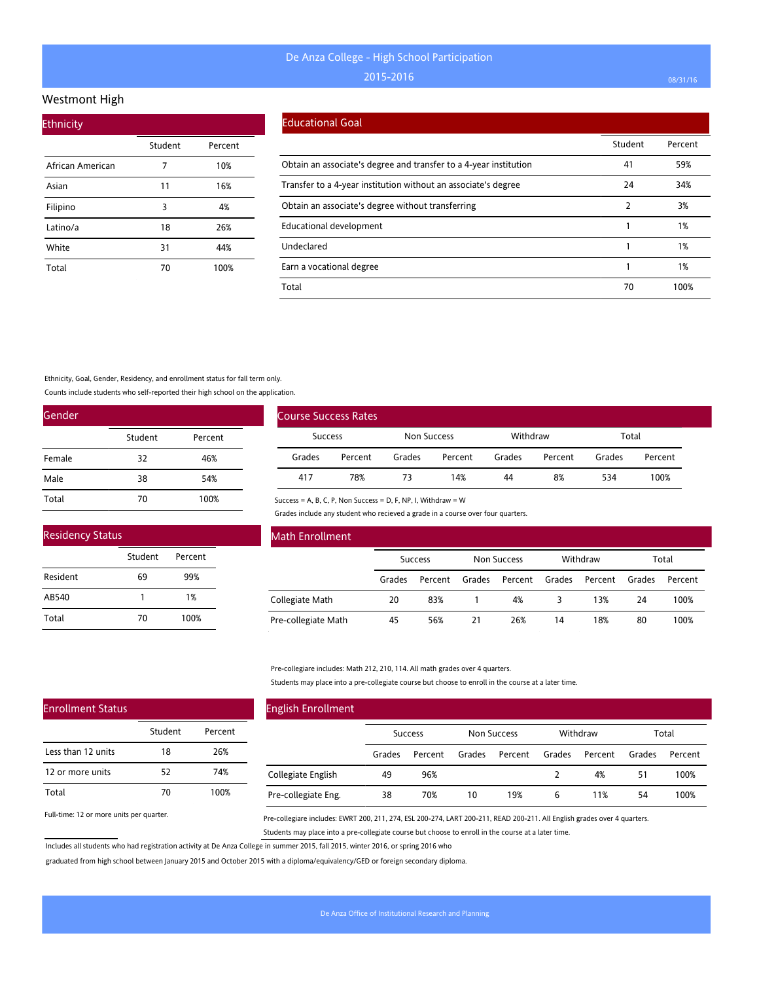#### Westmont High

| <b>Ethnicity</b> |         |         |
|------------------|---------|---------|
|                  | Student | Percent |
| African American | 7       | 10%     |
| Asian            | 11      | 16%     |
| Filipino         | 3       | 4%      |
| Latino/a         | 18      | 26%     |
| White            | 31      | 44%     |
| Total            | 70      | 100%    |

#### Educational Goal

|                                                                   | Student | Percent |
|-------------------------------------------------------------------|---------|---------|
| Obtain an associate's degree and transfer to a 4-year institution | 41      | 59%     |
| Transfer to a 4-year institution without an associate's degree    | 24      | 34%     |
| Obtain an associate's degree without transferring                 | 2       | 3%      |
| <b>Educational development</b>                                    |         | 1%      |
| Undeclared                                                        |         | 1%      |
| Earn a vocational degree                                          |         | 1%      |
| Total                                                             | 70      | 100%    |

Ethnicity, Goal, Gender, Residency, and enrollment status for fall term only.

Counts include students who self-reported their high school on the application.

| Gender |         |         |
|--------|---------|---------|
|        | Student | Percent |
| Female | 32      | 46%     |
| Male   | 38      | 54%     |
| Total  | 70      | 100%    |

| <b>Residency Status</b> |         |         |  |
|-------------------------|---------|---------|--|
|                         | Student | Percent |  |
| Resident                | 69      | 99%     |  |
| AB540                   | 1       | 1%      |  |
| Total                   | 70      | 100%    |  |

| <b>Course Success Rates</b> |         |             |         |        |         |          |         |       |  |
|-----------------------------|---------|-------------|---------|--------|---------|----------|---------|-------|--|
| <b>Success</b>              |         | Non Success |         |        |         | Withdraw |         | Total |  |
| Grades                      | Percent | Grades      | Percent | Grades | Percent | Grades   | Percent |       |  |
| 417                         | 78%     | 73          | 14%     | 44     | 8%      | 534      | 100%    |       |  |

Success = A, B, C, P, Non Success = D, F, NP, I, Withdraw = W

Grades include any student who recieved a grade in a course over four quarters.

| Math Enrollment     |                |         |                    |         |          |         |        |         |
|---------------------|----------------|---------|--------------------|---------|----------|---------|--------|---------|
|                     | <b>Success</b> |         | <b>Non Success</b> |         | Withdraw |         | Total  |         |
|                     | Grades         | Percent | Grades             | Percent | Grades   | Percent | Grades | Percent |
| Collegiate Math     | 20             | 83%     |                    | 4%      |          | 13%     | 24     | 100%    |
| Pre-collegiate Math | 45             | 56%     | 21                 | 26%     | 14       | 18%     | 80     | 100%    |

Pre-collegiare includes: Math 212, 210, 114. All math grades over 4 quarters.

Students may place into a pre-collegiate course but choose to enroll in the course at a later time.

| <b>English Enrollment</b> |                |         |                    |         |          |         |        |         |
|---------------------------|----------------|---------|--------------------|---------|----------|---------|--------|---------|
|                           | <b>Success</b> |         | <b>Non Success</b> |         | Withdraw |         | Total  |         |
|                           | Grades         | Percent | Grades             | Percent | Grades   | Percent | Grades | Percent |
| Collegiate English        | 49             | 96%     |                    |         |          | 4%      | 51     | 100%    |
| Pre-collegiate Eng.       | 38             | 70%     | 10                 | 19%     | 6        | 11%     | 54     | 100%    |

Full-time: 12 or more units per quarter.

Enrollment Status

Less than 12 units 12 or more units

Total

Pre-collegiare includes: EWRT 200, 211, 274, ESL 200-274, LART 200-211, READ 200-211. All English grades over 4 quarters. Students may place into a pre-collegiate course but choose to enroll in the course at a later time.

Includes all students who had registration activity at De Anza College in summer 2015, fall 2015, winter 2016, or spring 2016 who

Student Percent

18 26% 52 74% 70 100%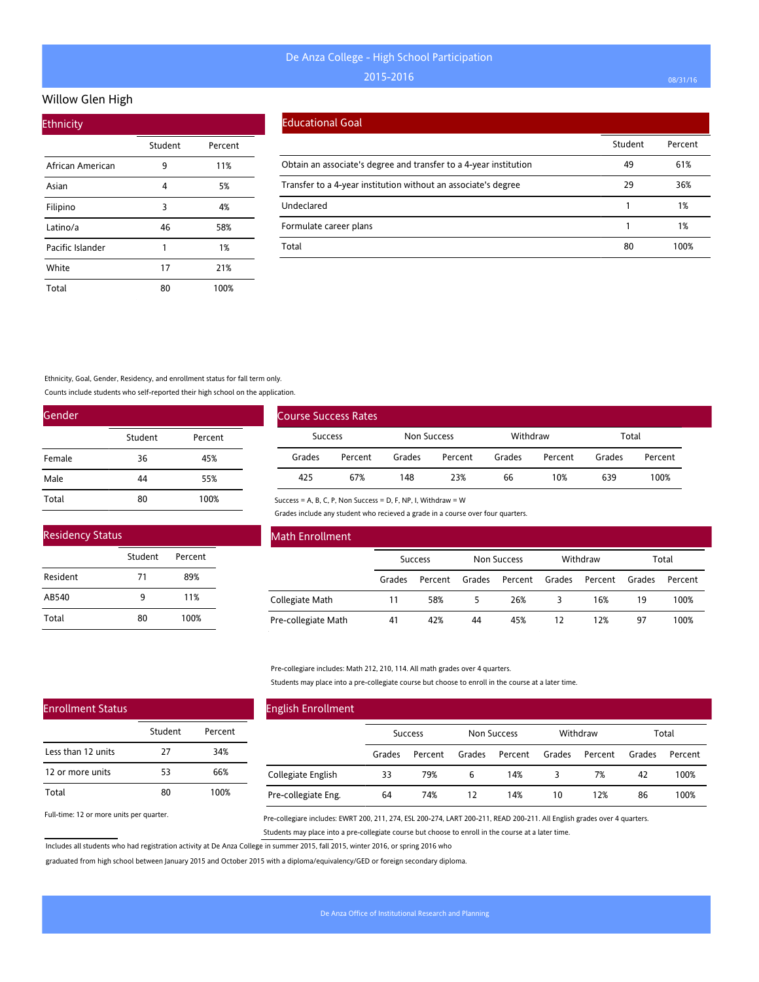## Willow Glen High

| <b>Ethnicity</b> |         |         |
|------------------|---------|---------|
|                  | Student | Percent |
| African American | 9       | 11%     |
| Asian            | 4       | 5%      |
| Filipino         | 3       | 4%      |
| Latino/a         | 46      | 58%     |
| Pacific Islander | 1       | 1%      |
| White            | 17      | 21%     |
| Total            | 80      | 100%    |

#### Educational Goal

|                                                                   | Student | Percent |
|-------------------------------------------------------------------|---------|---------|
| Obtain an associate's degree and transfer to a 4-year institution | 49      | 61%     |
| Transfer to a 4-year institution without an associate's degree    | 29      | 36%     |
| Undeclared                                                        |         | 1%      |
| Formulate career plans                                            |         | 1%      |
| Total                                                             | 80      | 100%    |

Ethnicity, Goal, Gender, Residency, and enrollment status for fall term only.

Counts include students who self-reported their high school on the application.

| Gender |         |         |
|--------|---------|---------|
|        | Student | Percent |
| Female | 36      | 45%     |
| Male   | 44      | 55%     |
| Total  | 80      | 100%    |

| <b>Residency Status</b> |         |         |  |  |  |  |  |
|-------------------------|---------|---------|--|--|--|--|--|
|                         | Student | Percent |  |  |  |  |  |
| Resident                | 71      | 89%     |  |  |  |  |  |
| AB540                   | ۹       | 11%     |  |  |  |  |  |
| Total                   | 80      | 100%    |  |  |  |  |  |

| <b>Course Success Rates</b> |         |             |         |          |         |        |         |  |
|-----------------------------|---------|-------------|---------|----------|---------|--------|---------|--|
| <b>Success</b>              |         | Non Success |         | Withdraw |         | Total  |         |  |
| Grades                      | Percent | Grades      | Percent | Grades   | Percent | Grades | Percent |  |
| 425                         | 67%     | 148         | 23%     | 66       | 10%     | 639    | 100%    |  |

Success = A, B, C, P, Non Success = D, F, NP, I, Withdraw = W

Grades include any student who recieved a grade in a course over four quarters.

| Math Enrollment     |                |         |                    |         |          |         |        |         |
|---------------------|----------------|---------|--------------------|---------|----------|---------|--------|---------|
|                     | <b>Success</b> |         | <b>Non Success</b> |         | Withdraw |         | Total  |         |
|                     | Grades         | Percent | Grades             | Percent | Grades   | Percent | Grades | Percent |
| Collegiate Math     | 11             | 58%     | 5                  | 26%     |          | 16%     | 19     | 100%    |
| Pre-collegiate Math | 41             | 42%     | 44                 | 45%     | 12       | 12%     | 97     | 100%    |

Pre-collegiare includes: Math 212, 210, 114. All math grades over 4 quarters.

Students may place into a pre-collegiate course but choose to enroll in the course at a later time.

| <b>English Enrollment</b> |                |         |             |         |          |         |        |         |
|---------------------------|----------------|---------|-------------|---------|----------|---------|--------|---------|
|                           | <b>Success</b> |         | Non Success |         | Withdraw |         | Total  |         |
|                           | Grades         | Percent | Grades      | Percent | Grades   | Percent | Grades | Percent |
| Collegiate English        | 33             | 79%     | 6           | 14%     | 3        | 7%      | 42     | 100%    |
| Pre-collegiate Eng.       | 64             | 74%     | 12          | 14%     | 10       | 12%     | 86     | 100%    |

Full-time: 12 or more units per quarter.

Enrollment Status

Less than 12 units 12 or more units

Total

Pre-collegiare includes: EWRT 200, 211, 274, ESL 200-274, LART 200-211, READ 200-211. All English grades over 4 quarters. Students may place into a pre-collegiate course but choose to enroll in the course at a later time.

Includes all students who had registration activity at De Anza College in summer 2015, fall 2015, winter 2016, or spring 2016 who

Student Percent

27 34% 53 66% 80 100%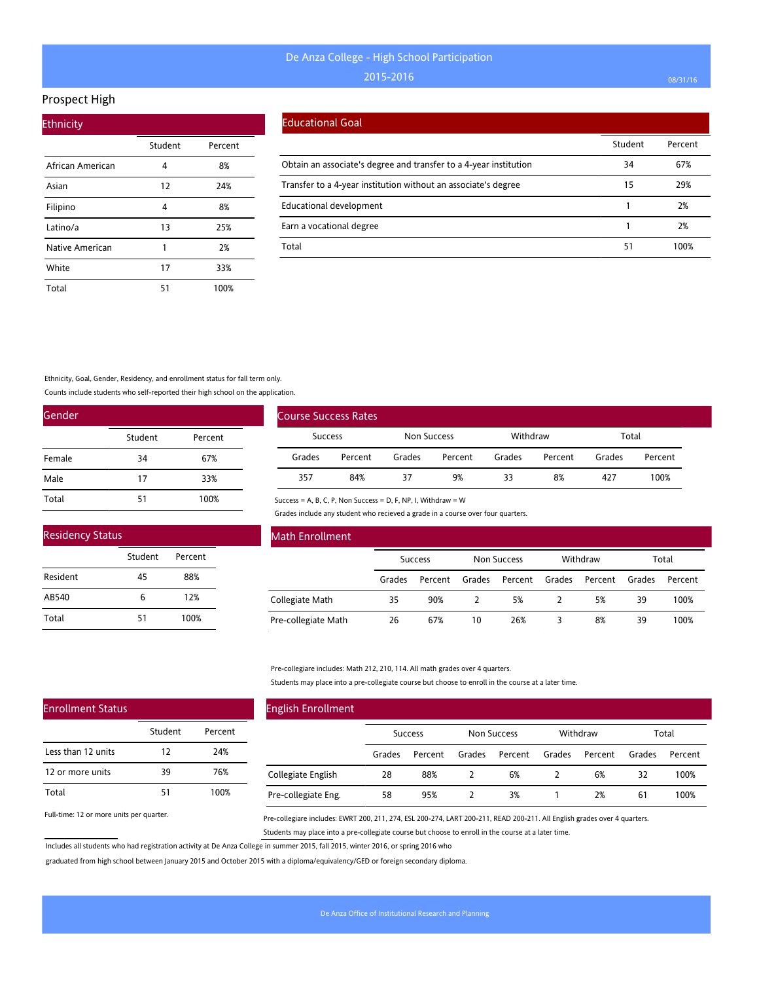#### Prospect High

| <b>Ethnicity</b> |         |         |  |  |  |  |  |  |
|------------------|---------|---------|--|--|--|--|--|--|
|                  | Student | Percent |  |  |  |  |  |  |
| African American | 4       | 8%      |  |  |  |  |  |  |
| Asian            | 12      | 24%     |  |  |  |  |  |  |
| Filipino         | 4       | 8%      |  |  |  |  |  |  |
| Latino/a         | 13      | 25%     |  |  |  |  |  |  |
| Native American  | 1       | 2%      |  |  |  |  |  |  |
| White            | 17      | 33%     |  |  |  |  |  |  |
| Total            | 51      | 100%    |  |  |  |  |  |  |

#### Educational Goal

|                                                                   | Student | Percent |
|-------------------------------------------------------------------|---------|---------|
| Obtain an associate's degree and transfer to a 4-year institution | 34      | 67%     |
| Transfer to a 4-year institution without an associate's degree    | 15      | 29%     |
| <b>Educational development</b>                                    |         | 2%      |
| Earn a vocational degree                                          |         | 2%      |
| Total                                                             | 51      | 100%    |

Ethnicity, Goal, Gender, Residency, and enrollment status for fall term only.

Counts include students who self-reported their high school on the application.

| Gender |         |         |
|--------|---------|---------|
|        | Student | Percent |
| Female | 34      | 67%     |
| Male   | 17      | 33%     |
| Total  | 51      | 100%    |

| <b>Residency Status</b> |         |         |  |  |  |  |  |  |  |
|-------------------------|---------|---------|--|--|--|--|--|--|--|
|                         | Student | Percent |  |  |  |  |  |  |  |
| Resident                | 45      | 88%     |  |  |  |  |  |  |  |
| AB540                   | 6       | 12%     |  |  |  |  |  |  |  |
| Total                   | 51      | 100%    |  |  |  |  |  |  |  |

| Course Success Rates |         |             |         |          |         |        |         |
|----------------------|---------|-------------|---------|----------|---------|--------|---------|
| Success              |         | Non Success |         | Withdraw |         | Total  |         |
| Grades               | Percent | Grades      | Percent | Grades   | Percent | Grades | Percent |
| 357                  | 84%     | 37          | 9%      | 33       | 8%      | 427    | 100%    |

Success = A, B, C, P, Non Success = D, F, NP, I, Withdraw = W

Grades include any student who recieved a grade in a course over four quarters.

| Math Enrollment     |                |         |                    |         |          |         |        |         |
|---------------------|----------------|---------|--------------------|---------|----------|---------|--------|---------|
|                     | <b>Success</b> |         | <b>Non Success</b> |         | Withdraw |         | Total  |         |
|                     | Grades         | Percent | Grades             | Percent | Grades   | Percent | Grades | Percent |
| Collegiate Math     | 35             | 90%     | $\mathcal{L}$      | 5%      |          | 5%      | 39     | 100%    |
| Pre-collegiate Math | 26             | 67%     | 10                 | 26%     |          | 8%      | 39     | 100%    |

Pre-collegiare includes: Math 212, 210, 114. All math grades over 4 quarters.

Students may place into a pre-collegiate course but choose to enroll in the course at a later time.

| <b>English Enrollment</b> |                |         |             |         |          |         |        |         |
|---------------------------|----------------|---------|-------------|---------|----------|---------|--------|---------|
|                           | <b>Success</b> |         | Non Success |         | Withdraw |         | Total  |         |
|                           | Grades         | Percent | Grades      | Percent | Grades   | Percent | Grades | Percent |
| Collegiate English        | 28             | 88%     |             | 6%      |          | 6%      | 32     | 100%    |
| Pre-collegiate Eng.       | 58             | 95%     |             | 3%      |          | 2%      | 61     | 100%    |

Full-time: 12 or more units per quarter.

Enrollment Status

Less than 12 units 12 or more units

Total

Pre-collegiare includes: EWRT 200, 211, 274, ESL 200-274, LART 200-211, READ 200-211. All English grades over 4 quarters. Students may place into a pre-collegiate course but choose to enroll in the course at a later time.

Includes all students who had registration activity at De Anza College in summer 2015, fall 2015, winter 2016, or spring 2016 who

Student Percent

12 24% 39 76% 51 100%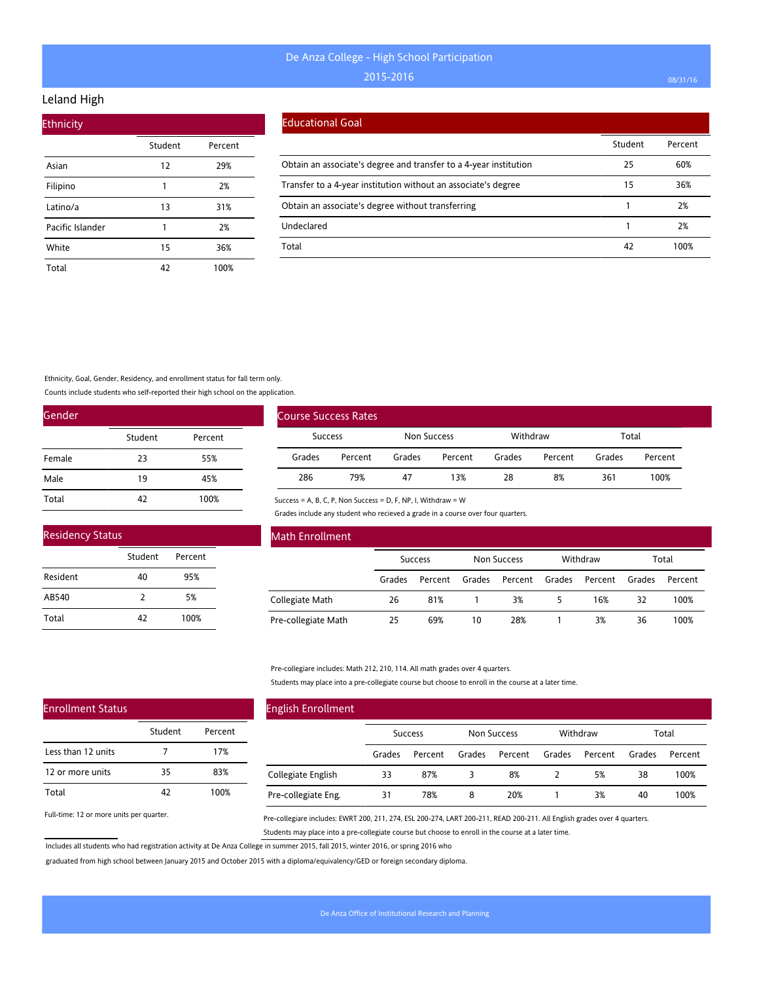## Leland High

| <b>Ethnicity</b> |         |         |
|------------------|---------|---------|
|                  | Student | Percent |
| Asian            | 12      | 29%     |
| Filipino         | 1       | 2%      |
| Latino/a         | 13      | 31%     |
| Pacific Islander | 1       | 2%      |
| White            | 15      | 36%     |
| Total            | 42      | 100%    |

#### Educational Goal

|                                                                   | Student | Percent |
|-------------------------------------------------------------------|---------|---------|
| Obtain an associate's degree and transfer to a 4-year institution | 25      | 60%     |
| Transfer to a 4-year institution without an associate's degree    | 15      | 36%     |
| Obtain an associate's degree without transferring                 |         | 2%      |
| Undeclared                                                        |         | 2%      |
| Total                                                             | 42      | 100%    |

Ethnicity, Goal, Gender, Residency, and enrollment status for fall term only.

Counts include students who self-reported their high school on the application.

| Gender |         |         |  |
|--------|---------|---------|--|
|        | Student | Percent |  |
| Female | 23      | 55%     |  |
| Male   | 19      | 45%     |  |
| Total  | 47      | 100%    |  |

| <b>Residency Status</b> |         |         |  |  |  |  |  |  |  |  |
|-------------------------|---------|---------|--|--|--|--|--|--|--|--|
|                         | Student | Percent |  |  |  |  |  |  |  |  |
| Resident                | 40      | 95%     |  |  |  |  |  |  |  |  |
| AB540                   | 7       | 5%      |  |  |  |  |  |  |  |  |
| Total                   | 42      | 100%    |  |  |  |  |  |  |  |  |

| <b>Course Success Rates</b> |         |             |         |          |         |        |         |  |
|-----------------------------|---------|-------------|---------|----------|---------|--------|---------|--|
| Success                     |         | Non Success |         | Withdraw |         | Total  |         |  |
| Grades                      | Percent | Grades      | Percent | Grades   | Percent | Grades | Percent |  |
| 286                         | 79%     | 47          | 13%     | 28       | 8%      | 361    | 100%    |  |

Success = A, B, C, P, Non Success = D, F, NP, I, Withdraw = W

Grades include any student who recieved a grade in a course over four quarters.

| Math Enrollment     |                |         |                    |         |          |         |        |         |
|---------------------|----------------|---------|--------------------|---------|----------|---------|--------|---------|
|                     | <b>Success</b> |         | <b>Non Success</b> |         | Withdraw |         | Total  |         |
|                     | Grades         | Percent | Grades             | Percent | Grades   | Percent | Grades | Percent |
| Collegiate Math     | 26             | 81%     |                    | 3%      | 5        | 16%     | 32     | 100%    |
| Pre-collegiate Math | 25             | 69%     | 10                 | 28%     |          | 3%      | 36     | 100%    |

Pre-collegiare includes: Math 212, 210, 114. All math grades over 4 quarters.

Students may place into a pre-collegiate course but choose to enroll in the course at a later time.

| <b>English Enrollment</b> |                |         |             |         |          |         |        |         |
|---------------------------|----------------|---------|-------------|---------|----------|---------|--------|---------|
|                           | <b>Success</b> |         | Non Success |         | Withdraw |         | Total  |         |
|                           | Grades         | Percent | Grades      | Percent | Grades   | Percent | Grades | Percent |
| Collegiate English        | 33             | 87%     | 3           | 8%      |          | 5%      | 38     | 100%    |
| Pre-collegiate Eng.       | 31             | 78%     | 8           | 20%     |          | 3%      | 40     | 100%    |

Full-time: 12 or more units per quarter.

Enrollment Status

Pre-collegiare includes: EWRT 200, 211, 274, ESL 200-274, LART 200-211, READ 200-211. All English grades over 4 quarters. Students may place into a pre-collegiate course but choose to enroll in the course at a later time.

Includes all students who had registration activity at De Anza College in summer 2015, fall 2015, winter 2016, or spring 2016 who

|                    | Student | Percent |
|--------------------|---------|---------|
| Less than 12 units |         | 17%     |
| 12 or more units   | 35      | 83%     |
| Total              | 47      | 100%    |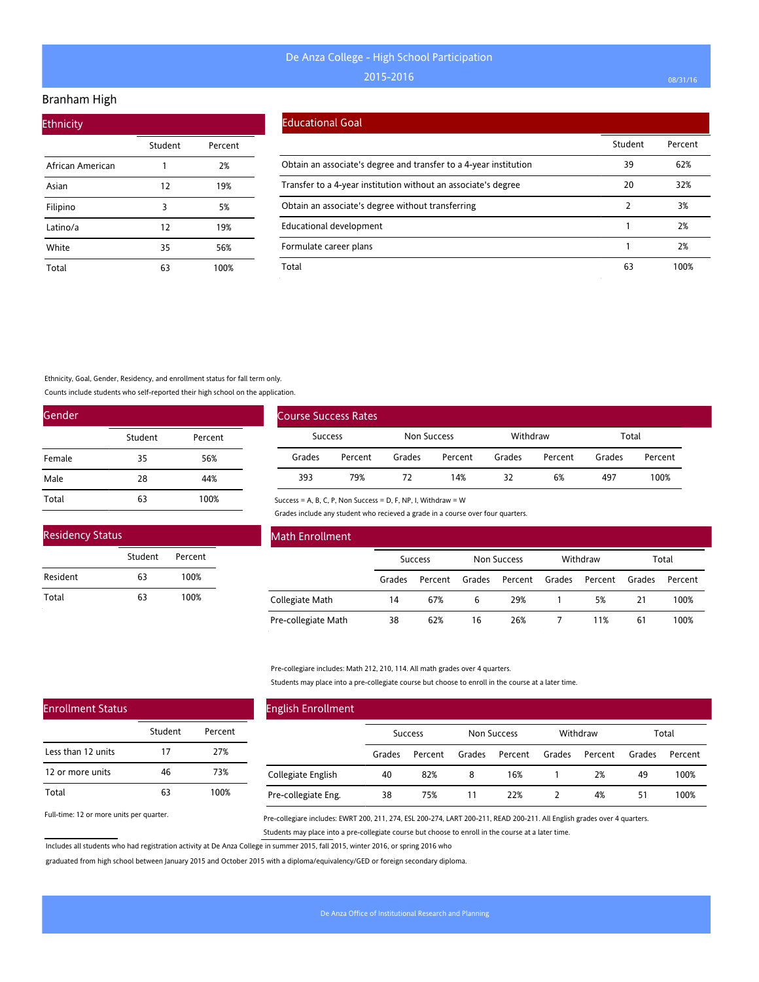### Branham High

| <b>Ethnicity</b> |         |         |
|------------------|---------|---------|
|                  | Student | Percent |
| African American | 1       | 2%      |
| Asian            | 12      | 19%     |
| Filipino         | 3       | 5%      |
| Latino/a         | 12      | 19%     |
| White            | 35      | 56%     |
| Total            | 63      | 100%    |

#### Educational Goal

|                                                                   | Student | Percent |
|-------------------------------------------------------------------|---------|---------|
| Obtain an associate's degree and transfer to a 4-year institution | 39      | 62%     |
| Transfer to a 4-year institution without an associate's degree    | 20      | 32%     |
| Obtain an associate's degree without transferring                 |         | 3%      |
| <b>Educational development</b>                                    |         | 2%      |
| Formulate career plans                                            |         | 2%      |
| Total                                                             | 63      | 100%    |

Ethnicity, Goal, Gender, Residency, and enrollment status for fall term only.

Counts include students who self-reported their high school on the application.

| Gender |         |         |
|--------|---------|---------|
|        | Student | Percent |
| Female | 35      | 56%     |
| Male   | 28      | 44%     |
| Total  | 63      | 100%    |

| <b>Residency Status</b> |         |         |  |
|-------------------------|---------|---------|--|
|                         | Student | Percent |  |
| Resident                | 63      | 100%    |  |
| Total                   | 63      | 100%    |  |

| Course Success Rates |         |             |         |          |         |        |         |
|----------------------|---------|-------------|---------|----------|---------|--------|---------|
| <b>Success</b>       |         | Non Success |         | Withdraw |         | Total  |         |
| Grades               | Percent | Grades      | Percent | Grades   | Percent | Grades | Percent |
| 393                  | 79%     | 72          | 14%     | 32       | 6%      | 497    | 100%    |

Success = A, B, C, P, Non Success = D, F, NP, I, Withdraw = W

Grades include any student who recieved a grade in a course over four quarters.

| Math Enrollment     |        |                |        |                    |        |          |        |         |
|---------------------|--------|----------------|--------|--------------------|--------|----------|--------|---------|
|                     |        | <b>Success</b> |        | <b>Non Success</b> |        | Withdraw |        | Total   |
|                     | Grades | Percent        | Grades | Percent            | Grades | Percent  | Grades | Percent |
| Collegiate Math     | 14     | 67%            | 6      | 29%                |        | 5%       | 21     | 100%    |
| Pre-collegiate Math | 38     | 62%            | 16     | 26%                |        | 11%      | 61     | 100%    |

Pre-collegiare includes: Math 212, 210, 114. All math grades over 4 quarters.

Students may place into a pre-collegiate course but choose to enroll in the course at a later time.

| <b>English Enrollment</b> |        |                |        |             |        |          |        |         |
|---------------------------|--------|----------------|--------|-------------|--------|----------|--------|---------|
|                           |        | <b>Success</b> |        | Non Success |        | Withdraw |        | Total   |
|                           | Grades | Percent        | Grades | Percent     | Grades | Percent  | Grades | Percent |
| Collegiate English        | 40     | 82%            | 8      | 16%         |        | 2%       | 49     | 100%    |
| Pre-collegiate Eng.       | 38     | 75%            | 11     | 22%         |        | 4%       | 51     | 100%    |

Full-time: 12 or more units per quarter.

Enrollment Status

Less than 12 units 12 or more units

Total

Pre-collegiare includes: EWRT 200, 211, 274, ESL 200-274, LART 200-211, READ 200-211. All English grades over 4 quarters. Students may place into a pre-collegiate course but choose to enroll in the course at a later time.

Includes all students who had registration activity at De Anza College in summer 2015, fall 2015, winter 2016, or spring 2016 who

Student Percent

17 27% 46 73% 63 100%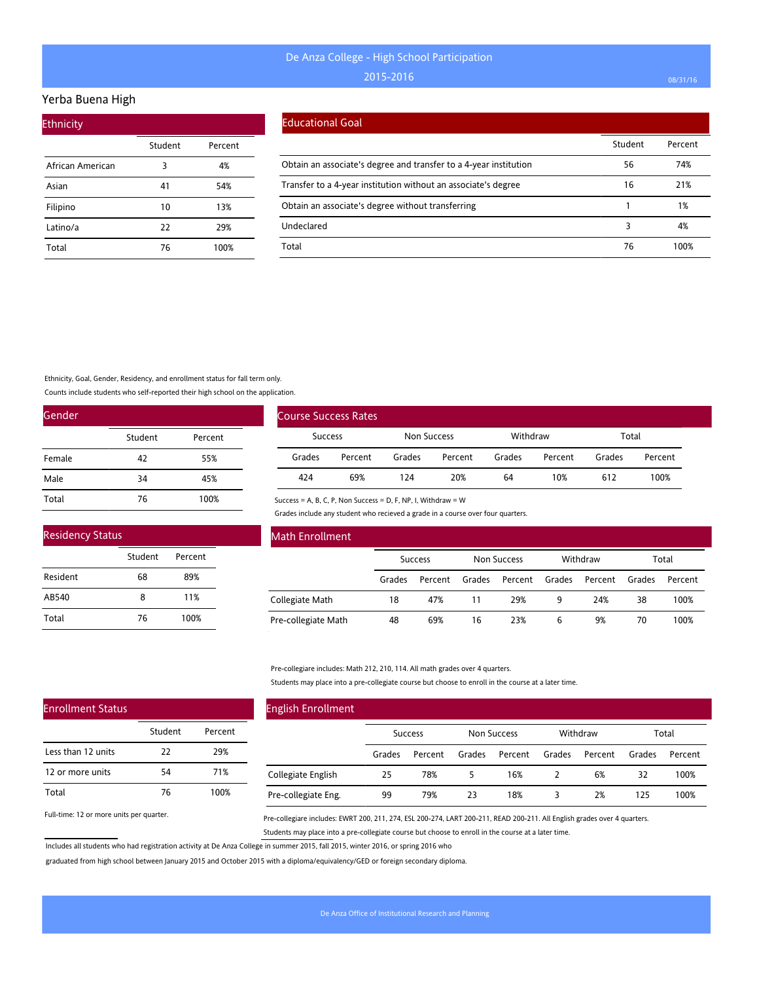### Yerba Buena High

| <b>Ethnicity</b> |         |         |
|------------------|---------|---------|
|                  | Student | Percent |
| African American | 3       | 4%      |
| Asian            | 41      | 54%     |
| Filipino         | 10      | 13%     |
| Latino/a         | 22      | 29%     |
| Total            | 76      | 100%    |

#### Educational Goal

|                                                                   | Student | Percent |
|-------------------------------------------------------------------|---------|---------|
| Obtain an associate's degree and transfer to a 4-year institution | 56      | 74%     |
| Transfer to a 4-year institution without an associate's degree    | 16      | 21%     |
| Obtain an associate's degree without transferring                 |         | 1%      |
| Undeclared                                                        |         | 4%      |
| Total                                                             | 76      | 100%    |

Ethnicity, Goal, Gender, Residency, and enrollment status for fall term only.

Counts include students who self-reported their high school on the application.

| Gender |         |         |
|--------|---------|---------|
|        | Student | Percent |
| Female | 42      | 55%     |
| Male   | 34      | 45%     |
| Total  | 76      | 100%    |

| <b>Residency Status</b> |         |         |  |  |
|-------------------------|---------|---------|--|--|
|                         | Student | Percent |  |  |
| Resident                | 68      | 89%     |  |  |
| AB540                   | 8       | 11%     |  |  |
| Total                   | 76      | 100%    |  |  |

| <b>Course Success Rates</b> |         |        |             |          |         |        |         |
|-----------------------------|---------|--------|-------------|----------|---------|--------|---------|
|                             | Success |        | Non Success | Withdraw |         | Total  |         |
| Grades                      | Percent | Grades | Percent     | Grades   | Percent | Grades | Percent |
| 424                         | 69%     | 124    | 20%         | 64       | 10%     | 612    | 100%    |

Success = A, B, C, P, Non Success = D, F, NP, I, Withdraw = W

Grades include any student who recieved a grade in a course over four quarters.

| Math Enrollment     |                |         |                    |         |          |         |        |         |
|---------------------|----------------|---------|--------------------|---------|----------|---------|--------|---------|
|                     | <b>Success</b> |         | <b>Non Success</b> |         | Withdraw |         | Total  |         |
|                     | Grades         | Percent | Grades             | Percent | Grades   | Percent | Grades | Percent |
| Collegiate Math     | 18             | 47%     | 11                 | 29%     | 9        | 24%     | 38     | 100%    |
| Pre-collegiate Math | 48             | 69%     | 16                 | 23%     | 6        | 9%      | 70     | 100%    |

Pre-collegiare includes: Math 212, 210, 114. All math grades over 4 quarters.

Students may place into a pre-collegiate course but choose to enroll in the course at a later time.

| <b>English Enrollment</b> |                |         |             |         |          |         |        |         |
|---------------------------|----------------|---------|-------------|---------|----------|---------|--------|---------|
|                           | <b>Success</b> |         | Non Success |         | Withdraw |         | Total  |         |
|                           | Grades         | Percent | Grades      | Percent | Grades   | Percent | Grades | Percent |
| Collegiate English        | 25             | 78%     | 5           | 16%     |          | 6%      | 32     | 100%    |
| Pre-collegiate Eng.       | 99             | 79%     | 23          | 18%     |          | 2%      | 125    | 100%    |

Full-time: 12 or more units per quarter.

Enrollment Status

Less than 12 units 12 or more units

Total

Pre-collegiare includes: EWRT 200, 211, 274, ESL 200-274, LART 200-211, READ 200-211. All English grades over 4 quarters. Students may place into a pre-collegiate course but choose to enroll in the course at a later time.

Includes all students who had registration activity at De Anza College in summer 2015, fall 2015, winter 2016, or spring 2016 who

Student Percent

22 29% 54 71% 76 100%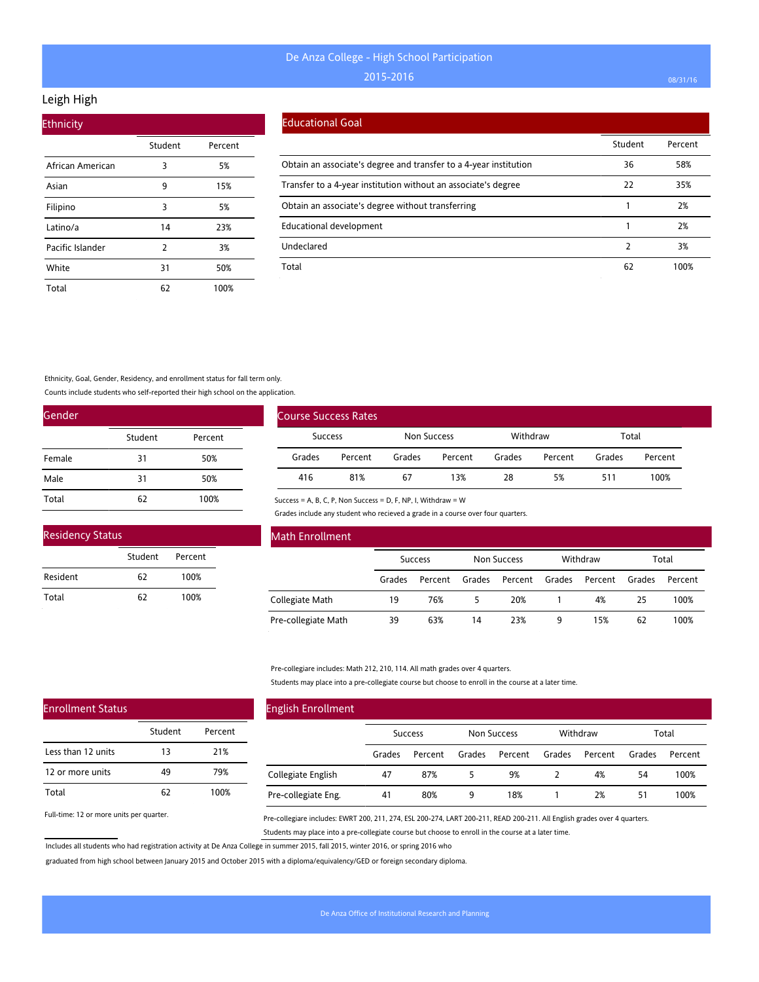## Leigh High

| <b>Ethnicity</b> |         |         |
|------------------|---------|---------|
|                  | Student | Percent |
| African American | 3       | 5%      |
| Asian            | 9       | 15%     |
| Filipino         | 3       | 5%      |
| Latino/a         | 14      | 23%     |
| Pacific Islander | 2       | 3%      |
| White            | 31      | 50%     |
| Total            | 62      | 100%    |

### Educational Goal

|                                                                   | Student | Percent |
|-------------------------------------------------------------------|---------|---------|
| Obtain an associate's degree and transfer to a 4-year institution | 36      | 58%     |
| Transfer to a 4-year institution without an associate's degree    | 22      | 35%     |
| Obtain an associate's degree without transferring                 |         | 2%      |
| <b>Educational development</b>                                    |         | 2%      |
| Undeclared                                                        |         | 3%      |
| Total                                                             | 62      | 100%    |

Ethnicity, Goal, Gender, Residency, and enrollment status for fall term only.

Counts include students who self-reported their high school on the application.

| Gender |         |         |
|--------|---------|---------|
|        | Student | Percent |
| Female | 31      | 50%     |
| Male   | 31      | 50%     |
| Total  | 62      | 100%    |

| <b>Residency Status</b> |         |         |  |
|-------------------------|---------|---------|--|
|                         | Student | Percent |  |
| Resident                | 62      | 100%    |  |
| Total                   | 62      | 100%    |  |

| Course Success Rates |                |        |             |        |          |        |         |
|----------------------|----------------|--------|-------------|--------|----------|--------|---------|
|                      | <b>Success</b> |        | Non Success |        | Withdraw |        | Total   |
| Grades               | Percent        | Grades | Percent     | Grades | Percent  | Grades | Percent |
| 416                  | 81%            | 67     | 13%         | 28     | 5%       | 511    | 100%    |

Success = A, B, C, P, Non Success = D, F, NP, I, Withdraw = W

Grades include any student who recieved a grade in a course over four quarters.

| Math Enrollment     |                |         |                    |         |          |         |        |         |
|---------------------|----------------|---------|--------------------|---------|----------|---------|--------|---------|
|                     | <b>Success</b> |         | <b>Non Success</b> |         | Withdraw |         | Total  |         |
|                     | Grades         | Percent | Grades             | Percent | Grades   | Percent | Grades | Percent |
| Collegiate Math     | 19             | 76%     |                    | 20%     |          | 4%      | 25     | 100%    |
| Pre-collegiate Math | 39             | 63%     | 14                 | 23%     | 9        | 15%     | 62     | 100%    |

Pre-collegiare includes: Math 212, 210, 114. All math grades over 4 quarters.

Students may place into a pre-collegiate course but choose to enroll in the course at a later time.

| <b>English Enrollment</b> |                |         |             |         |          |         |        |         |  |
|---------------------------|----------------|---------|-------------|---------|----------|---------|--------|---------|--|
|                           | <b>Success</b> |         | Non Success |         | Withdraw |         | Total  |         |  |
|                           | Grades         | Percent | Grades      | Percent | Grades   | Percent | Grades | Percent |  |
| Collegiate English        | 47             | 87%     | 5.          | 9%      |          | 4%      | 54     | 100%    |  |
| Pre-collegiate Eng.       | 41             | 80%     | 9           | 18%     |          | 2%      | 51     | 100%    |  |

Full-time: 12 or more units per quarter.

Enrollment Status

Less than 12 units 12 or more units

Total

Pre-collegiare includes: EWRT 200, 211, 274, ESL 200-274, LART 200-211, READ 200-211. All English grades over 4 quarters. Students may place into a pre-collegiate course but choose to enroll in the course at a later time.

Includes all students who had registration activity at De Anza College in summer 2015, fall 2015, winter 2016, or spring 2016 who

Student Percent

13 21% 49 79% 62 100%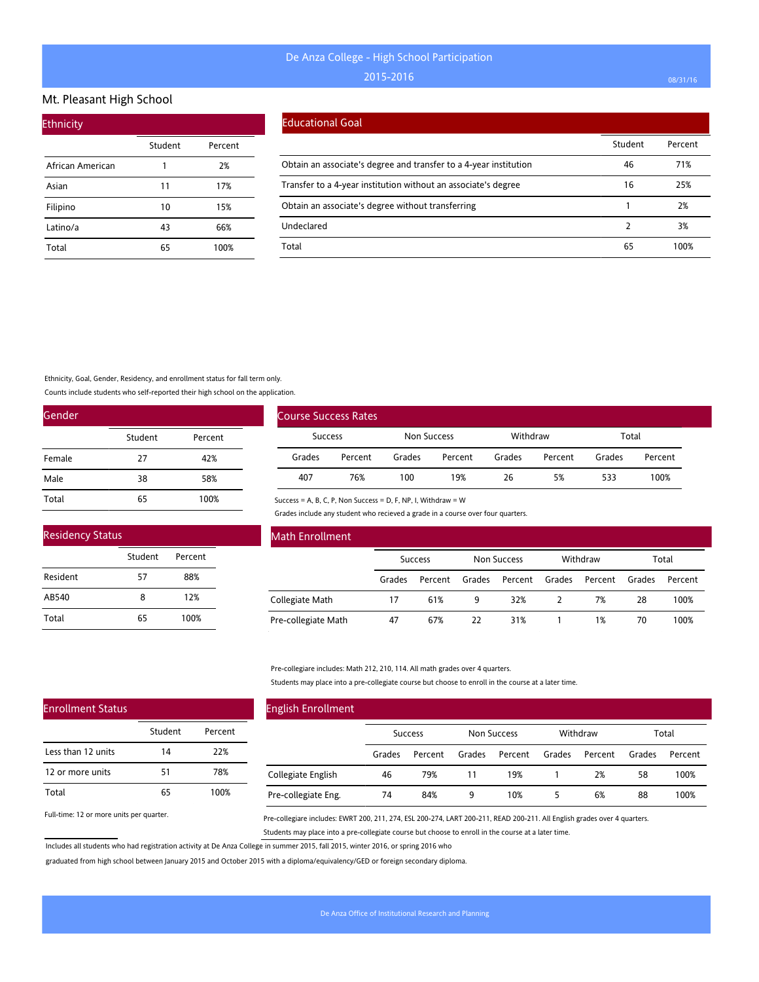#### Mt. Pleasant High School

| <b>Ethnicity</b> |         |         |
|------------------|---------|---------|
|                  | Student | Percent |
| African American | 1       | 2%      |
| Asian            | 11      | 17%     |
| Filipino         | 10      | 15%     |
| Latino/a         | 43      | 66%     |
| Total            | 65      | 100%    |

#### Educational Goal

|                                                                   | Student | Percent |
|-------------------------------------------------------------------|---------|---------|
| Obtain an associate's degree and transfer to a 4-year institution | 46      | 71%     |
| Transfer to a 4-year institution without an associate's degree    | 16      | 25%     |
| Obtain an associate's degree without transferring                 |         | 2%      |
| Undeclared                                                        |         | 3%      |
| Total                                                             | 65      | 100%    |

Ethnicity, Goal, Gender, Residency, and enrollment status for fall term only.

Counts include students who self-reported their high school on the application.

| Gender |         |         |  |  |  |  |
|--------|---------|---------|--|--|--|--|
|        | Student | Percent |  |  |  |  |
| Female | 27      | 42%     |  |  |  |  |
| Male   | 38      | 58%     |  |  |  |  |
| Total  | 65      | 100%    |  |  |  |  |

| <b>Residency Status</b> |         |         |  |  |  |  |  |
|-------------------------|---------|---------|--|--|--|--|--|
|                         | Student | Percent |  |  |  |  |  |
| Resident                | 57      | 88%     |  |  |  |  |  |
| AB540                   | 8       | 12%     |  |  |  |  |  |
| Total                   | 65      | 100%    |  |  |  |  |  |

| Course Success Rates |         |             |         |          |         |        |         |
|----------------------|---------|-------------|---------|----------|---------|--------|---------|
| Success              |         | Non Success |         | Withdraw |         | Total  |         |
| Grades               | Percent | Grades      | Percent | Grades   | Percent | Grades | Percent |
| 407                  | 76%     | 100         | 19%     | 26       | 5%      | 533    | 100%    |

Success = A, B, C, P, Non Success = D, F, NP, I, Withdraw = W

Grades include any student who recieved a grade in a course over four quarters.

| Math Enrollment     |        |                |        |             |        |          |        |         |
|---------------------|--------|----------------|--------|-------------|--------|----------|--------|---------|
|                     |        | <b>Success</b> |        | Non Success |        | Withdraw |        | Total   |
|                     | Grades | Percent        | Grades | Percent     | Grades | Percent  | Grades | Percent |
| Collegiate Math     | 17     | 61%            | 9      | 32%         |        | 7%       | 28     | 100%    |
| Pre-collegiate Math | 47     | 67%            | 22     | 31%         |        | 1%       | 70     | 100%    |

Pre-collegiare includes: Math 212, 210, 114. All math grades over 4 quarters.

Students may place into a pre-collegiate course but choose to enroll in the course at a later time.

| <b>English Enrollment</b> |        |                |        |                    |        |          |        |         |
|---------------------------|--------|----------------|--------|--------------------|--------|----------|--------|---------|
|                           |        | <b>Success</b> |        | <b>Non Success</b> |        | Withdraw |        | Total   |
|                           | Grades | Percent        | Grades | Percent            | Grades | Percent  | Grades | Percent |
| Collegiate English        | 46     | 79%            | 11     | 19%                |        | 2%       | 58     | 100%    |
| Pre-collegiate Eng.       | 74     | 84%            | 9      | 10%                | 5      | 6%       | 88     | 100%    |

Full-time: 12 or more units per quarter.

Enrollment Status

Less than 12 units 12 or more units

Total

Pre-collegiare includes: EWRT 200, 211, 274, ESL 200-274, LART 200-211, READ 200-211. All English grades over 4 quarters. Students may place into a pre-collegiate course but choose to enroll in the course at a later time.

Includes all students who had registration activity at De Anza College in summer 2015, fall 2015, winter 2016, or spring 2016 who

Student Percent

14 22% 51 78% 65 100%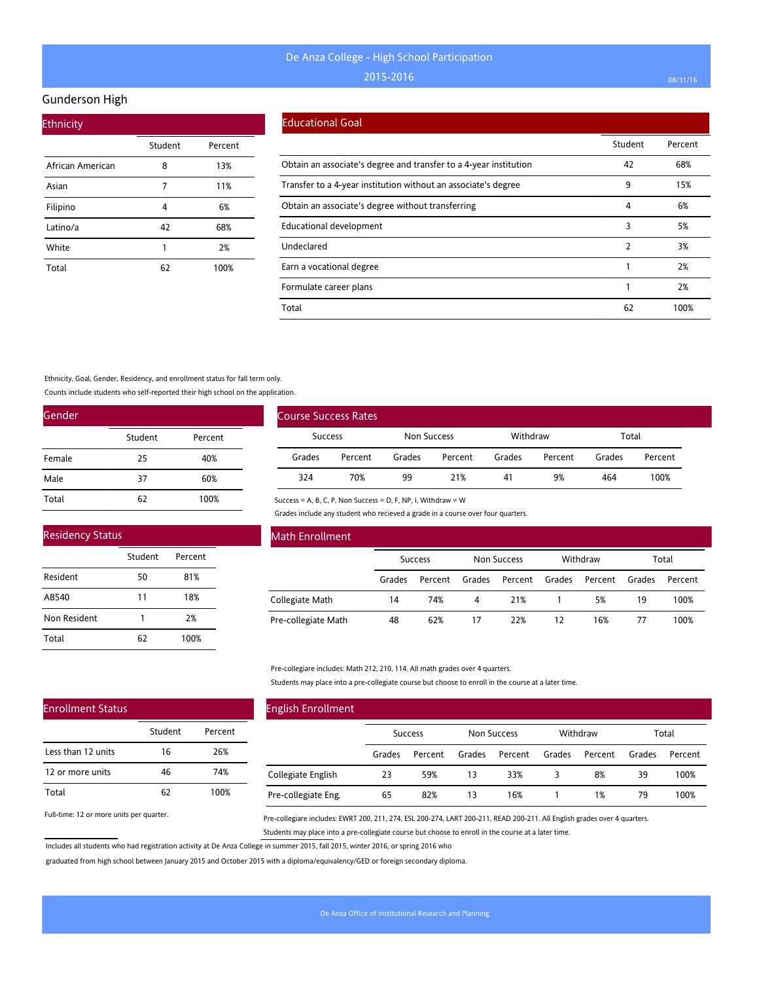#### Gunderson High

| <b>Ethnicity</b> |         |         |
|------------------|---------|---------|
|                  | Student | Percent |
| African American | 8       | 13%     |
| Asian            | 7       | 11%     |
| Filipino         | 4       | 6%      |
| Latino/a         | 42      | 68%     |
| White            | 1       | 2%      |
| Total            | 62      | 100%    |

#### Educational Goal

|                                                                   | Student | Percent |
|-------------------------------------------------------------------|---------|---------|
| Obtain an associate's degree and transfer to a 4-year institution | 42      | 68%     |
| Transfer to a 4-year institution without an associate's degree    | 9       | 15%     |
| Obtain an associate's degree without transferring                 | 4       | 6%      |
| Educational development                                           | 3       | 5%      |
| Undeclared                                                        | 2       | 3%      |
| Earn a vocational degree                                          |         | 2%      |
| Formulate career plans                                            |         | 2%      |
| Total                                                             | 62      | 100%    |

#### Ethnicity, Goal, Gender, Residency, and enrollment status for fall term only.

Counts include students who self-reported their high school on the application.

| Gender |         |         |  |  |  |  |
|--------|---------|---------|--|--|--|--|
|        | Student | Percent |  |  |  |  |
| Female | 25      | 40%     |  |  |  |  |
| Male   | 37      | 60%     |  |  |  |  |
| Total  | 62      | 100%    |  |  |  |  |

| <b>Course Success Rates</b> |         |             |         |          |         |        |         |
|-----------------------------|---------|-------------|---------|----------|---------|--------|---------|
| <b>Success</b>              |         | Non Success |         | Withdraw |         | Total  |         |
| Grades                      | Percent | Grades      | Percent | Grades   | Percent | Grades | Percent |
| 324                         | 70%     | 99          | 21%     | 41       | 9%      | 464    | 100%    |

# Residency Status

| $1.901$ $0.101$ $0.000$ $0.000$ |         |         |  |
|---------------------------------|---------|---------|--|
|                                 | Student | Percent |  |
| Resident                        | 50      | 81%     |  |
| AB540                           | 11      | 18%     |  |
| Non Resident                    | 1       | 2%      |  |
| Total                           | 62      | 100%    |  |

#### Math Enrollment

|                     | Success |         | Non Success |                | Withdraw |         | Total  |         |
|---------------------|---------|---------|-------------|----------------|----------|---------|--------|---------|
|                     | Grades  | Percent | Grades      | Percent Grades |          | Percent | Grades | Percent |
| Collegiate Math     | 14      | 74%     | 4           | 21%            |          | 5%      | 19     | 100%    |
| Pre-collegiate Math | 48      | 62%     | 17          | 22%            | 12       | 16%     | 77     | 100%    |

#### Pre-collegiare includes: Math 212, 210, 114. All math grades over 4 quarters.

Success = A, B, C, P, Non Success = D, F, NP, I, Withdraw = W

Grades include any student who recieved a grade in a course over four quarters.

Students may place into a pre-collegiate course but choose to enroll in the course at a later time.

# Enrollment Status

|                    | Student | Percent |
|--------------------|---------|---------|
| Less than 12 units | 16      | 26%     |
| 12 or more units   | 46      | 74%     |
| Total              | 62      | 100%    |

Full-time: 12 or more units per quarter.

## English Enrollment Success Non Success Withdraw Total Grades Percent Grades Percent Grades Percent Grades Percent Collegiate English Pre-collegiate Eng. 23 59% 13 33% 3 8% 39 100% 65 82% 13 16% 1 1% 79 100%

Pre-collegiare includes: EWRT 200, 211, 274, ESL 200-274, LART 200-211, READ 200-211. All English grades over 4 quarters. Students may place into a pre-collegiate course but choose to enroll in the course at a later time.

Includes all students who had registration activity at De Anza College in summer 2015, fall 2015, winter 2016, or spring 2016 who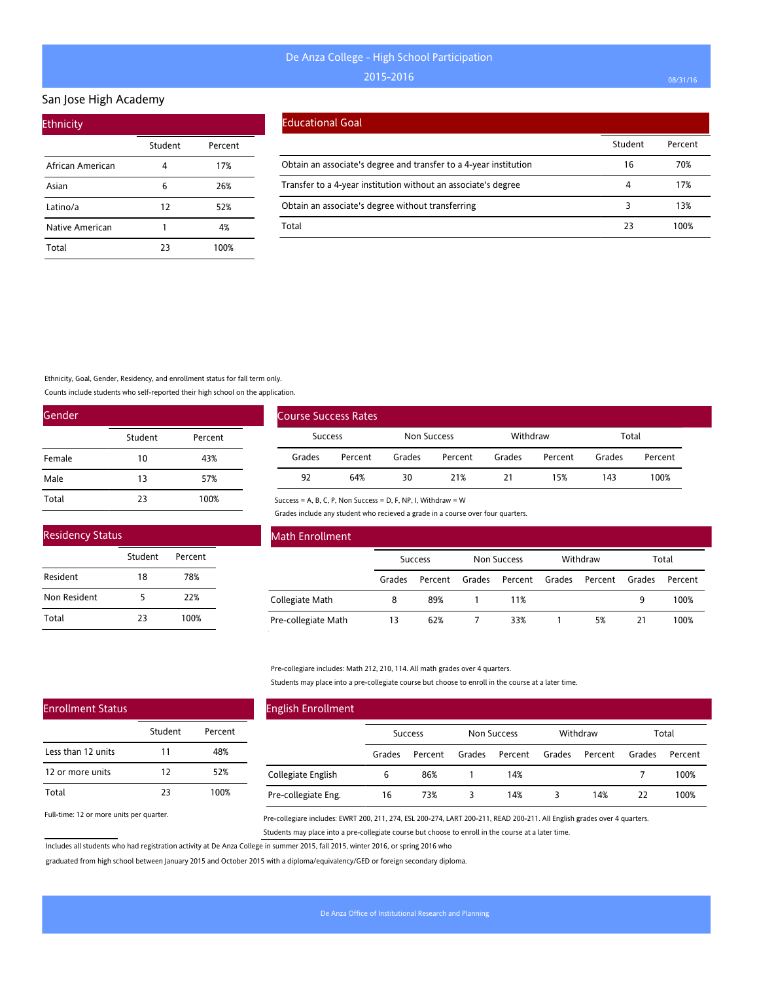## San Jose High Academy

| <b>Ethnicity</b> |         |         |
|------------------|---------|---------|
|                  | Student | Percent |
| African American |         | 17%     |
| Asian            | 6       | 26%     |
| Latino/a         | 12      | 52%     |
| Native American  | 1       | 4%      |
| Total            | 23      | 100%    |

#### Educational Goal

|                                                                   | Student | Percent |
|-------------------------------------------------------------------|---------|---------|
| Obtain an associate's degree and transfer to a 4-year institution | 16      | 70%     |
| Transfer to a 4-year institution without an associate's degree    | 4       | 17%     |
| Obtain an associate's degree without transferring                 |         | 13%     |
| Total                                                             | 23      | 100%    |

Ethnicity, Goal, Gender, Residency, and enrollment status for fall term only.

Counts include students who self-reported their high school on the application.

| Gender |         |         |
|--------|---------|---------|
|        | Student | Percent |
| Female | 10      | 43%     |
| Male   | 13      | 57%     |
| Total  | 23      | 100%    |

| <b>Residency Status</b> |         |         |  |  |  |
|-------------------------|---------|---------|--|--|--|
|                         | Student | Percent |  |  |  |
| Resident                | 18      | 78%     |  |  |  |
| Non Resident            | 5       | 22%     |  |  |  |
| Total                   | つろ      | 100%    |  |  |  |

| <b>Course Success Rates</b> |         |             |         |          |         |        |         |
|-----------------------------|---------|-------------|---------|----------|---------|--------|---------|
| Success                     |         | Non Success |         | Withdraw |         | Total  |         |
| Grades                      | Percent | Grades      | Percent | Grades   | Percent | Grades | Percent |
| 92                          | 64%     | 30          | 21%     | 21       | 15%     | 143    | 100%    |

Success = A, B, C, P, Non Success = D, F, NP, I, Withdraw = W

Grades include any student who recieved a grade in a course over four quarters.

| Math Enrollment     |        |                |        |                    |        |          |        |         |
|---------------------|--------|----------------|--------|--------------------|--------|----------|--------|---------|
|                     |        | <b>Success</b> |        | <b>Non Success</b> |        | Withdraw |        | Total   |
|                     | Grades | Percent        | Grades | Percent            | Grades | Percent  | Grades | Percent |
| Collegiate Math     | 8      | 89%            |        | 11%                |        |          | 9      | 100%    |
| Pre-collegiate Math | 13     | 62%            |        | 33%                |        | 5%       | 21     | 100%    |

Pre-collegiare includes: Math 212, 210, 114. All math grades over 4 quarters.

Students may place into a pre-collegiate course but choose to enroll in the course at a later time.

| <b>English Enrollment</b> |        |                |        |                    |        |          |        |         |
|---------------------------|--------|----------------|--------|--------------------|--------|----------|--------|---------|
|                           |        | <b>Success</b> |        | <b>Non Success</b> |        | Withdraw |        | Total   |
|                           | Grades | Percent        | Grades | Percent            | Grades | Percent  | Grades | Percent |
| Collegiate English        | 6      | 86%            |        | 14%                |        |          |        | 100%    |
| Pre-collegiate Eng.       | 16     | 73%            |        | 14%                | 3      | 14%      | 22     | 100%    |

Full-time: 12 or more units per quarter.

Enrollment Status

Less than 12 units 12 or more units

Total

Pre-collegiare includes: EWRT 200, 211, 274, ESL 200-274, LART 200-211, READ 200-211. All English grades over 4 quarters. Students may place into a pre-collegiate course but choose to enroll in the course at a later time.

Includes all students who had registration activity at De Anza College in summer 2015, fall 2015, winter 2016, or spring 2016 who

Student Percent

11 48% 12 52% 23 100%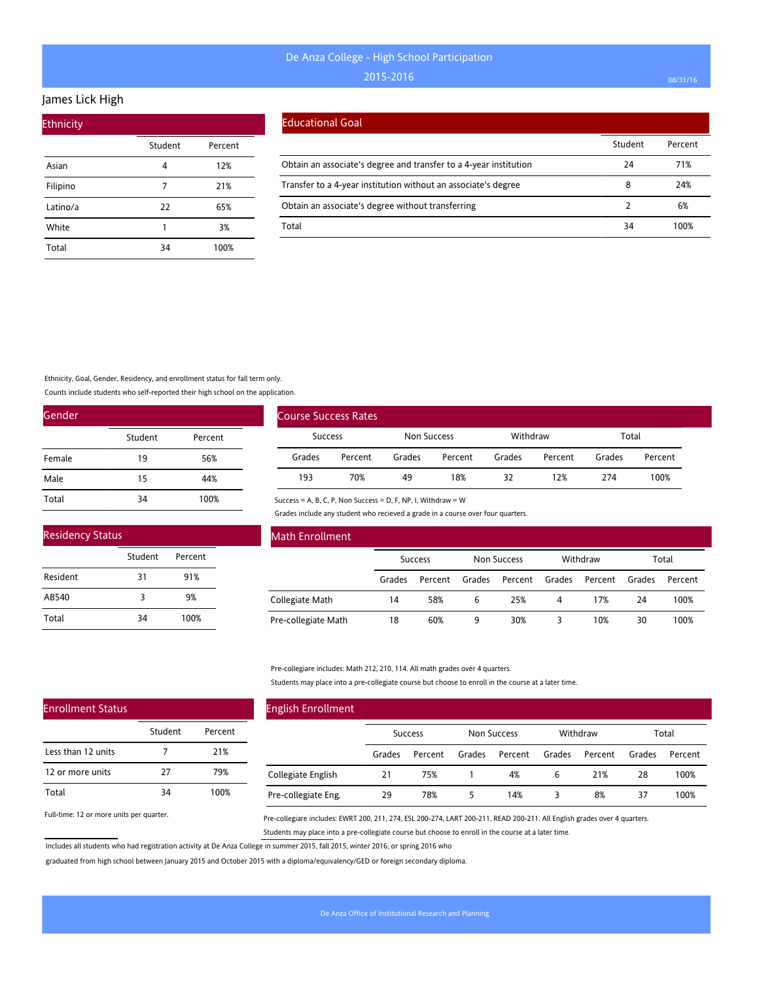### James Lick High

| <b>Ethnicity</b> |         |         |
|------------------|---------|---------|
|                  | Student | Percent |
| Asian            | 4       | 12%     |
| Filipino         |         | 21%     |
| Latino/a         | 22      | 65%     |
| White            | 1       | 3%      |
| Total            | 34      | 100%    |

#### Educational Goal

|                                                                   | Student | Percent |
|-------------------------------------------------------------------|---------|---------|
| Obtain an associate's degree and transfer to a 4-year institution | 24      | 71%     |
| Transfer to a 4-year institution without an associate's degree    | 8       | 24%     |
| Obtain an associate's degree without transferring                 |         | 6%      |
| Total                                                             | 34      | 100%    |

Ethnicity, Goal, Gender, Residency, and enrollment status for fall term only.

Counts include students who self-reported their high school on the application.

| Gender |         |         |
|--------|---------|---------|
|        | Student | Percent |
| Female | 19      | 56%     |
| Male   | 15      | 44%     |
| Total  | 34      | 100%    |

| <b>Residency Status</b> |         |         |  |  |
|-------------------------|---------|---------|--|--|
|                         | Student | Percent |  |  |
| Resident                | 31      | 91%     |  |  |
| AB540                   | 3       | 9%      |  |  |
| Total                   | 34      | 100%    |  |  |

| <b>Course Success Rates</b> |         |             |         |          |         |        |         |
|-----------------------------|---------|-------------|---------|----------|---------|--------|---------|
| <b>Success</b>              |         | Non Success |         | Withdraw |         | Total  |         |
| Grades                      | Percent | Grades      | Percent | Grades   | Percent | Grades | Percent |
| 193                         | 70%     | 49          | 18%     | 32       | 12%     | 274    | 100%    |

Success = A, B, C, P, Non Success = D, F, NP, I, Withdraw = W

Grades include any student who recieved a grade in a course over four quarters.

| Math Enrollment     |        |                |        |                    |        |          |        |         |
|---------------------|--------|----------------|--------|--------------------|--------|----------|--------|---------|
|                     |        | <b>Success</b> |        | <b>Non Success</b> |        | Withdraw |        | Total   |
|                     | Grades | Percent        | Grades | Percent            | Grades | Percent  | Grades | Percent |
| Collegiate Math     | 14     | 58%            | 6      | 25%                | 4      | 17%      | 24     | 100%    |
| Pre-collegiate Math | 18     | 60%            | 9      | 30%                |        | 10%      | 30     | 100%    |

Pre-collegiare includes: Math 212, 210, 114. All math grades over 4 quarters.

Students may place into a pre-collegiate course but choose to enroll in the course at a later time.

| <b>English Enrollment</b> |        |                |        |             |        |          |        |         |
|---------------------------|--------|----------------|--------|-------------|--------|----------|--------|---------|
|                           |        | <b>Success</b> |        | Non Success |        | Withdraw |        | Total   |
|                           | Grades | Percent        | Grades | Percent     | Grades | Percent  | Grades | Percent |
| Collegiate English        | 21     | 75%            |        | 4%          | 6      | 21%      | 28     | 100%    |
| Pre-collegiate Eng.       | 29     | 78%            | 5      | 14%         | 3      | 8%       | 37     | 100%    |

Full-time: 12 or more units per quarter.

Enrollment Status

Less than 12 units 12 or more units

Total

Pre-collegiare includes: EWRT 200, 211, 274, ESL 200-274, LART 200-211, READ 200-211. All English grades over 4 quarters. Students may place into a pre-collegiate course but choose to enroll in the course at a later time.

Includes all students who had registration activity at De Anza College in summer 2015, fall 2015, winter 2016, or spring 2016 who

Student Percent

7 21% 27 79% 34 100%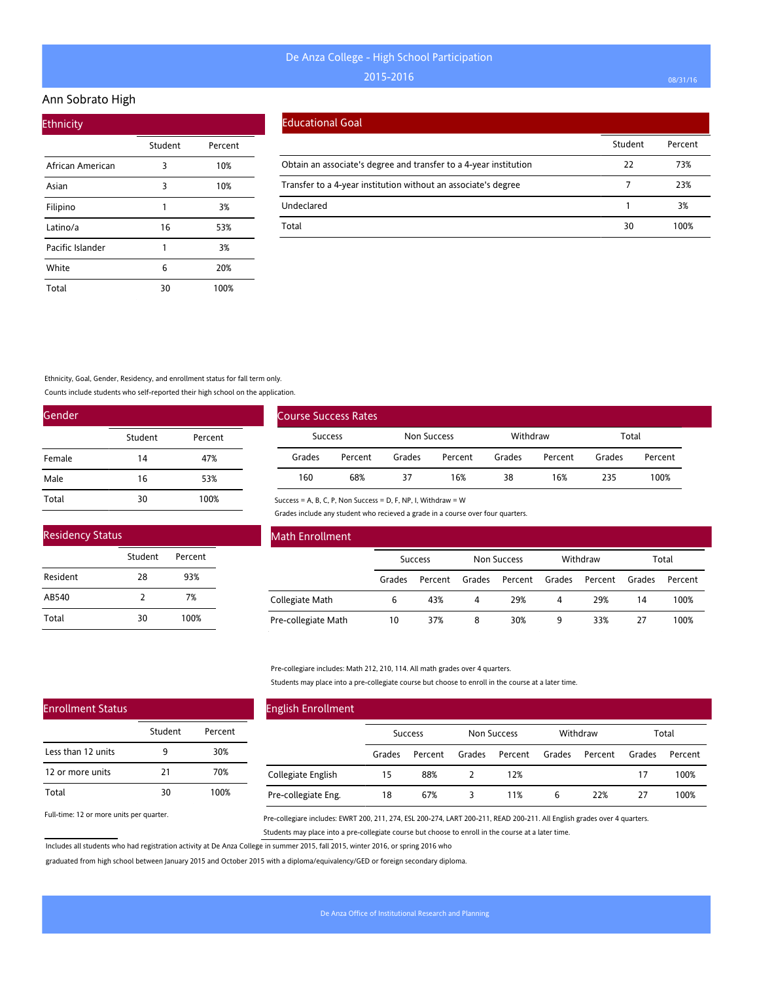### Ann Sobrato High

|                  | Student | Percent |
|------------------|---------|---------|
| African American | 3       | 10%     |
| Asian            | 3       | 10%     |
| Filipino         | 1       | 3%      |
| Latino/a         | 16      | 53%     |
| Pacific Islander | 1       | 3%      |
| White            | 6       | 20%     |
| Total            | 30      | 100%    |

#### Educational Goal

|                                                                   | Student | Percent |
|-------------------------------------------------------------------|---------|---------|
| Obtain an associate's degree and transfer to a 4-year institution | 22      | 73%     |
| Transfer to a 4-year institution without an associate's degree    |         | 23%     |
| Undeclared                                                        |         | 3%      |
| Total                                                             | 30      | 100%    |

Ethnicity, Goal, Gender, Residency, and enrollment status for fall term only.

Counts include students who self-reported their high school on the application.

| Gender |         |         |
|--------|---------|---------|
|        | Student | Percent |
| Female | 14      | 47%     |
| Male   | 16      | 53%     |
| Total  | 30      | 100%    |

| <b>Residency Status</b> |               |         |  |  |  |  |
|-------------------------|---------------|---------|--|--|--|--|
|                         | Student       | Percent |  |  |  |  |
| Resident                | 28            | 93%     |  |  |  |  |
| AB540                   | $\mathcal{P}$ | 7%      |  |  |  |  |
| Total                   | 30            | 100%    |  |  |  |  |

| Course Success Rates |         |             |         |          |         |        |         |
|----------------------|---------|-------------|---------|----------|---------|--------|---------|
| <b>Success</b>       |         | Non Success |         | Withdraw |         | Total  |         |
| Grades               | Percent | Grades      | Percent | Grades   | Percent | Grades | Percent |
| 160                  | 68%     | 37          | 16%     | 38       | 16%     | 235    | 100%    |

Success = A, B, C, P, Non Success = D, F, NP, I, Withdraw = W

Grades include any student who recieved a grade in a course over four quarters.

| Math Enrollment     |        |                |        |                    |        |          |        |         |
|---------------------|--------|----------------|--------|--------------------|--------|----------|--------|---------|
|                     |        | <b>Success</b> |        | <b>Non Success</b> |        | Withdraw |        | Total   |
|                     | Grades | Percent        | Grades | Percent            | Grades | Percent  | Grades | Percent |
| Collegiate Math     | 6      | 43%            | 4      | 29%                | 4      | 29%      | 14     | 100%    |
| Pre-collegiate Math | 10     | 37%            | 8      | 30%                | 9      | 33%      | 27     | 100%    |

Pre-collegiare includes: Math 212, 210, 114. All math grades over 4 quarters.

Students may place into a pre-collegiate course but choose to enroll in the course at a later time.

| <b>English Enrollment</b> |        |                |        |             |        |          |        |         |
|---------------------------|--------|----------------|--------|-------------|--------|----------|--------|---------|
|                           |        | <b>Success</b> |        | Non Success |        | Withdraw |        | Total   |
|                           | Grades | Percent        | Grades | Percent     | Grades | Percent  | Grades | Percent |
| Collegiate English        | 15     | 88%            |        | 12%         |        |          | 17     | 100%    |
| Pre-collegiate Eng.       | 18     | 67%            | 3      | 11%         | 6      | 22%      | 27     | 100%    |

Full-time: 12 or more units per quarter.

Enrollment Status

Less than 12 units 12 or more units

Total

Pre-collegiare includes: EWRT 200, 211, 274, ESL 200-274, LART 200-211, READ 200-211. All English grades over 4 quarters. Students may place into a pre-collegiate course but choose to enroll in the course at a later time.

Includes all students who had registration activity at De Anza College in summer 2015, fall 2015, winter 2016, or spring 2016 who

Student Percent

9 30% 21 70% 30 100%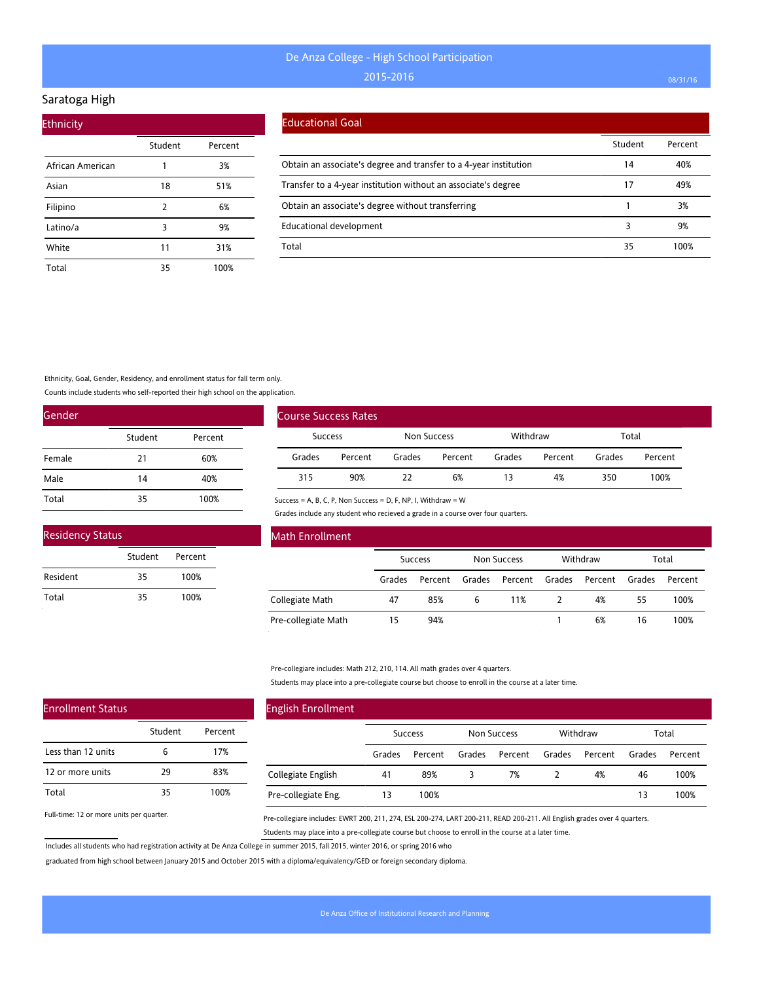## Saratoga High

| <b>Ethnicity</b> |         |         |
|------------------|---------|---------|
|                  | Student | Percent |
| African American | 1       | 3%      |
| Asian            | 18      | 51%     |
| Filipino         | 2       | 6%      |
| Latino/a         | 3       | 9%      |
| White            | 11      | 31%     |
| Total            | 35      | 100%    |

### Educational Goal

|                                                                   | Student | Percent |
|-------------------------------------------------------------------|---------|---------|
| Obtain an associate's degree and transfer to a 4-year institution | 14      | 40%     |
| Transfer to a 4-year institution without an associate's degree    | 17      | 49%     |
| Obtain an associate's degree without transferring                 |         | 3%      |
| <b>Educational development</b>                                    |         | 9%      |
| Total                                                             | 35      | 100%    |

Ethnicity, Goal, Gender, Residency, and enrollment status for fall term only.

Counts include students who self-reported their high school on the application.

| Gender |         |         |
|--------|---------|---------|
|        | Student | Percent |
| Female | 21      | 60%     |
| Male   | 14      | 40%     |
| Total  | 35      | 100%    |

| <b>Residency Status</b> |         |         |  |
|-------------------------|---------|---------|--|
|                         | Student | Percent |  |
| Resident                | 35      | 100%    |  |
| Total                   | 35      | 100%    |  |

| <b>Course Success Rates</b> |                                      |        |         |          |         |        |         |
|-----------------------------|--------------------------------------|--------|---------|----------|---------|--------|---------|
|                             | <b>Non Success</b><br><b>Success</b> |        |         | Withdraw |         | Total  |         |
| Grades                      | Percent                              | Grades | Percent | Grades   | Percent | Grades | Percent |
| 315                         | 90%                                  | 22     | 6%      | 13       | 4%      | 350    | 100%    |

Success = A, B, C, P, Non Success = D, F, NP, I, Withdraw = W

Grades include any student who recieved a grade in a course over four quarters.

| Math Enrollment     |                |         |                    |         |          |         |        |         |
|---------------------|----------------|---------|--------------------|---------|----------|---------|--------|---------|
|                     | <b>Success</b> |         | <b>Non Success</b> |         | Withdraw |         | Total  |         |
|                     | Grades         | Percent | Grades             | Percent | Grades   | Percent | Grades | Percent |
| Collegiate Math     | 47             | 85%     | 6                  | 11%     |          | 4%      | 55     | 100%    |
| Pre-collegiate Math | 15             | 94%     |                    |         |          | 6%      | 16     | 100%    |

Pre-collegiare includes: Math 212, 210, 114. All math grades over 4 quarters.

Students may place into a pre-collegiate course but choose to enroll in the course at a later time.

| <b>English Enrollment</b> |        |                |        |             |        |          |        |         |
|---------------------------|--------|----------------|--------|-------------|--------|----------|--------|---------|
|                           |        | <b>Success</b> |        | Non Success |        | Withdraw |        | Total   |
|                           | Grades | Percent        | Grades | Percent     | Grades | Percent  | Grades | Percent |
| Collegiate English        | 41     | 89%            | 3      | 7%          |        | 4%       | 46     | 100%    |
| Pre-collegiate Eng.       | 13     | 100%           |        |             |        |          | 13     | 100%    |

Full-time: 12 or more units per quarter.

Enrollment Status

Less than 12 units 12 or more units

Total

Pre-collegiare includes: EWRT 200, 211, 274, ESL 200-274, LART 200-211, READ 200-211. All English grades over 4 quarters. Students may place into a pre-collegiate course but choose to enroll in the course at a later time.

Includes all students who had registration activity at De Anza College in summer 2015, fall 2015, winter 2016, or spring 2016 who

Student Percent

6 17% 29 83% 35 100%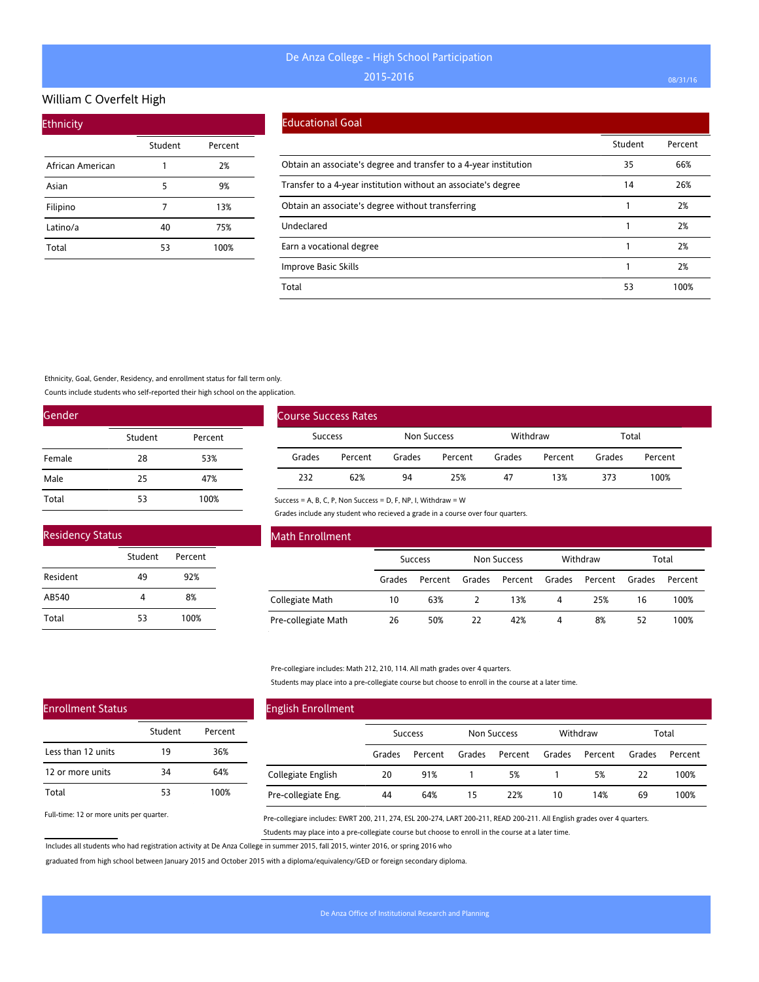## William C Overfelt High

| <b>Ethnicity</b> |         |         |
|------------------|---------|---------|
|                  | Student | Percent |
| African American | 1       | 2%      |
| Asian            | 5       | 9%      |
| Filipino         | 7       | 13%     |
| Latino/a         | 40      | 75%     |
| Total            | 53      | 100%    |

#### Educational Goal

|                                                                   | Student | Percent |
|-------------------------------------------------------------------|---------|---------|
| Obtain an associate's degree and transfer to a 4-year institution | 35      | 66%     |
| Transfer to a 4-year institution without an associate's degree    | 14      | 26%     |
| Obtain an associate's degree without transferring                 |         | 2%      |
| Undeclared                                                        |         | 2%      |
| Earn a vocational degree                                          |         | 2%      |
| Improve Basic Skills                                              |         | 2%      |
| Total                                                             | 53      | 100%    |

Ethnicity, Goal, Gender, Residency, and enrollment status for fall term only.

Counts include students who self-reported their high school on the application.

| Gender |         |         |  |  |  |  |
|--------|---------|---------|--|--|--|--|
|        | Student | Percent |  |  |  |  |
| Female | 28      | 53%     |  |  |  |  |
| Male   | 25      | 47%     |  |  |  |  |
| Total  | 53      | 100%    |  |  |  |  |

| <b>Residency Status</b> |         |         |  |  |  |  |
|-------------------------|---------|---------|--|--|--|--|
|                         | Student | Percent |  |  |  |  |
| Resident                | 49      | 92%     |  |  |  |  |
| AB540                   |         | 8%      |  |  |  |  |
| Total                   | 53      | 100%    |  |  |  |  |

| Course Success Rates |         |             |         |          |         |        |         |
|----------------------|---------|-------------|---------|----------|---------|--------|---------|
| <b>Success</b>       |         | Non Success |         | Withdraw |         | Total  |         |
| Grades               | Percent | Grades      | Percent | Grades   | Percent | Grades | Percent |
| 232                  | 62%     | 94          | 25%     | 47       | 13%     | 373    | 100%    |

Success = A, B, C, P, Non Success = D, F, NP, I, Withdraw = W

Grades include any student who recieved a grade in a course over four quarters.

| Math Enrollment     |                |         |                    |         |          |         |        |         |
|---------------------|----------------|---------|--------------------|---------|----------|---------|--------|---------|
|                     | <b>Success</b> |         | <b>Non Success</b> |         | Withdraw |         | Total  |         |
|                     | Grades         | Percent | Grades             | Percent | Grades   | Percent | Grades | Percent |
| Collegiate Math     | 10             | 63%     |                    | 13%     | 4        | 25%     | 16     | 100%    |
| Pre-collegiate Math | 26             | 50%     | 22                 | 42%     | 4        | 8%      | 52     | 100%    |

Pre-collegiare includes: Math 212, 210, 114. All math grades over 4 quarters.

Students may place into a pre-collegiate course but choose to enroll in the course at a later time.

| <b>English Enrollment</b> |        |                |        |             |        |          |        |         |
|---------------------------|--------|----------------|--------|-------------|--------|----------|--------|---------|
|                           |        | <b>Success</b> |        | Non Success |        | Withdraw |        | Total   |
|                           | Grades | Percent        | Grades | Percent     | Grades | Percent  | Grades | Percent |
| Collegiate English        | 20     | 91%            |        | 5%          |        | 5%       | 22     | 100%    |
| Pre-collegiate Eng.       | 44     | 64%            | 15     | 22%         | 10     | 14%      | 69     | 100%    |

Full-time: 12 or more units per quarter.

Enrollment Status

Less than 12 units 12 or more units

Total

Pre-collegiare includes: EWRT 200, 211, 274, ESL 200-274, LART 200-211, READ 200-211. All English grades over 4 quarters. Students may place into a pre-collegiate course but choose to enroll in the course at a later time.

Includes all students who had registration activity at De Anza College in summer 2015, fall 2015, winter 2016, or spring 2016 who

Student Percent

19 36% 34 64% 53 100%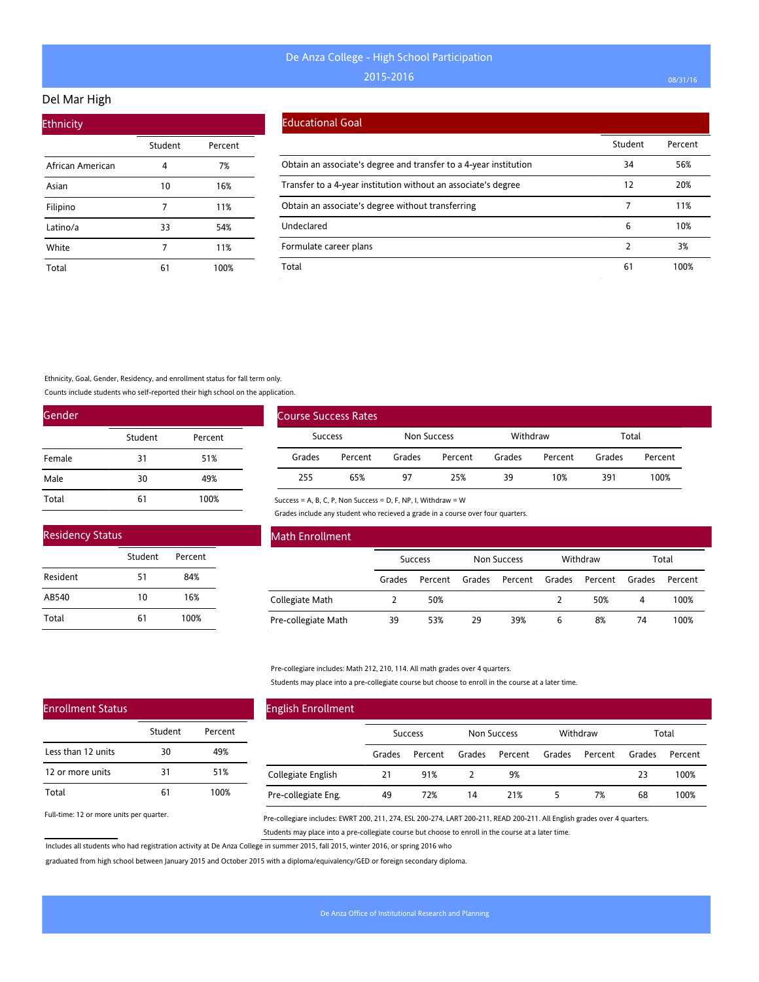## Del Mar High

| <b>Ethnicity</b> |         |         |
|------------------|---------|---------|
|                  | Student | Percent |
| African American | 4       | 7%      |
| Asian            | 10      | 16%     |
| Filipino         | 7       | 11%     |
| Latino/a         | 33      | 54%     |
| White            | 7       | 11%     |
| Total            | 61      | 100%    |

#### Educational Goal

|                                                                   | Student | Percent |
|-------------------------------------------------------------------|---------|---------|
| Obtain an associate's degree and transfer to a 4-year institution | 34      | 56%     |
| Transfer to a 4-year institution without an associate's degree    | 12      | 20%     |
| Obtain an associate's degree without transferring                 |         | 11%     |
| Undeclared                                                        | 6       | 10%     |
| Formulate career plans                                            |         | 3%      |
| Total                                                             | 61      | 100%    |

Ethnicity, Goal, Gender, Residency, and enrollment status for fall term only.

Counts include students who self-reported their high school on the application.

| Gender |         |         |  |  |  |  |
|--------|---------|---------|--|--|--|--|
|        | Student | Percent |  |  |  |  |
| Female | 31      | 51%     |  |  |  |  |
| Male   | 30      | 49%     |  |  |  |  |
| Total  | 61      | 100%    |  |  |  |  |

| <b>Residency Status</b> |         |         |  |  |  |  |  |
|-------------------------|---------|---------|--|--|--|--|--|
|                         | Student | Percent |  |  |  |  |  |
| Resident                | 51      | 84%     |  |  |  |  |  |
| AB540                   | 10      | 16%     |  |  |  |  |  |
| Total                   | 61      | 100%    |  |  |  |  |  |

| <b>Course Success Rates</b> |         |             |         |          |         |        |         |
|-----------------------------|---------|-------------|---------|----------|---------|--------|---------|
| Success                     |         | Non Success |         | Withdraw |         | Total  |         |
| Grades                      | Percent | Grades      | Percent | Grades   | Percent | Grades | Percent |
| 255                         | 65%     | 97          | 25%     | 39       | 10%     | 391    | 100%    |

Success = A, B, C, P, Non Success = D, F, NP, I, Withdraw = W

Grades include any student who recieved a grade in a course over four quarters.

| Math Enrollment     |                |         |             |         |          |         |        |         |
|---------------------|----------------|---------|-------------|---------|----------|---------|--------|---------|
|                     | <b>Success</b> |         | Non Success |         | Withdraw |         | Total  |         |
|                     | Grades         | Percent | Grades      | Percent | Grades   | Percent | Grades | Percent |
| Collegiate Math     |                | 50%     |             |         |          | 50%     | 4      | 100%    |
| Pre-collegiate Math | 39             | 53%     | 29          | 39%     | 6        | 8%      | 74     | 100%    |

Pre-collegiare includes: Math 212, 210, 114. All math grades over 4 quarters.

Students may place into a pre-collegiate course but choose to enroll in the course at a later time.

| <b>English Enrollment</b> |                |         |             |         |          |         |        |         |
|---------------------------|----------------|---------|-------------|---------|----------|---------|--------|---------|
|                           | <b>Success</b> |         | Non Success |         | Withdraw |         | Total  |         |
|                           | Grades         | Percent | Grades      | Percent | Grades   | Percent | Grades | Percent |
| Collegiate English        | 21             | 91%     |             | 9%      |          |         | 23     | 100%    |
| Pre-collegiate Eng.       | 49             | 72%     | 14          | 21%     | 5        | 7%      | 68     | 100%    |

Full-time: 12 or more units per quarter.

Enrollment Status

Less than 12 units 12 or more units

Total

Pre-collegiare includes: EWRT 200, 211, 274, ESL 200-274, LART 200-211, READ 200-211. All English grades over 4 quarters. Students may place into a pre-collegiate course but choose to enroll in the course at a later time.

Includes all students who had registration activity at De Anza College in summer 2015, fall 2015, winter 2016, or spring 2016 who

Student Percent

30 49% 31 51% 61 100%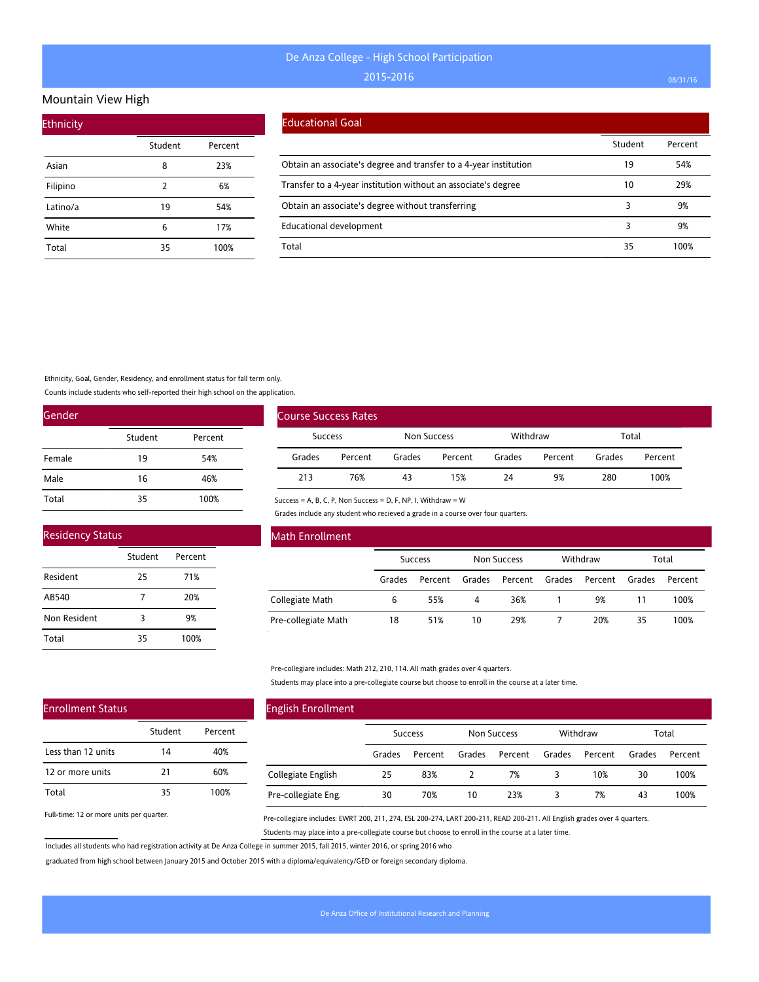#### Mountain View High

| <b>Ethnicity</b> |         |         |
|------------------|---------|---------|
|                  | Student | Percent |
| Asian            | 8       | 23%     |
| Filipino         | 2       | 6%      |
| Latino/a         | 19      | 54%     |
| White            | 6       | 17%     |
| Total            | 35      | 100%    |

#### Educational Goal

|                                                                   | Student | Percent |
|-------------------------------------------------------------------|---------|---------|
| Obtain an associate's degree and transfer to a 4-year institution | 19      | 54%     |
| Transfer to a 4-year institution without an associate's degree    | 10      | 29%     |
| Obtain an associate's degree without transferring                 |         | 9%      |
| <b>Educational development</b>                                    |         | 9%      |
| Total                                                             | 35      | 100%    |

Ethnicity, Goal, Gender, Residency, and enrollment status for fall term only.

Counts include students who self-reported their high school on the application.

| Gender |         |         |
|--------|---------|---------|
|        | Student | Percent |
| Female | 19      | 54%     |
| Male   | 16      | 46%     |
| Total  | 35      | 100%    |

| <b>Course Success Rates</b> |         |             |         |          |         |        |         |
|-----------------------------|---------|-------------|---------|----------|---------|--------|---------|
| <b>Success</b>              |         | Non Success |         | Withdraw |         | Total  |         |
| Grades                      | Percent | Grades      | Percent | Grades   | Percent | Grades | Percent |
| 213                         | 76%     | 43          | 15%     | 24       | 9%      | 280    | 100%    |

## Residency Status

|              | Student | Percent |  |
|--------------|---------|---------|--|
| Resident     | 25      | 71%     |  |
| AB540        |         | 20%     |  |
| Non Resident | 3       | 9%      |  |
| Total        | 35      | 100%    |  |

#### Math Enrollment

|                     | Success |         | Non Success |         | Withdraw |         | Total  |         |
|---------------------|---------|---------|-------------|---------|----------|---------|--------|---------|
|                     | Grades  | Percent | Grades      | Percent | Grades   | Percent | Grades | Percent |
| Collegiate Math     | 6       | 55%     | 4           | 36%     |          | 9%      | 11     | 100%    |
| Pre-collegiate Math | 18      | 51%     | 10          | 29%     |          | 20%     | 35     | 100%    |

#### Pre-collegiare includes: Math 212, 210, 114. All math grades over 4 quarters.

Success = A, B, C, P, Non Success = D, F, NP, I, Withdraw = W

Grades include any student who recieved a grade in a course over four quarters.

Students may place into a pre-collegiate course but choose to enroll in the course at a later time.

## Enrollment Status

|                    | Student | Percent |
|--------------------|---------|---------|
| Less than 12 units | 14      | 40%     |
| 12 or more units   | 21      | 60%     |
| Total              | 35      | 100%    |

Full-time: 12 or more units per quarter.

# English Enrollment

|                     |        | <b>Success</b> |        | Non Success |        | Withdraw |        | Total   |  |
|---------------------|--------|----------------|--------|-------------|--------|----------|--------|---------|--|
|                     | Grades | Percent        | Grades | Percent     | Grades | Percent  | Grades | Percent |  |
| Collegiate English  | 25     | 83%            |        | 7%          |        | 10%      | 30     | 100%    |  |
| Pre-collegiate Eng. | 30     | 70%            | 10     | 23%         |        | 7%       | 43     | 100%    |  |

Pre-collegiare includes: EWRT 200, 211, 274, ESL 200-274, LART 200-211, READ 200-211. All English grades over 4 quarters. Students may place into a pre-collegiate course but choose to enroll in the course at a later time.

Includes all students who had registration activity at De Anza College in summer 2015, fall 2015, winter 2016, or spring 2016 who

graduated from high school between January 2015 and October 2015 with a diploma/equivalency/GED or foreign secondary diploma.

 $\overline{\phantom{a}}$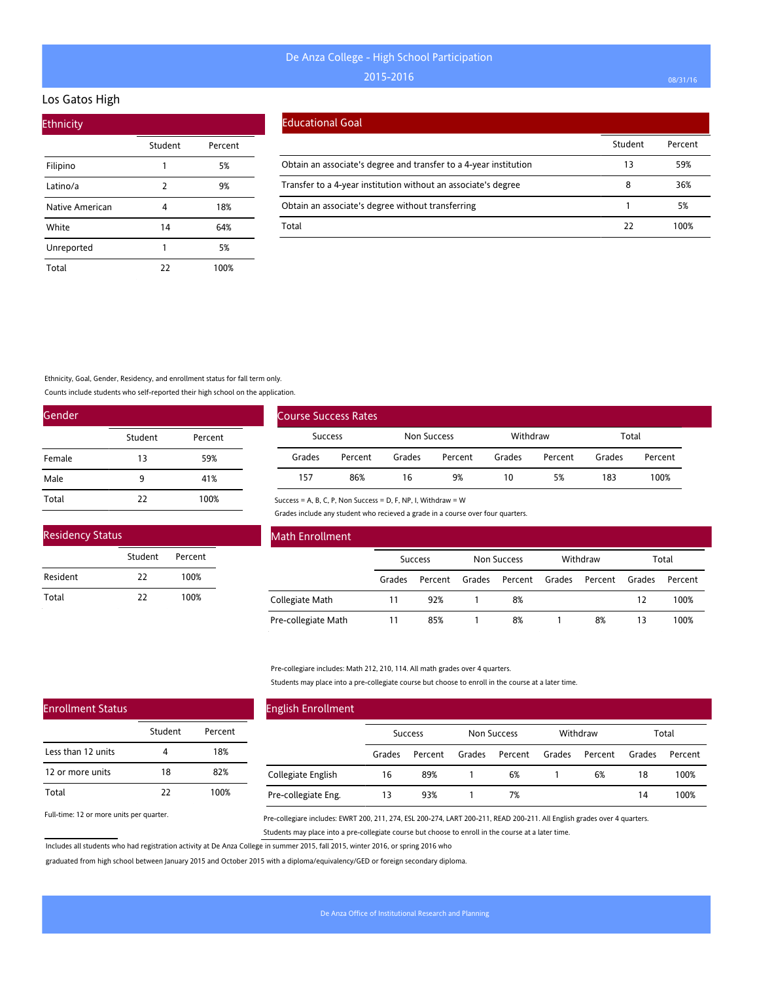#### Los Gatos High

| <b>Ethnicity</b> |         |         |
|------------------|---------|---------|
|                  | Student | Percent |
| Filipino         | 1       | 5%      |
| Latino/a         | 2       | 9%      |
| Native American  | 4       | 18%     |
| White            | 14      | 64%     |
| Unreported       | 1       | 5%      |
| Total            | 22      | 100%    |

#### Educational Goal

|                                                                   | Student | Percent |
|-------------------------------------------------------------------|---------|---------|
| Obtain an associate's degree and transfer to a 4-year institution | 13      | 59%     |
| Transfer to a 4-year institution without an associate's degree    | 8       | 36%     |
| Obtain an associate's degree without transferring                 |         | 5%      |
| Total                                                             | 22      | 100%    |

Ethnicity, Goal, Gender, Residency, and enrollment status for fall term only.

Counts include students who self-reported their high school on the application.

| Gender |         |         |
|--------|---------|---------|
|        | Student | Percent |
| Female | 13      | 59%     |
| Male   | 9       | 41%     |
| Total  | 22      | 100%    |

| <b>Residency Status</b> |         |         |  |
|-------------------------|---------|---------|--|
|                         | Student | Percent |  |
| Resident                | 22      | 100%    |  |
| Total                   | 77      | 100%    |  |

| <b>Course Success Rates</b> |         |             |         |          |         |        |         |
|-----------------------------|---------|-------------|---------|----------|---------|--------|---------|
| <b>Success</b>              |         | Non Success |         | Withdraw |         | Total  |         |
| Grades                      | Percent | Grades      | Percent | Grades   | Percent | Grades | Percent |
| 157                         | 86%     | 16          | 9%      | 10       | 5%      | 183    | 100%    |

Success = A, B, C, P, Non Success = D, F, NP, I, Withdraw = W

Grades include any student who recieved a grade in a course over four quarters.

| Math Enrollment     |        |                |        |                    |        |          |        |         |
|---------------------|--------|----------------|--------|--------------------|--------|----------|--------|---------|
|                     |        | <b>Success</b> |        | <b>Non Success</b> |        | Withdraw |        | Total   |
|                     | Grades | Percent        | Grades | Percent            | Grades | Percent  | Grades | Percent |
| Collegiate Math     | 11     | 92%            |        | 8%                 |        |          | 12     | 100%    |
| Pre-collegiate Math |        | 85%            |        | 8%                 |        | 8%       | 13     | 100%    |

Pre-collegiare includes: Math 212, 210, 114. All math grades over 4 quarters.

Students may place into a pre-collegiate course but choose to enroll in the course at a later time.

| <b>English Enrollment</b> |        |         |        |             |        |          |        |         |
|---------------------------|--------|---------|--------|-------------|--------|----------|--------|---------|
|                           |        | Success |        | Non Success |        | Withdraw |        | Total   |
|                           | Grades | Percent | Grades | Percent     | Grades | Percent  | Grades | Percent |
| Collegiate English        | 16     | 89%     |        | 6%          |        | 6%       | 18     | 100%    |
| Pre-collegiate Eng.       | 13     | 93%     |        | 7%          |        |          | 14     | 100%    |

Full-time: 12 or more units per quarter.

Enrollment Status

Less than 12 units 12 or more units

Total

Pre-collegiare includes: EWRT 200, 211, 274, ESL 200-274, LART 200-211, READ 200-211. All English grades over 4 quarters. Students may place into a pre-collegiate course but choose to enroll in the course at a later time.

Includes all students who had registration activity at De Anza College in summer 2015, fall 2015, winter 2016, or spring 2016 who

Student Percent

4 18% 18 82% 22 100%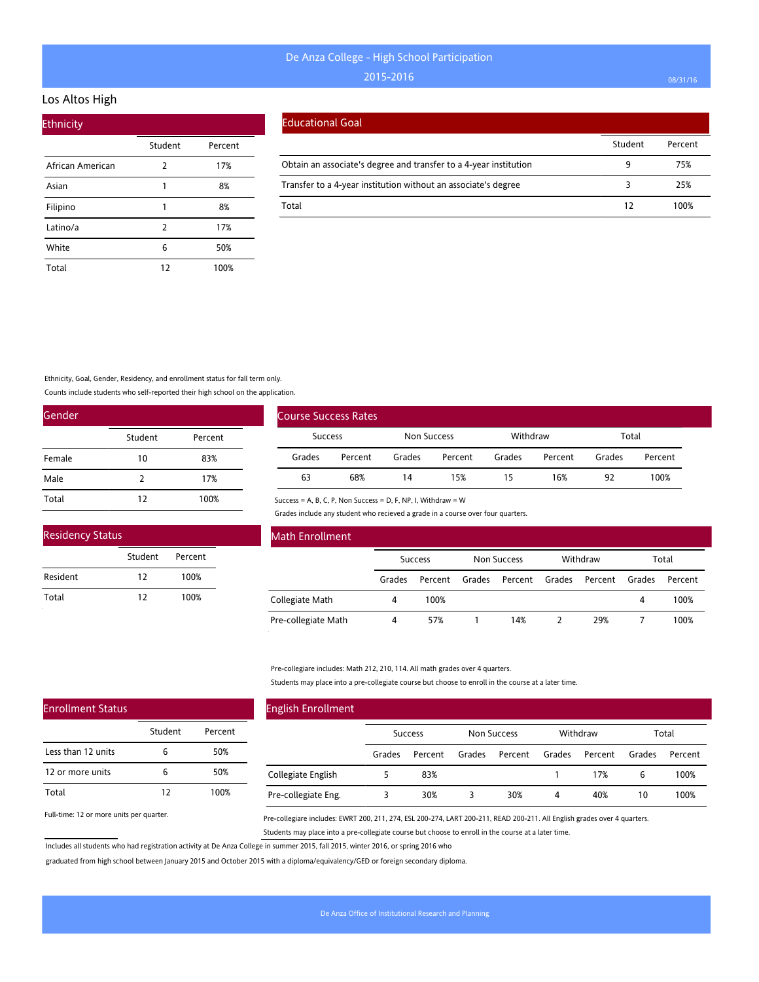### Los Altos High

| <b>Ethnicity</b> |         |         |
|------------------|---------|---------|
|                  | Student | Percent |
| African American | 2       | 17%     |
| Asian            | 1       | 8%      |
| Filipino         | 1       | 8%      |
| Latino/a         | 2       | 17%     |
| White            | 6       | 50%     |
| Total            | 12      | 100%    |

#### Educational Goal

|                                                                   | Student | Percent |
|-------------------------------------------------------------------|---------|---------|
| Obtain an associate's degree and transfer to a 4-year institution |         | 75%     |
| Transfer to a 4-year institution without an associate's degree    |         | 25%     |
| Total                                                             | 12      | 100%    |

Ethnicity, Goal, Gender, Residency, and enrollment status for fall term only.

Counts include students who self-reported their high school on the application.

| Gender |         |         |
|--------|---------|---------|
|        | Student | Percent |
| Female | 10      | 83%     |
| Male   | 2       | 17%     |
| Total  | 12      | 100%    |

| <b>Residency Status</b> |         |         |  |  |  |  |  |
|-------------------------|---------|---------|--|--|--|--|--|
|                         | Student | Percent |  |  |  |  |  |
| Resident                | 12      | 100%    |  |  |  |  |  |
| Total                   | 12      | 100%    |  |  |  |  |  |

| Course Success Rates |         |             |         |          |         |        |         |
|----------------------|---------|-------------|---------|----------|---------|--------|---------|
| <b>Success</b>       |         | Non Success |         | Withdraw |         | Total  |         |
| Grades               | Percent | Grades      | Percent | Grades   | Percent | Grades | Percent |
| 63                   | 68%     | 14          | 15%     | 15       | 16%     | 92     | 100%    |

Success = A, B, C, P, Non Success = D, F, NP, I, Withdraw = W

Grades include any student who recieved a grade in a course over four quarters.

| Math Enrollment     |        |                |        |                    |        |          |        |         |  |
|---------------------|--------|----------------|--------|--------------------|--------|----------|--------|---------|--|
|                     |        | <b>Success</b> |        | <b>Non Success</b> |        | Withdraw |        | Total   |  |
|                     | Grades | Percent        | Grades | Percent            | Grades | Percent  | Grades | Percent |  |
| Collegiate Math     | 4      | 100%           |        |                    |        |          | 4      | 100%    |  |
| Pre-collegiate Math | 4      | 57%            |        | 14%                |        | 29%      |        | 100%    |  |

Pre-collegiare includes: Math 212, 210, 114. All math grades over 4 quarters.

Students may place into a pre-collegiate course but choose to enroll in the course at a later time.

| <b>English Enrollment</b> |                |         |             |         |          |         |        |         |
|---------------------------|----------------|---------|-------------|---------|----------|---------|--------|---------|
|                           | <b>Success</b> |         | Non Success |         | Withdraw |         | Total  |         |
|                           | Grades         | Percent | Grades      | Percent | Grades   | Percent | Grades | Percent |
| Collegiate English        |                | 83%     |             |         |          | 17%     | 6      | 100%    |
| Pre-collegiate Eng.       |                | 30%     | 3           | 30%     | 4        | 40%     | 10     | 100%    |

Full-time: 12 or more units per quarter.

Enrollment Status

Less than 12 units 12 or more units

Total

Pre-collegiare includes: EWRT 200, 211, 274, ESL 200-274, LART 200-211, READ 200-211. All English grades over 4 quarters. Students may place into a pre-collegiate course but choose to enroll in the course at a later time.

Includes all students who had registration activity at De Anza College in summer 2015, fall 2015, winter 2016, or spring 2016 who

Student Percent

6 50% 6 50% 12 100%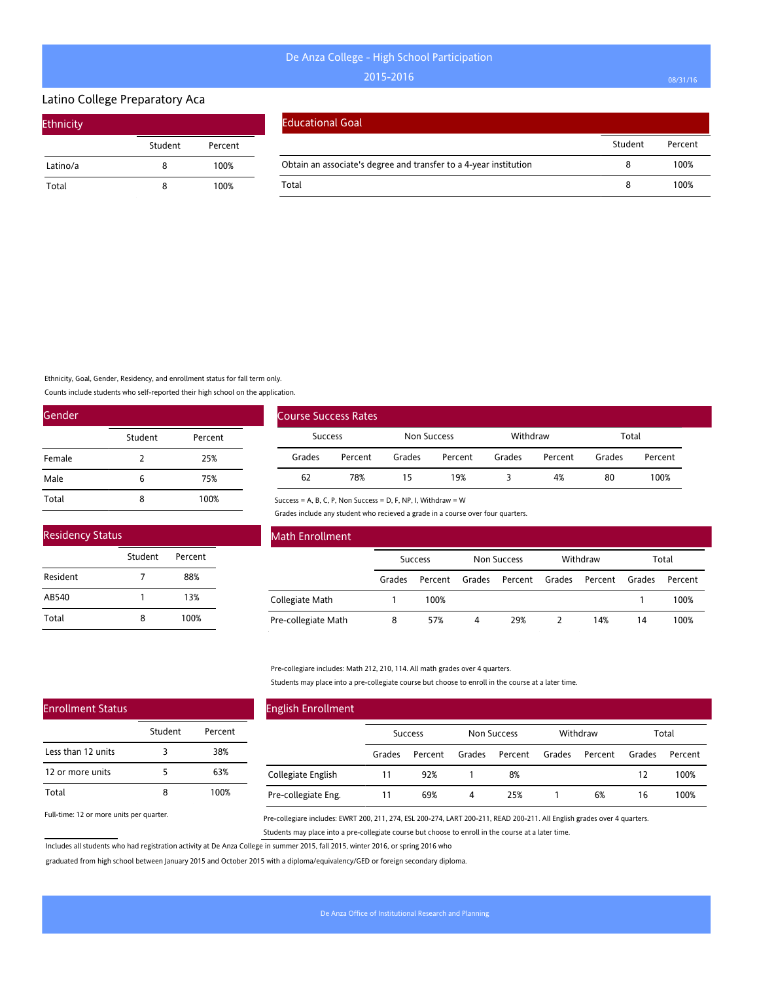# Latino College Preparatory Aca

| <b>Ethnicity</b> |         |         |  |  |  |  |  |  |
|------------------|---------|---------|--|--|--|--|--|--|
|                  | Student | Percent |  |  |  |  |  |  |
| Latino/a         | 8       | 100%    |  |  |  |  |  |  |
| Total            | 8       | 100%    |  |  |  |  |  |  |

#### Educational Goal

|                                                                   | Student | Percent |
|-------------------------------------------------------------------|---------|---------|
| Obtain an associate's degree and transfer to a 4-year institution |         | 100%    |
| Total                                                             |         | 100%    |

Ethnicity, Goal, Gender, Residency, and enrollment status for fall term only.

Counts include students who self-reported their high school on the application.

| Gender |         |         |  |  |  |  |  |
|--------|---------|---------|--|--|--|--|--|
|        | Student | Percent |  |  |  |  |  |
| Female | 2       | 25%     |  |  |  |  |  |
| Male   | 6       | 75%     |  |  |  |  |  |
| Total  | 8       | 100%    |  |  |  |  |  |

| <b>Residency Status</b> |         |         |  |  |  |  |  |
|-------------------------|---------|---------|--|--|--|--|--|
|                         | Student | Percent |  |  |  |  |  |
| Resident                | 7       | 88%     |  |  |  |  |  |
| AB540                   | 1       | 13%     |  |  |  |  |  |
| Total                   | 8       | 100%    |  |  |  |  |  |

| <b>Course Success Rates</b> |         |             |         |          |         |        |         |
|-----------------------------|---------|-------------|---------|----------|---------|--------|---------|
| Success                     |         | Non Success |         | Withdraw |         | Total  |         |
| Grades                      | Percent | Grades      | Percent | Grades   | Percent | Grades | Percent |
| 62                          | 78%     | 15          | 19%     |          | 4%      | 80     | 100%    |

Success = A, B, C, P, Non Success = D, F, NP, I, Withdraw = W

Grades include any student who recieved a grade in a course over four quarters.

| Math Enrollment     |                |         |                    |         |          |         |        |         |
|---------------------|----------------|---------|--------------------|---------|----------|---------|--------|---------|
|                     | <b>Success</b> |         | <b>Non Success</b> |         | Withdraw |         | Total  |         |
|                     | Grades         | Percent | Grades             | Percent | Grades   | Percent | Grades | Percent |
| Collegiate Math     |                | 100%    |                    |         |          |         |        | 100%    |
| Pre-collegiate Math | 8              | 57%     | 4                  | 29%     |          | 14%     | 14     | 100%    |

Pre-collegiare includes: Math 212, 210, 114. All math grades over 4 quarters.

Students may place into a pre-collegiate course but choose to enroll in the course at a later time.

| <b>English Enrollment</b> |                |         |                    |         |          |         |        |         |
|---------------------------|----------------|---------|--------------------|---------|----------|---------|--------|---------|
|                           | <b>Success</b> |         | <b>Non Success</b> |         | Withdraw |         | Total  |         |
|                           | Grades         | Percent | Grades             | Percent | Grades   | Percent | Grades | Percent |
| Collegiate English        | 11             | 92%     |                    | 8%      |          |         | 12     | 100%    |
| Pre-collegiate Eng.       | 11             | 69%     | 4                  | 25%     |          | 6%      | 16     | 100%    |

Full-time: 12 or more units per quarter.

Enrollment Status

Less than 12 units 12 or more units

Total

Pre-collegiare includes: EWRT 200, 211, 274, ESL 200-274, LART 200-211, READ 200-211. All English grades over 4 quarters. Students may place into a pre-collegiate course but choose to enroll in the course at a later time.

Includes all students who had registration activity at De Anza College in summer 2015, fall 2015, winter 2016, or spring 2016 who

Student Percent

3 38% 5 63% 8 100%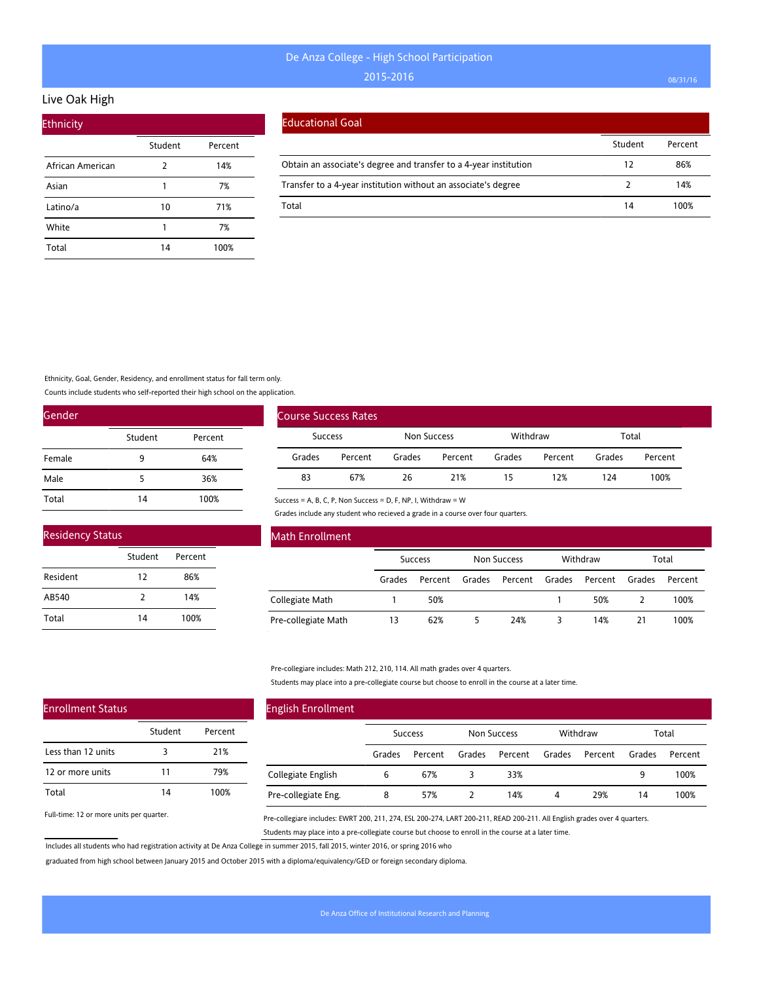## Live Oak High

| <b>Ethnicity</b> |         |         |
|------------------|---------|---------|
|                  | Student | Percent |
| African American | 2       | 14%     |
| Asian            | 1       | 7%      |
| Latino/a         | 10      | 71%     |
| White            | 1       | 7%      |
| Total            | 14      | 100%    |

#### Educational Goal

|                                                                   | Student | Percent |
|-------------------------------------------------------------------|---------|---------|
| Obtain an associate's degree and transfer to a 4-year institution | 12      | 86%     |
| Transfer to a 4-year institution without an associate's degree    |         | 14%     |
| Total                                                             | 14      | 100%    |

Ethnicity, Goal, Gender, Residency, and enrollment status for fall term only.

Counts include students who self-reported their high school on the application.

| Gender |         |         |  |  |  |  |  |
|--------|---------|---------|--|--|--|--|--|
|        | Student | Percent |  |  |  |  |  |
| Female | 9       | 64%     |  |  |  |  |  |
| Male   | 5       | 36%     |  |  |  |  |  |
| Total  | 14      | 100%    |  |  |  |  |  |

| <b>Residency Status</b> |         |         |  |  |  |  |  |
|-------------------------|---------|---------|--|--|--|--|--|
|                         | Student | Percent |  |  |  |  |  |
| Resident                | 12      | 86%     |  |  |  |  |  |
| AB540                   | 2       | 14%     |  |  |  |  |  |
| Total                   | 14      | 100%    |  |  |  |  |  |

|                | <b>Course Success Rates</b> |             |         |          |         |        |         |
|----------------|-----------------------------|-------------|---------|----------|---------|--------|---------|
| <b>Success</b> |                             | Non Success |         | Withdraw |         | Total  |         |
| Grades         | Percent                     | Grades      | Percent | Grades   | Percent | Grades | Percent |
| 83             | 67%                         | 26          | 21%     | 15       | 12%     | 124    | 100%    |

Success = A, B, C, P, Non Success = D, F, NP, I, Withdraw = W

Grades include any student who recieved a grade in a course over four quarters.

| Math Enrollment     |        |                |        |                    |        |          |        |         |
|---------------------|--------|----------------|--------|--------------------|--------|----------|--------|---------|
|                     |        | <b>Success</b> |        | <b>Non Success</b> |        | Withdraw |        | Total   |
|                     | Grades | Percent        | Grades | Percent            | Grades | Percent  | Grades | Percent |
| Collegiate Math     |        | 50%            |        |                    |        | 50%      |        | 100%    |
| Pre-collegiate Math | 13     | 62%            |        | 24%                |        | 14%      | 21     | 100%    |

Pre-collegiare includes: Math 212, 210, 114. All math grades over 4 quarters.

Students may place into a pre-collegiate course but choose to enroll in the course at a later time.

| <b>English Enrollment</b> |        |                |        |                    |        |          |        |         |
|---------------------------|--------|----------------|--------|--------------------|--------|----------|--------|---------|
|                           |        | <b>Success</b> |        | <b>Non Success</b> |        | Withdraw |        | Total   |
|                           | Grades | Percent        | Grades | Percent            | Grades | Percent  | Grades | Percent |
| Collegiate English        | 6      | 67%            | 3      | 33%                |        |          | 9      | 100%    |
| Pre-collegiate Eng.       | 8      | 57%            |        | 14%                | 4      | 29%      | 14     | 100%    |

Full-time: 12 or more units per quarter.

Enrollment Status

Less than 12 units 12 or more units

Total

Pre-collegiare includes: EWRT 200, 211, 274, ESL 200-274, LART 200-211, READ 200-211. All English grades over 4 quarters. Students may place into a pre-collegiate course but choose to enroll in the course at a later time.

Includes all students who had registration activity at De Anza College in summer 2015, fall 2015, winter 2016, or spring 2016 who

Student Percent

3 21% 11 79% 14 100%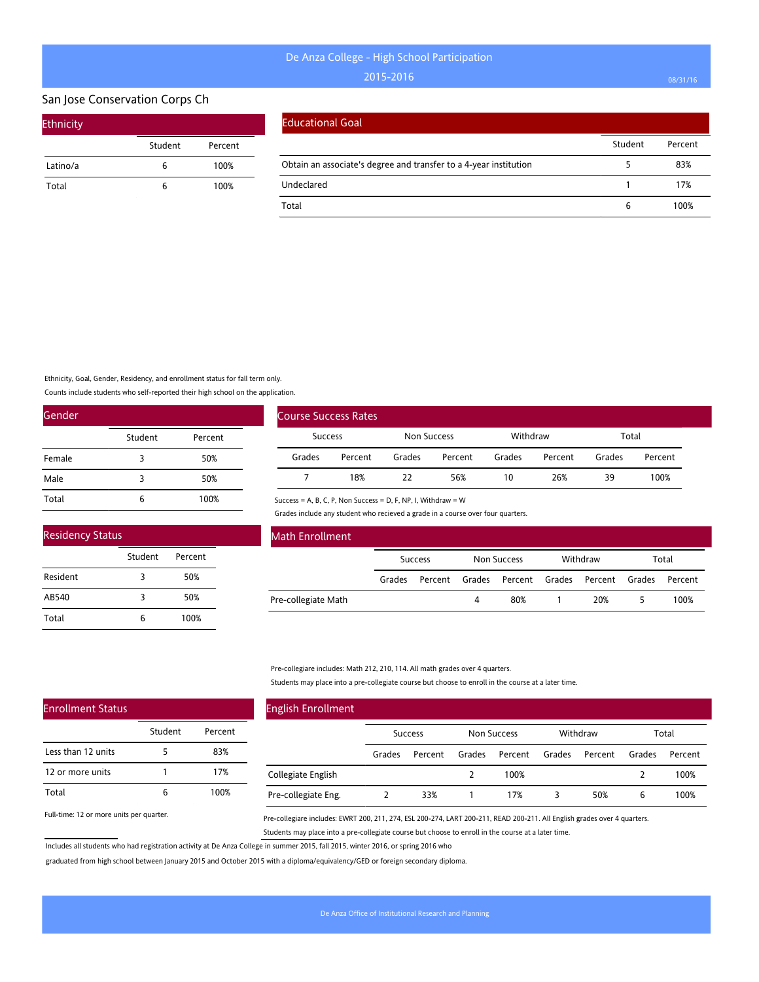### San Jose Conservation Corps Ch

| <b>Ethnicity</b> |         |         |
|------------------|---------|---------|
|                  | Student | Percent |
| Latino/a         | 6       | 100%    |
| Total            | 6       | 100%    |

#### Educational Goal

|                                                                   | Student | Percent |
|-------------------------------------------------------------------|---------|---------|
| Obtain an associate's degree and transfer to a 4-year institution |         | 83%     |
| Undeclared                                                        |         | 17%     |
| Total                                                             |         | 00% ا   |

Ethnicity, Goal, Gender, Residency, and enrollment status for fall term only.

Counts include students who self-reported their high school on the application.

Student Percent

3 50% 3 50% 6 100%

Student Percent

5 83% 1 17% 6 100%

| Gender |         |         |  |  |  |  |  |
|--------|---------|---------|--|--|--|--|--|
|        | Student | Percent |  |  |  |  |  |
| Female | 3       | 50%     |  |  |  |  |  |
| Male   | 3       | 50%     |  |  |  |  |  |
| Total  | 6       | 100%    |  |  |  |  |  |

| Course Success Rates |         |             |         |          |         |        |         |
|----------------------|---------|-------------|---------|----------|---------|--------|---------|
| Success              |         | Non Success |         | Withdraw |         | Total  |         |
| Grades               | Percent | Grades      | Percent | Grades   | Percent | Grades | Percent |
|                      | 18%     | 77          | 56%     | 10       | 26%     | 39     | 100%    |

Success = A, B, C, P, Non Success = D, F, NP, I, Withdraw = W

Grades include any student who recieved a grade in a course over four quarters.

| <b>Math Enrollment</b> |        |                |        |                        |          |        |         |
|------------------------|--------|----------------|--------|------------------------|----------|--------|---------|
|                        |        | <b>Success</b> |        | Non Success            | Withdraw |        | Total   |
|                        | Grades | Percent        | Grades | Percent Grades Percent |          | Grades | Percent |
| Pre-collegiate Math    |        |                | 4      | 80%                    | 20%      |        | 100%    |

Pre-collegiare includes: Math 212, 210, 114. All math grades over 4 quarters.

Students may place into a pre-collegiate course but choose to enroll in the course at a later time.

## English Enrollment Success Non Success Withdraw Total Grades Percent Grades Percent Grades Percent Grades Percent Collegiate English Pre-collegiate Eng. 2 100% 2 100% 2 33% 1 17% 3 50% 6 100%

Full-time: 12 or more units per quarter.

Enrollment Status

Less than 12 units 12 or more units

Total

Residency Status

Resident AB540 Total

> Pre-collegiare includes: EWRT 200, 211, 274, ESL 200-274, LART 200-211, READ 200-211. All English grades over 4 quarters. Students may place into a pre-collegiate course but choose to enroll in the course at a later time.

Includes all students who had registration activity at De Anza College in summer 2015, fall 2015, winter 2016, or spring 2016 who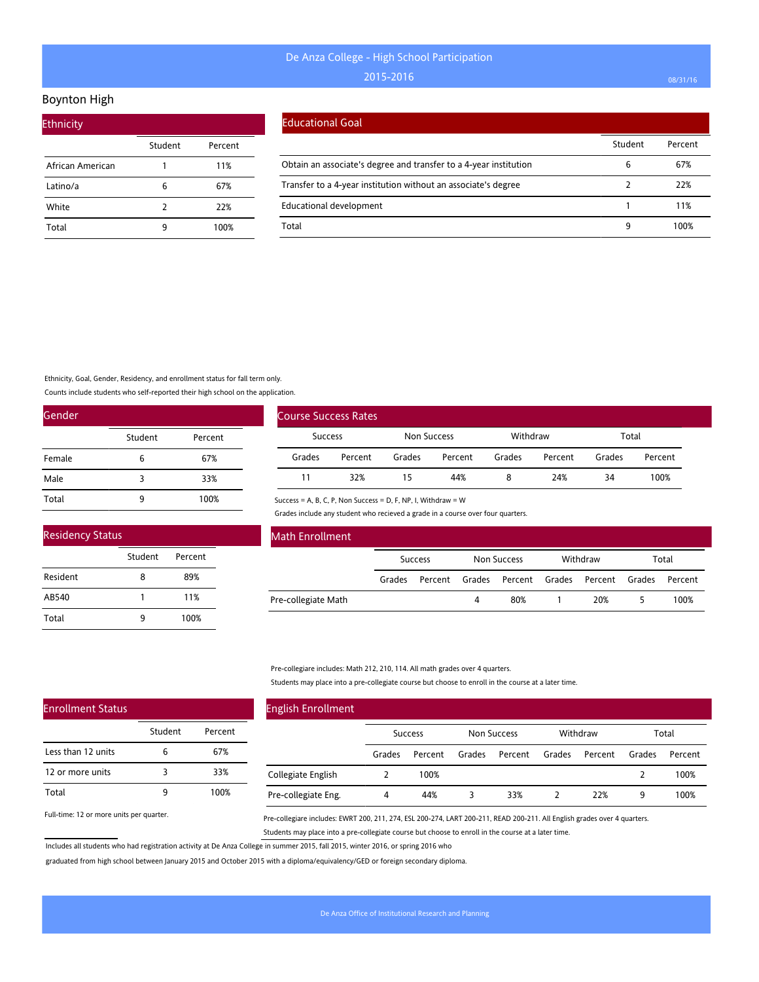### Boynton High

| <b>Ethnicity</b> |         |         |  |  |  |  |  |  |
|------------------|---------|---------|--|--|--|--|--|--|
|                  | Student | Percent |  |  |  |  |  |  |
| African American |         | 11%     |  |  |  |  |  |  |
| Latino/a         | 6       | 67%     |  |  |  |  |  |  |
| White            | 2       | 22%     |  |  |  |  |  |  |
| Total            | 9       | 100%    |  |  |  |  |  |  |

#### Educational Goal

|                                                                   | Student | Percent |
|-------------------------------------------------------------------|---------|---------|
| Obtain an associate's degree and transfer to a 4-year institution | b       | 67%     |
| Transfer to a 4-year institution without an associate's degree    |         | 22%     |
| <b>Educational development</b>                                    |         | 11%     |
| Total                                                             | q       | '00%    |

Ethnicity, Goal, Gender, Residency, and enrollment status for fall term only.

Counts include students who self-reported their high school on the application.

Student Percent

8 89% 1 11% 9 100%

| Gender |         |         |
|--------|---------|---------|
|        | Student | Percent |
| Female | 6       | 67%     |
| Male   | 3       | 33%     |
| Total  | 9       | 100%    |

| <b>Course Success Rates</b> |         |             |         |          |         |        |         |
|-----------------------------|---------|-------------|---------|----------|---------|--------|---------|
| <b>Success</b>              |         | Non Success |         | Withdraw |         | Total  |         |
| Grades                      | Percent | Grades      | Percent | Grades   | Percent | Grades | Percent |
| 11                          | 32%     | 15          | 44%     |          | 24%     | 34     | 100%    |

Success = A, B, C, P, Non Success = D, F, NP, I, Withdraw = W

Grades include any student who recieved a grade in a course over four quarters.

| <b>Math Enrollment</b> |        |                |        |                        |  |          |        |         |  |
|------------------------|--------|----------------|--------|------------------------|--|----------|--------|---------|--|
|                        |        | <b>Success</b> |        | Non Success            |  | Withdraw |        | Total   |  |
|                        | Grades | Percent        | Grades | Percent Grades Percent |  |          | Grades | Percent |  |
| Pre-collegiate Math    |        |                | 4      | 80%                    |  | 20%      |        | 100%    |  |

Pre-collegiare includes: Math 212, 210, 114. All math grades over 4 quarters.

Students may place into a pre-collegiate course but choose to enroll in the course at a later time.

| <b>English Enrollment</b> |                |         |             |         |          |         |        |         |
|---------------------------|----------------|---------|-------------|---------|----------|---------|--------|---------|
|                           | <b>Success</b> |         | Non Success |         | Withdraw |         | Total  |         |
|                           | Grades         | Percent | Grades      | Percent | Grades   | Percent | Grades | Percent |
| Collegiate English        |                | 100%    |             |         |          |         | 2      | 100%    |
| Pre-collegiate Eng.       | 4              | 44%     | 3           | 33%     |          | 22%     | 9      | 100%    |

Full-time: 12 or more units per quarter.

Pre-collegiare includes: EWRT 200, 211, 274, ESL 200-274, LART 200-211, READ 200-211. All English grades over 4 quarters. Students may place into a pre-collegiate course but choose to enroll in the course at a later time.

Includes all students who had registration activity at De Anza College in summer 2015, fall 2015, winter 2016, or spring 2016 who

graduated from high school between January 2015 and October 2015 with a diploma/equivalency/GED or foreign secondary diploma.

Enrollment Status

Residency Status

Resident AB540 Total

|                    | Student | Percent |
|--------------------|---------|---------|
| Less than 12 units | 6       | 67%     |
| 12 or more units   | 3       | 33%     |
| Total              |         | 100%    |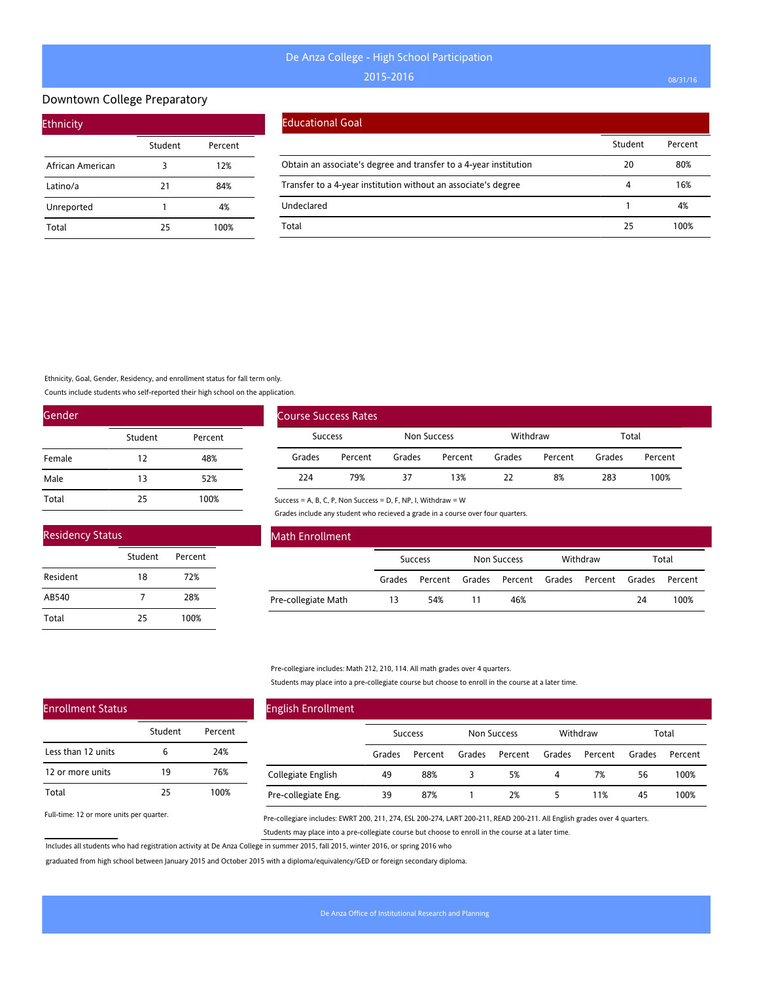#### Downtown College Preparatory

| <b>Ethnicity</b> |         |         |  |  |  |  |  |  |  |
|------------------|---------|---------|--|--|--|--|--|--|--|
|                  | Student | Percent |  |  |  |  |  |  |  |
| African American | 3       | 12%     |  |  |  |  |  |  |  |
| Latino/a         | 21      | 84%     |  |  |  |  |  |  |  |
| Unreported       | 1       | 4%      |  |  |  |  |  |  |  |
| Total            | 25      | 100%    |  |  |  |  |  |  |  |

#### Educational Goal

|                                                                   | Student | Percent |
|-------------------------------------------------------------------|---------|---------|
| Obtain an associate's degree and transfer to a 4-year institution | 20      | 80%     |
| Transfer to a 4-year institution without an associate's degree    | 4       | 16%     |
| Undeclared                                                        |         | 4%      |
| Total                                                             | 25      | 100%    |

Ethnicity, Goal, Gender, Residency, and enrollment status for fall term only.

Counts include students who self-reported their high school on the application.

| Gender |         |         |  |  |  |  |
|--------|---------|---------|--|--|--|--|
|        | Student | Percent |  |  |  |  |
| Female | 12      | 48%     |  |  |  |  |
| Male   | 13      | 52%     |  |  |  |  |
| Total  | 25      | 100%    |  |  |  |  |

| <b>Residency Status</b> |         |         |  |  |  |  |
|-------------------------|---------|---------|--|--|--|--|
|                         | Student | Percent |  |  |  |  |
| Resident                | 18      | 72%     |  |  |  |  |
| AB540                   |         | 28%     |  |  |  |  |
| Total                   | 25      | 100%    |  |  |  |  |

| Course Success Rates |         |        |             |        |          |        |         |
|----------------------|---------|--------|-------------|--------|----------|--------|---------|
| <b>Success</b>       |         |        | Non Success |        | Withdraw |        | Total   |
| Grades               | Percent | Grades | Percent     | Grades | Percent  | Grades | Percent |
| 224                  | 79%     | 37     | 13%         | 22     | 8%       | 283    | 100%    |

Success = A, B, C, P, Non Success = D, F, NP, I, Withdraw = W

Grades include any student who recieved a grade in a course over four quarters.

| <b>Math Enrollment</b> |        |                |        |                |  |                |    |         |  |
|------------------------|--------|----------------|--------|----------------|--|----------------|----|---------|--|
|                        |        | <b>Success</b> |        | Non Success    |  | Withdraw       |    | Total   |  |
|                        | Grades | Percent        | Grades | Percent Grades |  | Percent Grades |    | Percent |  |
| Pre-collegiate Math    | 13     | 54%            | 11     | 46%            |  |                | 24 | 100%    |  |

Pre-collegiare includes: Math 212, 210, 114. All math grades over 4 quarters.

Students may place into a pre-collegiate course but choose to enroll in the course at a later time.

| <b>English Enrollment</b> |        |                |        |                    |        |          |        |         |
|---------------------------|--------|----------------|--------|--------------------|--------|----------|--------|---------|
|                           |        | <b>Success</b> |        | <b>Non Success</b> |        | Withdraw |        | Total   |
|                           | Grades | Percent        | Grades | Percent            | Grades | Percent  | Grades | Percent |
| Collegiate English        | 49     | 88%            | 3      | 5%                 | 4      | 7%       | 56     | 100%    |
| Pre-collegiate Eng.       | 39     | 87%            |        | 2%                 | 5.     | 11%      | 45     | 100%    |

Full-time: 12 or more units per quarter.

Enrollment Status

Less than 12 units 12 or more units

Total

Pre-collegiare includes: EWRT 200, 211, 274, ESL 200-274, LART 200-211, READ 200-211. All English grades over 4 quarters. Students may place into a pre-collegiate course but choose to enroll in the course at a later time.

Includes all students who had registration activity at De Anza College in summer 2015, fall 2015, winter 2016, or spring 2016 who

Student Percent

6 24% 19 76% 25 100%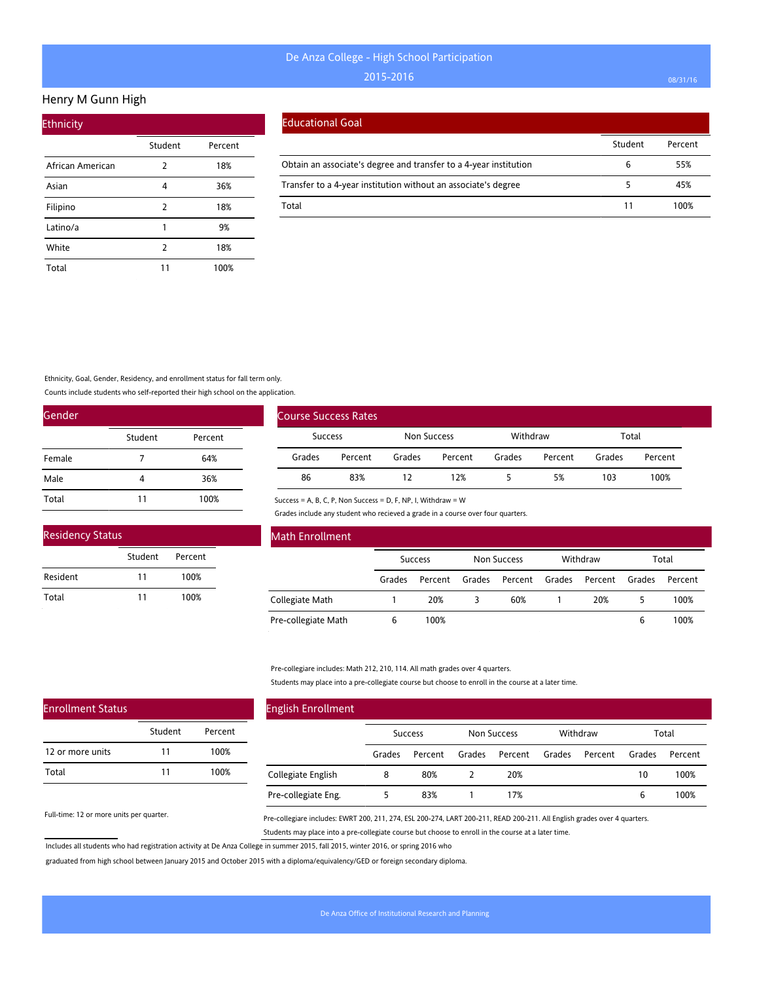#### Henry M Gunn High

| <b>Ethnicity</b> |         |         |
|------------------|---------|---------|
|                  | Student | Percent |
| African American | 2       | 18%     |
| Asian            | 4       | 36%     |
| Filipino         | 2       | 18%     |
| Latino/a         | 1       | 9%      |
| White            | 2       | 18%     |
| Total            | 11      | 100%    |

#### Educational Goal

|                                                                   | Student | Percent |
|-------------------------------------------------------------------|---------|---------|
| Obtain an associate's degree and transfer to a 4-year institution |         | 55%     |
| Transfer to a 4-year institution without an associate's degree    |         | 45%     |
| Total                                                             | 11      | 100%    |

Ethnicity, Goal, Gender, Residency, and enrollment status for fall term only.

Counts include students who self-reported their high school on the application.

| Gender |         |         |
|--------|---------|---------|
|        | Student | Percent |
| Female | 7       | 64%     |
| Male   | 4       | 36%     |
| Total  | 11      | 100%    |

| <b>Residency Status</b> |         |         |  |
|-------------------------|---------|---------|--|
|                         | Student | Percent |  |
| Resident                | 11      | 100%    |  |
| Total                   | 11      | 100%    |  |

|                | <b>Course Success Rates</b> |             |         |          |         |        |         |
|----------------|-----------------------------|-------------|---------|----------|---------|--------|---------|
| <b>Success</b> |                             | Non Success |         | Withdraw |         | Total  |         |
| Grades         | Percent                     | Grades      | Percent | Grades   | Percent | Grades | Percent |
| 86             | 83%                         |             | 12%     |          | 5%      | 103    | 100%    |

Success = A, B, C, P, Non Success = D, F, NP, I, Withdraw = W

Grades include any student who recieved a grade in a course over four quarters.

| Math Enrollment     |        |                |        |                    |        |          |        |         |
|---------------------|--------|----------------|--------|--------------------|--------|----------|--------|---------|
|                     |        | <b>Success</b> |        | <b>Non Success</b> |        | Withdraw |        | Total   |
|                     | Grades | Percent        | Grades | Percent            | Grades | Percent  | Grades | Percent |
| Collegiate Math     |        | 20%            |        | 60%                |        | 20%      |        | 100%    |
| Pre-collegiate Math | 6      | 100%           |        |                    |        |          | 6      | 100%    |

Pre-collegiare includes: Math 212, 210, 114. All math grades over 4 quarters.

Students may place into a pre-collegiate course but choose to enroll in the course at a later time.

| <b>English Enrollment</b> |        |                |        |             |        |          |        |         |  |
|---------------------------|--------|----------------|--------|-------------|--------|----------|--------|---------|--|
|                           |        | <b>Success</b> |        | Non Success |        | Withdraw |        | Total   |  |
|                           | Grades | Percent        | Grades | Percent     | Grades | Percent  | Grades | Percent |  |
| Collegiate English        | 8      | 80%            |        | 20%         |        |          | 10     | 100%    |  |
| Pre-collegiate Eng.       |        | 83%            |        | 17%         |        |          | 6      | 100%    |  |

Full-time: 12 or more units per quarter.

Enrollment Status

12 or more units

Total

Pre-collegiare includes: EWRT 200, 211, 274, ESL 200-274, LART 200-211, READ 200-211. All English grades over 4 quarters. Students may place into a pre-collegiate course but choose to enroll in the course at a later time.

Includes all students who had registration activity at De Anza College in summer 2015, fall 2015, winter 2016, or spring 2016 who

Student Percent

11 100% 11 100%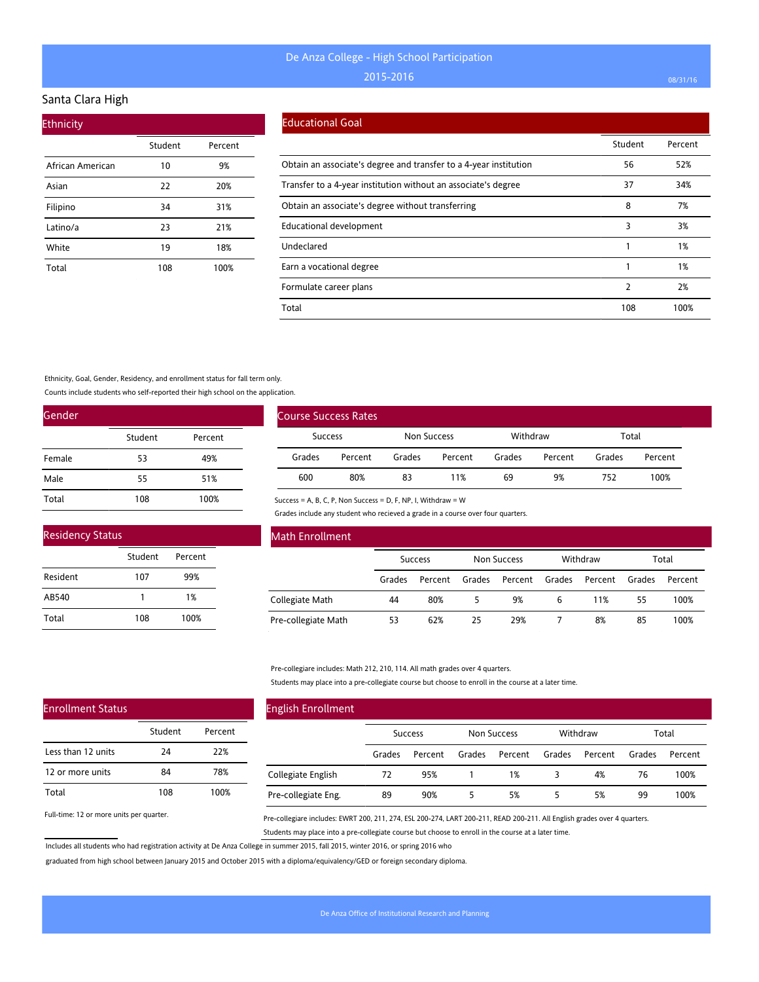#### Santa Clara High

| <b>Ethnicity</b> |         |         |
|------------------|---------|---------|
|                  | Student | Percent |
| African American | 10      | 9%      |
| Asian            | 22      | 20%     |
| Filipino         | 34      | 31%     |
| Latino/a         | 23      | 21%     |
| White            | 19      | 18%     |
| Total            | 108     | 100%    |

### Educational Goal

|                                                                   | Student | Percent |
|-------------------------------------------------------------------|---------|---------|
| Obtain an associate's degree and transfer to a 4-year institution | 56      | 52%     |
| Transfer to a 4-year institution without an associate's degree    | 37      | 34%     |
| Obtain an associate's degree without transferring                 | 8       | 7%      |
| Educational development                                           | 3       | 3%      |
| Undeclared                                                        |         | 1%      |
| Earn a vocational degree                                          |         | 1%      |
| Formulate career plans                                            | 2       | 2%      |
| Total                                                             | 108     | 100%    |

#### Ethnicity, Goal, Gender, Residency, and enrollment status for fall term only.

Counts include students who self-reported their high school on the application.

| Gender |         |         |
|--------|---------|---------|
|        | Student | Percent |
| Female | 53      | 49%     |
| Male   | 55      | 51%     |
| Total  | 108     | 100%    |

| <b>Residency Status</b> |         |         |  |
|-------------------------|---------|---------|--|
|                         | Student | Percent |  |
| Resident                | 107     | 99%     |  |
| AB540                   | 1       | 1%      |  |
| Total                   | 108     | 100%    |  |

| <b>Course Success Rates</b> |         |        |             |        |                   |        |         |
|-----------------------------|---------|--------|-------------|--------|-------------------|--------|---------|
| Success                     |         |        | Non Success |        | Withdraw<br>Total |        |         |
| Grades                      | Percent | Grades | Percent     | Grades | Percent           | Grades | Percent |
| 600                         | 80%     | 83     | 11%         | 69     | 9%                | 752    | 100%    |

Success = A, B, C, P, Non Success = D, F, NP, I, Withdraw = W

Grades include any student who recieved a grade in a course over four quarters.

| Math Enrollment     |                |         |                    |         |          |         |        |         |
|---------------------|----------------|---------|--------------------|---------|----------|---------|--------|---------|
|                     | <b>Success</b> |         | <b>Non Success</b> |         | Withdraw |         | Total  |         |
|                     | Grades         | Percent | Grades             | Percent | Grades   | Percent | Grades | Percent |
| Collegiate Math     | 44             | 80%     |                    | 9%      | 6        | 11%     | 55     | 100%    |
| Pre-collegiate Math | 53             | 62%     | 25                 | 29%     |          | 8%      | 85     | 100%    |

#### Pre-collegiare includes: Math 212, 210, 114. All math grades over 4 quarters.

Students may place into a pre-collegiate course but choose to enroll in the course at a later time.

| <b>English Enrollment</b> |                |         |                    |         |          |         |        |         |
|---------------------------|----------------|---------|--------------------|---------|----------|---------|--------|---------|
|                           | <b>Success</b> |         | <b>Non Success</b> |         | Withdraw |         | Total  |         |
|                           | Grades         | Percent | Grades             | Percent | Grades   | Percent | Grades | Percent |
| Collegiate English        | 72             | 95%     |                    | 1%      |          | 4%      | 76     | 100%    |
| Pre-collegiate Eng.       | 89             | 90%     |                    | 5%      |          | 5%      | 99     | 100%    |

Full-time: 12 or more units per quarter.

Enrollment Status

Less than 12 units 12 or more units

Total

Pre-collegiare includes: EWRT 200, 211, 274, ESL 200-274, LART 200-211, READ 200-211. All English grades over 4 quarters. Students may place into a pre-collegiate course but choose to enroll in the course at a later time.

Includes all students who had registration activity at De Anza College in summer 2015, fall 2015, winter 2016, or spring 2016 who

Student Percent

24 22% 84 78% 108 100%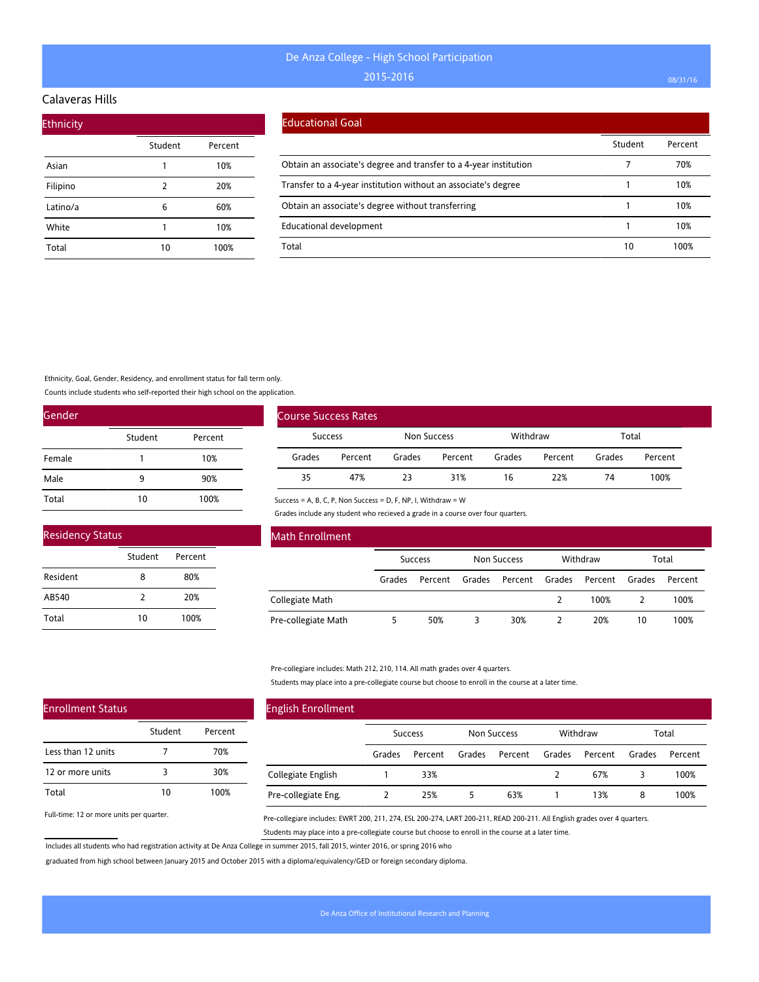## Calaveras Hills

| <b>Ethnicity</b> |         |         |
|------------------|---------|---------|
|                  | Student | Percent |
| Asian            | 1       | 10%     |
| Filipino         | 2       | 20%     |
| Latino/a         | 6       | 60%     |
| White            | 1       | 10%     |
| Total            | 10      | 100%    |

#### Educational Goal

|                                                                   | Student | Percent |
|-------------------------------------------------------------------|---------|---------|
| Obtain an associate's degree and transfer to a 4-year institution |         | 70%     |
| Transfer to a 4-year institution without an associate's degree    |         | 10%     |
| Obtain an associate's degree without transferring                 |         | 10%     |
| <b>Educational development</b>                                    |         | 10%     |
| Total                                                             | 10      | 100%    |

Ethnicity, Goal, Gender, Residency, and enrollment status for fall term only.

Counts include students who self-reported their high school on the application.

| Gender |         |         |
|--------|---------|---------|
|        | Student | Percent |
| Female |         | 10%     |
| Male   | ٩       | 90%     |
| Total  | 10      | 100%    |

| <b>Residency Status</b> |         |         |  |  |  |  |  |
|-------------------------|---------|---------|--|--|--|--|--|
|                         | Student | Percent |  |  |  |  |  |
| Resident                | 8       | 80%     |  |  |  |  |  |
| AB540                   | 7       | 20%     |  |  |  |  |  |
| Total                   | 10      | 100%    |  |  |  |  |  |

| Course Success Rates |         |        |             |        |                   |        |         |
|----------------------|---------|--------|-------------|--------|-------------------|--------|---------|
|                      | Success |        | Non Success |        | Withdraw<br>Total |        |         |
| Grades               | Percent | Grades | Percent     | Grades | Percent           | Grades | Percent |
| 35                   | 47%     | 23     | 31%         | 16     | 22%               | 74     | 100%    |

Success = A, B, C, P, Non Success = D, F, NP, I, Withdraw = W

Grades include any student who recieved a grade in a course over four quarters.

| Math Enrollment     |                |         |                    |         |          |         |        |         |
|---------------------|----------------|---------|--------------------|---------|----------|---------|--------|---------|
|                     | <b>Success</b> |         | <b>Non Success</b> |         | Withdraw |         | Total  |         |
|                     | Grades         | Percent | Grades             | Percent | Grades   | Percent | Grades | Percent |
| Collegiate Math     |                |         |                    |         |          | 100%    |        | 100%    |
| Pre-collegiate Math |                | 50%     |                    | 30%     |          | 20%     | 10     | 100%    |

Pre-collegiare includes: Math 212, 210, 114. All math grades over 4 quarters.

Students may place into a pre-collegiate course but choose to enroll in the course at a later time.

| <b>English Enrollment</b> |                |         |             |         |          |         |        |         |
|---------------------------|----------------|---------|-------------|---------|----------|---------|--------|---------|
|                           | <b>Success</b> |         | Non Success |         | Withdraw |         | Total  |         |
|                           | Grades         | Percent | Grades      | Percent | Grades   | Percent | Grades | Percent |
| Collegiate English        |                | 33%     |             |         |          | 67%     |        | 100%    |
| Pre-collegiate Eng.       |                | 25%     | 5           | 63%     |          | 13%     | 8      | 100%    |

Full-time: 12 or more units per quarter.

Enrollment Status

Less than 12 units 12 or more units

Total

Pre-collegiare includes: EWRT 200, 211, 274, ESL 200-274, LART 200-211, READ 200-211. All English grades over 4 quarters. Students may place into a pre-collegiate course but choose to enroll in the course at a later time.

Includes all students who had registration activity at De Anza College in summer 2015, fall 2015, winter 2016, or spring 2016 who

Student Percent

7 70% 3 30% 10 100%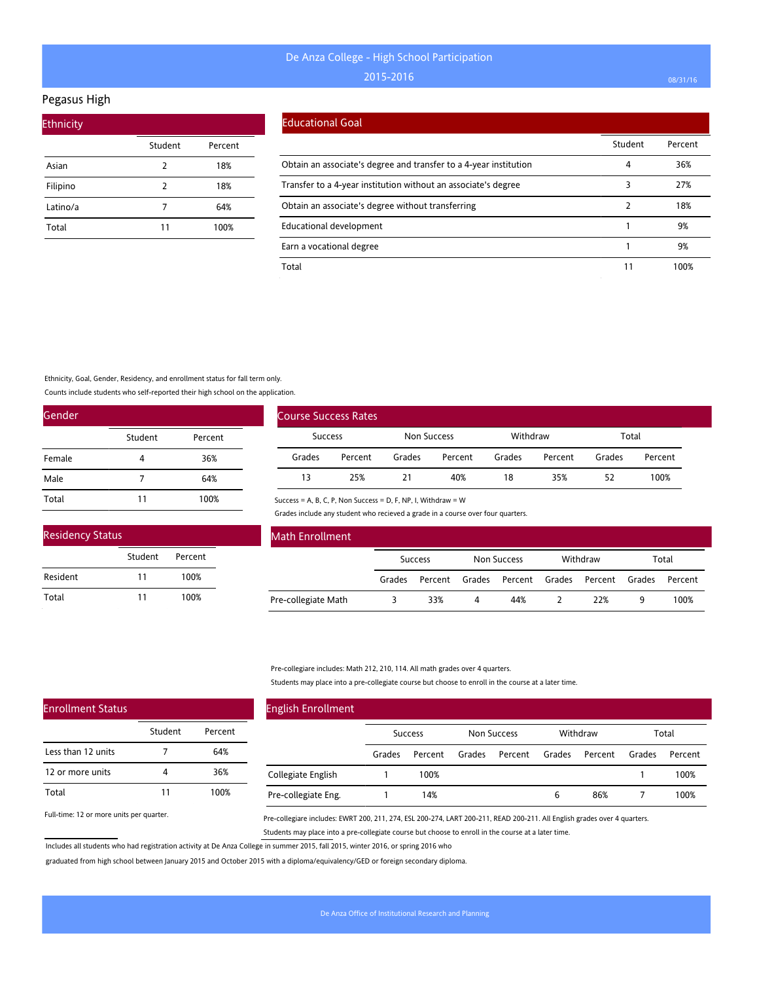#### Pegasus High

| <b>Ethnicity</b> |         |         |
|------------------|---------|---------|
|                  | Student | Percent |
| Asian            | 2       | 18%     |
| Filipino         | 2       | 18%     |
| Latino/a         | 7       | 64%     |
| Total            | 11      | 100%    |

#### Educational Goal

|                                                                   | Student | Percent |
|-------------------------------------------------------------------|---------|---------|
| Obtain an associate's degree and transfer to a 4-year institution | 4       | 36%     |
| Transfer to a 4-year institution without an associate's degree    |         | 27%     |
| Obtain an associate's degree without transferring                 |         | 18%     |
| Educational development                                           |         | 9%      |
| Earn a vocational degree                                          |         | 9%      |
| Total                                                             | 11      | 100%    |

Ethnicity, Goal, Gender, Residency, and enrollment status for fall term only.

Counts include students who self-reported their high school on the application.

| Gender |         |         |
|--------|---------|---------|
|        | Student | Percent |
| Female | 4       | 36%     |
| Male   | 7       | 64%     |
| Total  | 11      | 100%    |

| <b>Residency Status</b> |         |         |  |
|-------------------------|---------|---------|--|
|                         | Student | Percent |  |
| Resident                | 11      | 100%    |  |
| Total                   | 11      | 100%    |  |

| <b>Course Success Rates</b> |         |             |         |          |         |        |         |  |  |  |  |  |
|-----------------------------|---------|-------------|---------|----------|---------|--------|---------|--|--|--|--|--|
| <b>Success</b>              |         | Non Success |         | Withdraw |         | Total  |         |  |  |  |  |  |
| Grades                      | Percent | Grades      | Percent | Grades   | Percent | Grades | Percent |  |  |  |  |  |
| 13                          | 25%     | 21          | 40%     | 18       | 35%     | 52     | 100%    |  |  |  |  |  |

Success = A, B, C, P, Non Success = D, F, NP, I, Withdraw = W

Grades include any student who recieved a grade in a course over four quarters.

| <b>Math Enrollment</b> |                |         |             |                |          |                |       |         |
|------------------------|----------------|---------|-------------|----------------|----------|----------------|-------|---------|
|                        | <b>Success</b> |         | Non Success |                | Withdraw |                | Total |         |
|                        | Grades         | Percent | Grades      | Percent Grades |          | Percent Grades |       | Percent |
| Pre-collegiate Math    |                | 33%     | 4           | 44%            |          | 22%            | 9     | 100%    |

Pre-collegiare includes: Math 212, 210, 114. All math grades over 4 quarters.

Students may place into a pre-collegiate course but choose to enroll in the course at a later time.

| <b>English Enrollment</b> |                |         |             |         |          |         |        |         |
|---------------------------|----------------|---------|-------------|---------|----------|---------|--------|---------|
|                           | <b>Success</b> |         | Non Success |         | Withdraw |         | Total  |         |
|                           | Grades         | Percent | Grades      | Percent | Grades   | Percent | Grades | Percent |
| Collegiate English        |                | 100%    |             |         |          |         |        | 100%    |
| Pre-collegiate Eng.       |                | 14%     |             |         | 6        | 86%     |        | 100%    |

Full-time: 12 or more units per quarter.

Enrollment Status

Less than 12 units 12 or more units

Total

Pre-collegiare includes: EWRT 200, 211, 274, ESL 200-274, LART 200-211, READ 200-211. All English grades over 4 quarters. Students may place into a pre-collegiate course but choose to enroll in the course at a later time.

Includes all students who had registration activity at De Anza College in summer 2015, fall 2015, winter 2016, or spring 2016 who

Student Percent

7 64% 4 36% 11 100%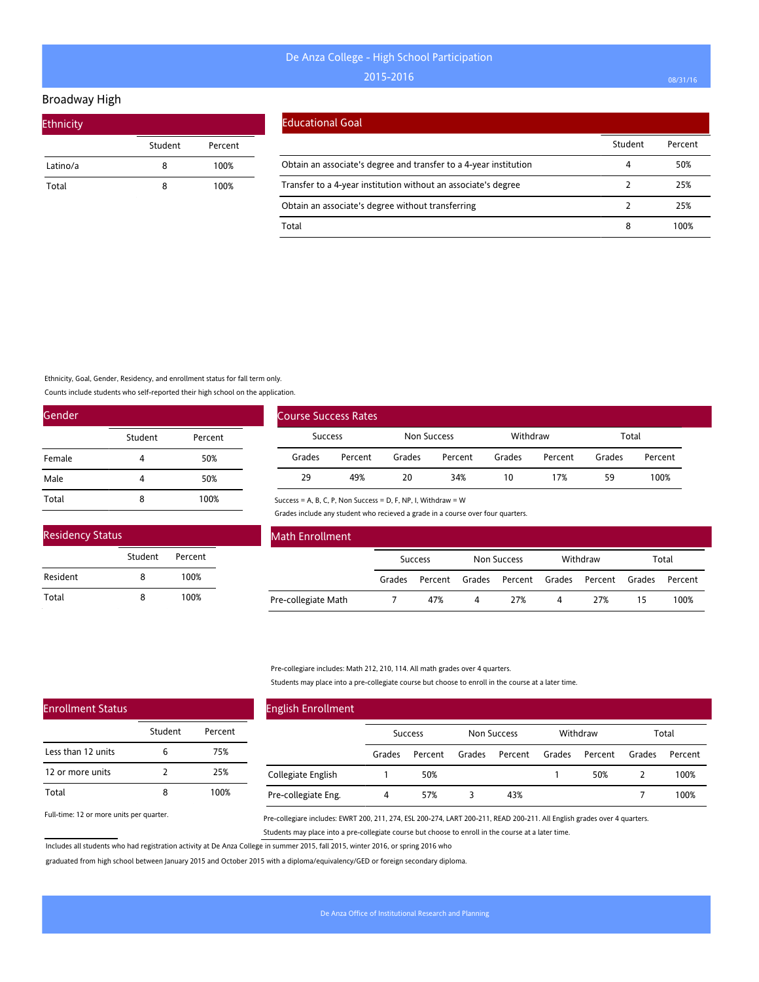### Broadway High

| <b>Ethnicity</b> |         |         |
|------------------|---------|---------|
|                  | Student | Percent |
| Latino/a         | 8       | 100%    |
| Total            | 8       | 100%    |

#### Educational Goal

|                                                                   | Student | Percent |
|-------------------------------------------------------------------|---------|---------|
| Obtain an associate's degree and transfer to a 4-year institution |         | 50%     |
| Transfer to a 4-year institution without an associate's degree    |         | 25%     |
| Obtain an associate's degree without transferring                 |         | 25%     |
| Total                                                             |         | 00%     |

Ethnicity, Goal, Gender, Residency, and enrollment status for fall term only.

Counts include students who self-reported their high school on the application.

| Gender |         |         |
|--------|---------|---------|
|        | Student | Percent |
| Female | 4       | 50%     |
| Male   | 4       | 50%     |
| Total  | 8       | 100%    |

| <b>Residency Status</b> |         |         |  |  |  |  |  |  |
|-------------------------|---------|---------|--|--|--|--|--|--|
|                         | Student | Percent |  |  |  |  |  |  |
| Resident                | 8       | 100%    |  |  |  |  |  |  |
| Total                   |         | 100%    |  |  |  |  |  |  |

| Course Success Rates |         |             |         |          |         |        |         |
|----------------------|---------|-------------|---------|----------|---------|--------|---------|
| <b>Success</b>       |         | Non Success |         | Withdraw |         | Total  |         |
| Grades               | Percent | Grades      | Percent | Grades   | Percent | Grades | Percent |
| 29                   | 49%     | 20          | 34%     | 10       | 17%     | 59     | 100%    |

Success = A, B, C, P, Non Success = D, F, NP, I, Withdraw = W

Grades include any student who recieved a grade in a course over four quarters.

| <b>Math Enrollment</b> |         |         |             |     |          |                                      |       |         |
|------------------------|---------|---------|-------------|-----|----------|--------------------------------------|-------|---------|
|                        | Success |         | Non Success |     | Withdraw |                                      | Total |         |
|                        | Grades  | Percent |             |     |          | Grades Percent Grades Percent Grades |       | Percent |
| Pre-collegiate Math    |         | 47%     | 4           | 27% | 4        | 27%                                  | 15    | 100%    |

Pre-collegiare includes: Math 212, 210, 114. All math grades over 4 quarters.

Students may place into a pre-collegiate course but choose to enroll in the course at a later time.

| <b>English Enrollment</b> |                |         |             |         |          |         |        |         |  |
|---------------------------|----------------|---------|-------------|---------|----------|---------|--------|---------|--|
|                           | <b>Success</b> |         | Non Success |         | Withdraw |         | Total  |         |  |
|                           | Grades         | Percent | Grades      | Percent | Grades   | Percent | Grades | Percent |  |
| Collegiate English        |                | 50%     |             |         |          | 50%     |        | 100%    |  |
| Pre-collegiate Eng.       | 4              | 57%     |             | 43%     |          |         |        | 100%    |  |

Full-time: 12 or more units per quarter.

Enrollment Status

Less than 12 units 12 or more units

Total

Pre-collegiare includes: EWRT 200, 211, 274, ESL 200-274, LART 200-211, READ 200-211. All English grades over 4 quarters. Students may place into a pre-collegiate course but choose to enroll in the course at a later time.

Includes all students who had registration activity at De Anza College in summer 2015, fall 2015, winter 2016, or spring 2016 who

Student Percent

6 75% 2 25% 8 100%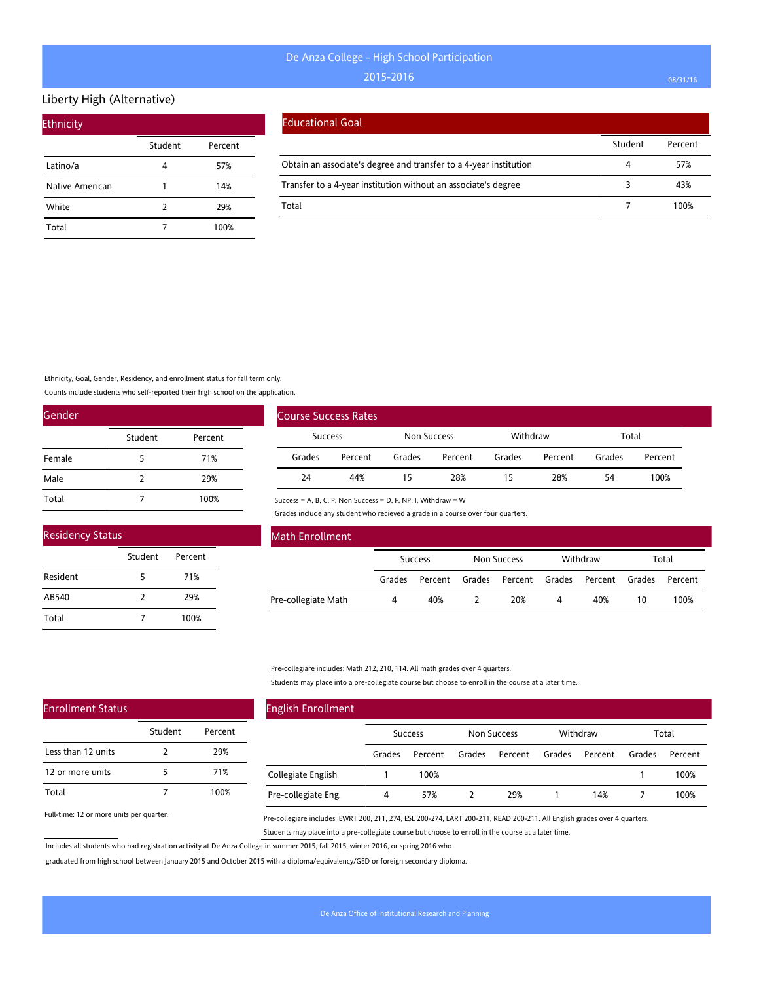#### Liberty High (Alternative)

| <b>Ethnicity</b> |         |         |  |  |  |  |  |  |
|------------------|---------|---------|--|--|--|--|--|--|
|                  | Student | Percent |  |  |  |  |  |  |
| Latino/a         |         | 57%     |  |  |  |  |  |  |
| Native American  | 1       | 14%     |  |  |  |  |  |  |
| White            | 2       | 29%     |  |  |  |  |  |  |
| Total            |         | 100%    |  |  |  |  |  |  |

#### Educational Goal

|                                                                   | Student | Percent |
|-------------------------------------------------------------------|---------|---------|
| Obtain an associate's degree and transfer to a 4-year institution | Δ       | 57%     |
| Transfer to a 4-year institution without an associate's degree    |         | 43%     |
| Total                                                             |         | 100%    |

Ethnicity, Goal, Gender, Residency, and enrollment status for fall term only.

Counts include students who self-reported their high school on the application.

Student Percent

5 71% 2 29% 7 100%

Student Percent

2 29% 5 71% 7 100%

| Gender |               |         |  |  |  |  |
|--------|---------------|---------|--|--|--|--|
|        | Student       | Percent |  |  |  |  |
| Female | 5             | 71%     |  |  |  |  |
| Male   | $\mathcal{P}$ | 29%     |  |  |  |  |
| Total  |               | 100%    |  |  |  |  |

|                | <b>Course Success Rates</b> |             |         |          |         |        |         |
|----------------|-----------------------------|-------------|---------|----------|---------|--------|---------|
| <b>Success</b> |                             | Non Success |         | Withdraw |         | Total  |         |
| Grades         | Percent                     | Grades      | Percent | Grades   | Percent | Grades | Percent |
| 24             | 44%                         | 15          | 28%     | 15       | 28%     | 54     | 100%    |

Success = A, B, C, P, Non Success = D, F, NP, I, Withdraw = W

Grades include any student who recieved a grade in a course over four quarters.

| Math Enrollment     |                |         |             |     |          |                               |       |         |
|---------------------|----------------|---------|-------------|-----|----------|-------------------------------|-------|---------|
|                     | <b>Success</b> |         | Non Success |     | Withdraw |                               | Total |         |
|                     | Grades         | Percent | Grades      |     |          | Percent Grades Percent Grades |       | Percent |
| Pre-collegiate Math | 4              | 40%     |             | 20% | 4        | 40%                           | 10    | 100%    |

Pre-collegiare includes: Math 212, 210, 114. All math grades over 4 quarters.

Students may place into a pre-collegiate course but choose to enroll in the course at a later time.

| <b>English Enrollment</b> |                |         |             |         |          |         |        |         |
|---------------------------|----------------|---------|-------------|---------|----------|---------|--------|---------|
|                           | <b>Success</b> |         | Non Success |         | Withdraw |         | Total  |         |
|                           | Grades         | Percent | Grades      | Percent | Grades   | Percent | Grades | Percent |
| Collegiate English        |                | 100%    |             |         |          |         |        | 100%    |
| Pre-collegiate Eng.       | 4              | 57%     |             | 29%     |          | 14%     |        | 100%    |

Full-time: 12 or more units per quarter.

Enrollment Status

Less than 12 units 12 or more units

Total

Residency Status

Resident AB540 Total

> Pre-collegiare includes: EWRT 200, 211, 274, ESL 200-274, LART 200-211, READ 200-211. All English grades over 4 quarters. Students may place into a pre-collegiate course but choose to enroll in the course at a later time.

Includes all students who had registration activity at De Anza College in summer 2015, fall 2015, winter 2016, or spring 2016 who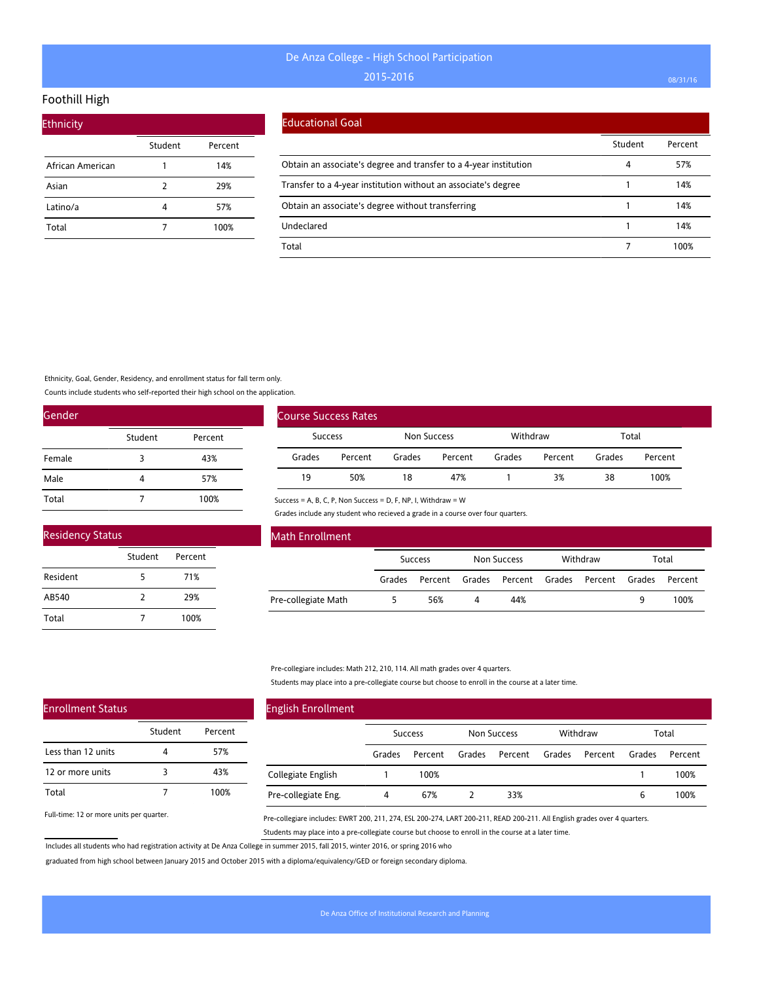## Foothill High

| <b>Ethnicity</b> |         |         |  |  |  |  |  |  |  |
|------------------|---------|---------|--|--|--|--|--|--|--|
|                  | Student | Percent |  |  |  |  |  |  |  |
| African American | 1       | 14%     |  |  |  |  |  |  |  |
| Asian            | 2       | 29%     |  |  |  |  |  |  |  |
| Latino/a         | 4       | 57%     |  |  |  |  |  |  |  |
| Total            |         | 100%    |  |  |  |  |  |  |  |

#### Educational Goal

|                                                                   | Student | Percent |
|-------------------------------------------------------------------|---------|---------|
| Obtain an associate's degree and transfer to a 4-year institution | 4       | 57%     |
| Transfer to a 4-year institution without an associate's degree    |         | 14%     |
| Obtain an associate's degree without transferring                 |         | 14%     |
| Undeclared                                                        |         | 14%     |
| Total                                                             |         | 100%    |

Ethnicity, Goal, Gender, Residency, and enrollment status for fall term only.

Counts include students who self-reported their high school on the application.

| Gender |         |         |  |  |  |  |
|--------|---------|---------|--|--|--|--|
|        | Student | Percent |  |  |  |  |
| Female | 3       | 43%     |  |  |  |  |
| Male   | 4       | 57%     |  |  |  |  |
| Total  |         | 100%    |  |  |  |  |

| <b>Residency Status</b> |               |         |  |  |  |
|-------------------------|---------------|---------|--|--|--|
|                         | Student       | Percent |  |  |  |
| Resident                | 5             | 71%     |  |  |  |
| AB540                   | $\mathcal{P}$ | 29%     |  |  |  |
| Total                   |               | 100%    |  |  |  |

| <b>Course Success Rates</b> |         |             |         |          |         |        |         |
|-----------------------------|---------|-------------|---------|----------|---------|--------|---------|
| Success                     |         | Non Success |         | Withdraw |         | Total  |         |
| Grades                      | Percent | Grades      | Percent | Grades   | Percent | Grades | Percent |
| 19                          | 50%     | 18          | 47%     |          | 3%      | 38     | 100%    |

Success = A, B, C, P, Non Success = D, F, NP, I, Withdraw = W

Grades include any student who recieved a grade in a course over four quarters.

| <b>Math Enrollment</b> |        |                |        |                |  |                |   |         |
|------------------------|--------|----------------|--------|----------------|--|----------------|---|---------|
|                        |        | <b>Success</b> |        | Non Success    |  | Withdraw       |   | Total   |
|                        | Grades | Percent        | Grades | Percent Grades |  | Percent Grades |   | Percent |
| Pre-collegiate Math    |        | 56%            |        | 44%            |  |                | 9 | 100%    |

Pre-collegiare includes: Math 212, 210, 114. All math grades over 4 quarters.

Students may place into a pre-collegiate course but choose to enroll in the course at a later time.

| <b>English Enrollment</b> |        |                |        |             |        |          |        |         |
|---------------------------|--------|----------------|--------|-------------|--------|----------|--------|---------|
|                           |        | <b>Success</b> |        | Non Success |        | Withdraw |        | Total   |
|                           | Grades | Percent        | Grades | Percent     | Grades | Percent  | Grades | Percent |
| Collegiate English        |        | 100%           |        |             |        |          |        | 100%    |
| Pre-collegiate Eng.       | 4      | 67%            |        | 33%         |        |          | 6      | 100%    |

Full-time: 12 or more units per quarter.

Enrollment Status

Less than 12 units 12 or more units

Total

Pre-collegiare includes: EWRT 200, 211, 274, ESL 200-274, LART 200-211, READ 200-211. All English grades over 4 quarters. Students may place into a pre-collegiate course but choose to enroll in the course at a later time.

Includes all students who had registration activity at De Anza College in summer 2015, fall 2015, winter 2016, or spring 2016 who

Student Percent

4 57% 3 43% 7 100%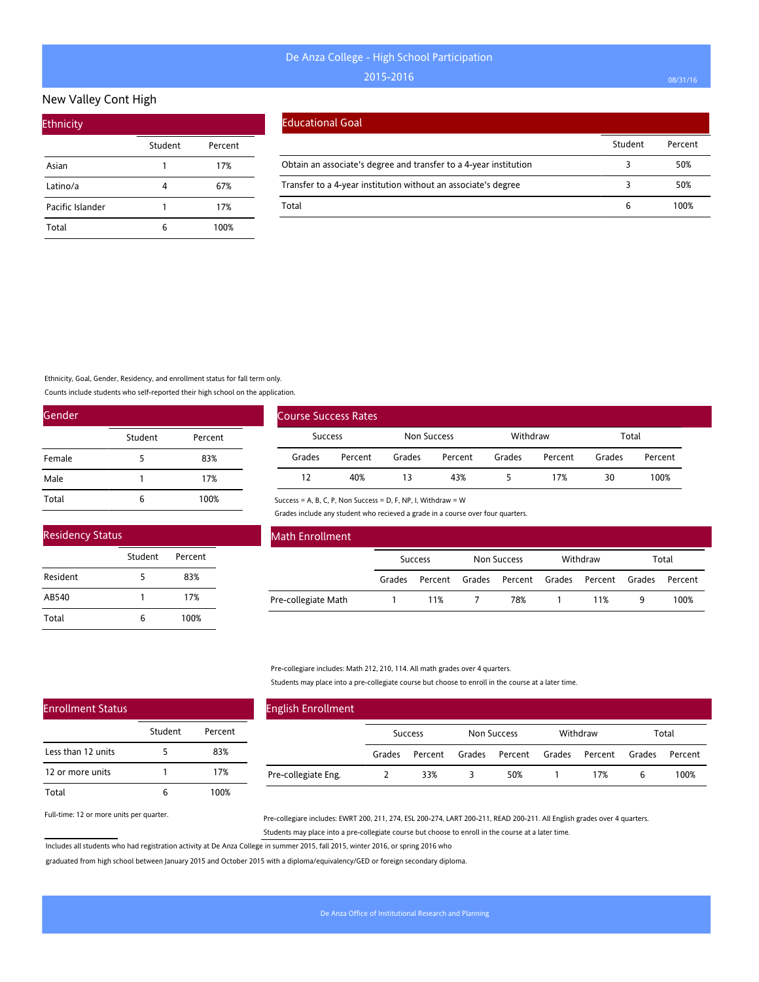## New Valley Cont High

| <b>Ethnicity</b> |         |         |
|------------------|---------|---------|
|                  | Student | Percent |
| Asian            |         | 17%     |
| Latino/a         | 4       | 67%     |
| Pacific Islander |         | 17%     |
| Total            | 6       | 100%    |

#### Educational Goal

|                                                                   | Student | Percent |
|-------------------------------------------------------------------|---------|---------|
| Obtain an associate's degree and transfer to a 4-year institution |         | 50%     |
| Transfer to a 4-year institution without an associate's degree    |         | 50%     |
| Total                                                             | b       | 100%    |

Ethnicity, Goal, Gender, Residency, and enrollment status for fall term only.

Counts include students who self-reported their high school on the application.

Student Percent

5 83% 1 17% 6 100%

Student Percent

5 83% 1 17% 6 100%

| Gender |         |         |
|--------|---------|---------|
|        | Student | Percent |
| Female | 5       | 83%     |
| Male   | 1       | 17%     |
| Total  | 6       | 100%    |

|                | <b>Course Success Rates</b> |             |         |          |         |        |         |
|----------------|-----------------------------|-------------|---------|----------|---------|--------|---------|
| <b>Success</b> |                             | Non Success |         | Withdraw |         | Total  |         |
| Grades         | Percent                     | Grades      | Percent | Grades   | Percent | Grades | Percent |
| 12             | 40%                         | 13          | 43%     |          | 17%     | 30     | 100%    |

Success = A, B, C, P, Non Success = D, F, NP, I, Withdraw = W

Grades include any student who recieved a grade in a course over four quarters.

| <b>Math Enrollment</b> |        |                |             |                                      |   |         |
|------------------------|--------|----------------|-------------|--------------------------------------|---|---------|
|                        |        | <b>Success</b> | Non Success | Withdraw                             |   | Total   |
|                        | Grades | Percent        |             | Grades Percent Grades Percent Grades |   | Percent |
| Pre-collegiate Math    |        | 11%            | 78%         | 11%                                  | 9 | 100%    |

Pre-collegiare includes: Math 212, 210, 114. All math grades over 4 quarters.

Students may place into a pre-collegiate course but choose to enroll in the course at a later time.

| <b>English Enrollment</b> |        |                |        |                |          |        |         |
|---------------------------|--------|----------------|--------|----------------|----------|--------|---------|
|                           |        | <b>Success</b> |        | Non Success    | Withdraw |        | Total   |
|                           | Grades | Percent        | Grades | Percent Grades | Percent  | Grades | Percent |
| Pre-collegiate Eng.       |        | 33%            |        | 50%            | 17%      | b      | 100%    |

Full-time: 12 or more units per quarter.

Enrollment Status

Less than 12 units 12 or more units

Total

Residency Status

Resident AB540 Total

> Pre-collegiare includes: EWRT 200, 211, 274, ESL 200-274, LART 200-211, READ 200-211. All English grades over 4 quarters. Students may place into a pre-collegiate course but choose to enroll in the course at a later time.

Includes all students who had registration activity at De Anza College in summer 2015, fall 2015, winter 2016, or spring 2016 who